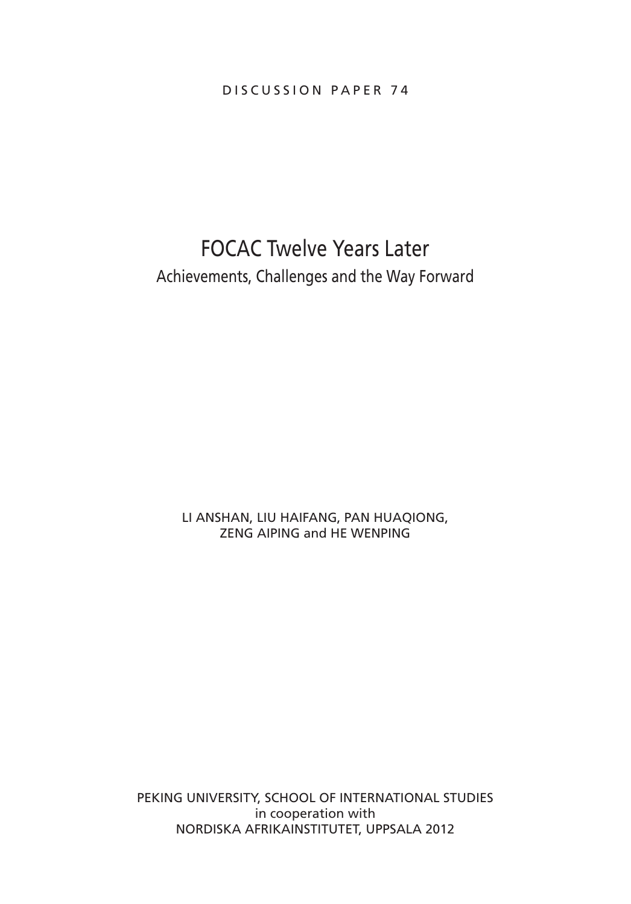DISCUSSION PAPER 74

# FOCAC Twelve Years Later Achievements, Challenges and the Way Forward

LI ANSHAN, LIU HAIFANG, PAN HUAQIONG, ZENG AIPING and HE WENPING

PEKING UNIVERSITY, SCHOOL OF INTERNATIONAL STUDIES in cooperation with Nordiska Afrikainstitutet, Uppsala 2012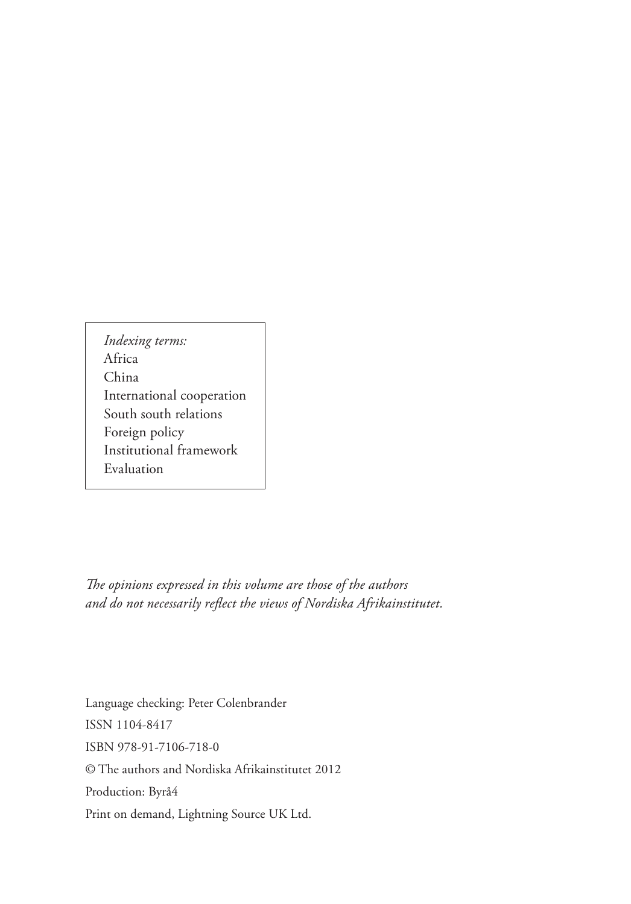*Indexing terms:* Africa China International cooperation South south relations Foreign policy Institutional framework Evaluation

*The opinions expressed in this volume are those of the authors and do not necessarily reflect the views of Nordiska Afrikainstitutet.*

Language checking: Peter Colenbrander ISSN 1104-8417 ISBN 978-91-7106-718-0 © The authors and Nordiska Afrikainstitutet 2012 Production: Byrå4 Print on demand, Lightning Source UK Ltd.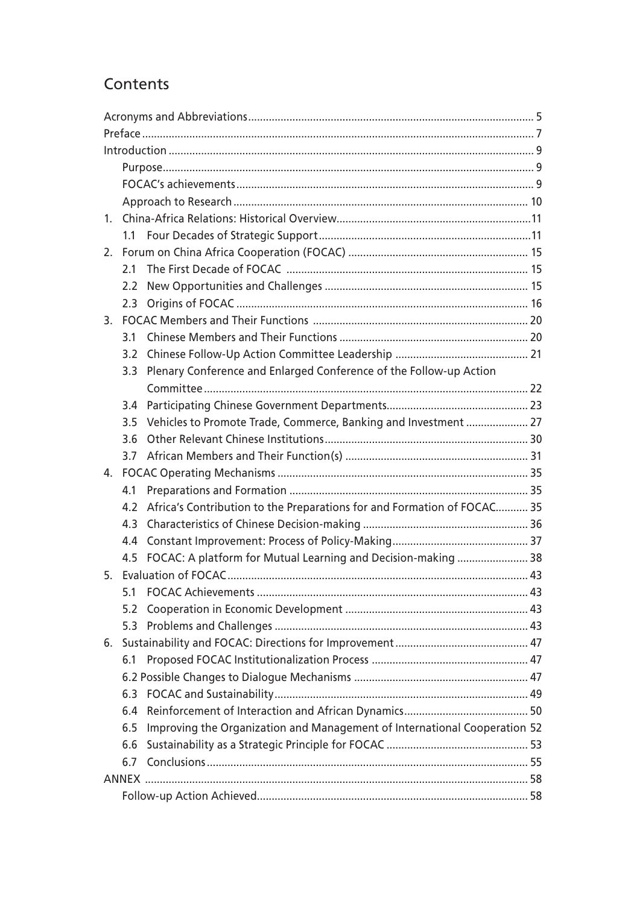## Contents

| 1. |                  |                                                                           |  |  |  |
|----|------------------|---------------------------------------------------------------------------|--|--|--|
|    | 1.1              |                                                                           |  |  |  |
| 2. |                  |                                                                           |  |  |  |
|    | 2.1              |                                                                           |  |  |  |
|    |                  |                                                                           |  |  |  |
|    |                  |                                                                           |  |  |  |
| 3. |                  |                                                                           |  |  |  |
|    | 3.1              |                                                                           |  |  |  |
|    |                  |                                                                           |  |  |  |
|    | 3.3 <sup>°</sup> | Plenary Conference and Enlarged Conference of the Follow-up Action        |  |  |  |
|    |                  |                                                                           |  |  |  |
|    |                  |                                                                           |  |  |  |
|    | 35               | Vehicles to Promote Trade, Commerce, Banking and Investment  27           |  |  |  |
|    | 3.6              |                                                                           |  |  |  |
|    | 3.7              |                                                                           |  |  |  |
| 4. |                  |                                                                           |  |  |  |
|    | 4.1              |                                                                           |  |  |  |
|    | 4.2              | Africa's Contribution to the Preparations for and Formation of FOCAC 35   |  |  |  |
|    | 4.3              |                                                                           |  |  |  |
|    | 4.4              |                                                                           |  |  |  |
|    |                  | 4.5 FOCAC: A platform for Mutual Learning and Decision-making  38         |  |  |  |
|    |                  |                                                                           |  |  |  |
|    | 5.1              |                                                                           |  |  |  |
|    |                  |                                                                           |  |  |  |
|    | 5.3              |                                                                           |  |  |  |
|    |                  |                                                                           |  |  |  |
|    | 6.1              |                                                                           |  |  |  |
|    |                  |                                                                           |  |  |  |
|    |                  |                                                                           |  |  |  |
|    | 6.4              |                                                                           |  |  |  |
|    | 6.5              | Improving the Organization and Management of International Cooperation 52 |  |  |  |
|    | 6.6              |                                                                           |  |  |  |
|    | 6.7              |                                                                           |  |  |  |
|    |                  |                                                                           |  |  |  |
|    |                  |                                                                           |  |  |  |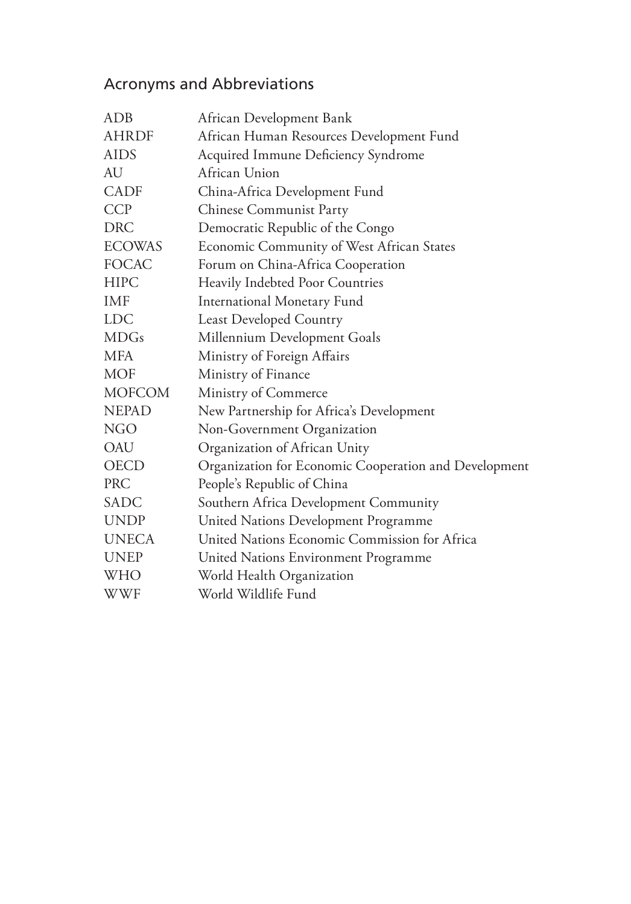# Acronyms and Abbreviations

| ADB           | African Development Bank                              |
|---------------|-------------------------------------------------------|
| <b>AHRDF</b>  | African Human Resources Development Fund              |
| <b>AIDS</b>   | Acquired Immune Deficiency Syndrome                   |
| AU            | African Union                                         |
| <b>CADF</b>   | China-Africa Development Fund                         |
| <b>CCP</b>    | Chinese Communist Party                               |
| <b>DRC</b>    | Democratic Republic of the Congo                      |
| <b>ECOWAS</b> | Economic Community of West African States             |
| <b>FOCAC</b>  | Forum on China-Africa Cooperation                     |
| <b>HIPC</b>   | Heavily Indebted Poor Countries                       |
| IMF           | <b>International Monetary Fund</b>                    |
| <b>LDC</b>    | <b>Least Developed Country</b>                        |
| <b>MDGs</b>   | Millennium Development Goals                          |
| <b>MFA</b>    | Ministry of Foreign Affairs                           |
| <b>MOF</b>    | Ministry of Finance                                   |
| <b>MOFCOM</b> | Ministry of Commerce                                  |
| <b>NEPAD</b>  | New Partnership for Africa's Development              |
| <b>NGO</b>    | Non-Government Organization                           |
| <b>OAU</b>    | Organization of African Unity                         |
| <b>OECD</b>   | Organization for Economic Cooperation and Development |
| <b>PRC</b>    | People's Republic of China                            |
| SADC          | Southern Africa Development Community                 |
| <b>UNDP</b>   | United Nations Development Programme                  |
| <b>UNECA</b>  | United Nations Economic Commission for Africa         |
| <b>UNEP</b>   | United Nations Environment Programme                  |
| WHO           | World Health Organization                             |
| <b>WWF</b>    | World Wildlife Fund                                   |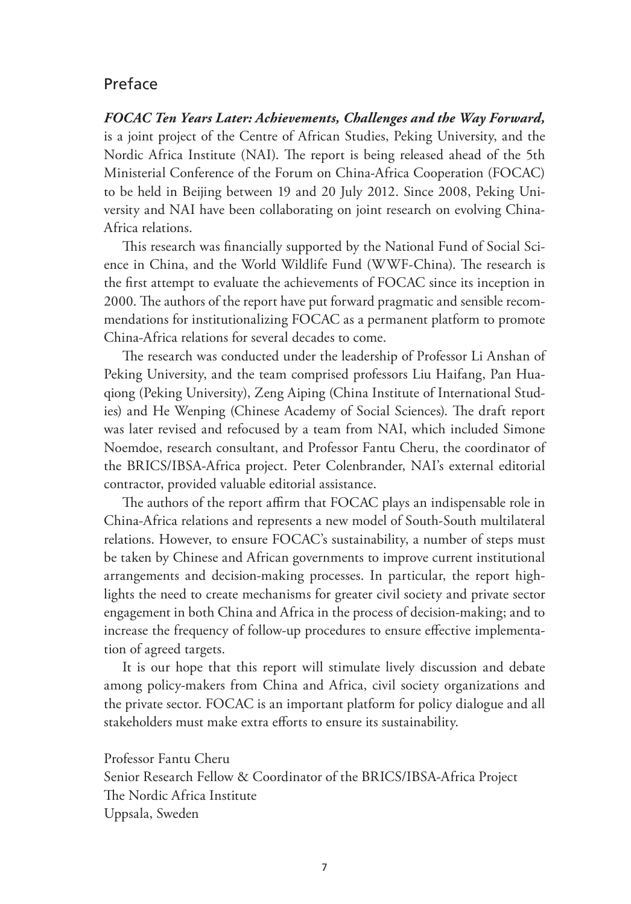### Preface

*FOCAC Ten Years Later: Achievements, Challenges and the Way Forward,*  is a joint project of the Centre of African Studies, Peking University, and the Nordic Africa Institute (NAI). The report is being released ahead of the 5th Ministerial Conference of the Forum on China-Africa Cooperation (FOCAC) to be held in Beijing between 19 and 20 July 2012. Since 2008, Peking University and NAI have been collaborating on joint research on evolving China-Africa relations.

This research was financially supported by the National Fund of Social Science in China, and the World Wildlife Fund (WWF-China). The research is the first attempt to evaluate the achievements of FOCAC since its inception in 2000. The authors of the report have put forward pragmatic and sensible recommendations for institutionalizing FOCAC as a permanent platform to promote China-Africa relations for several decades to come.

The research was conducted under the leadership of Professor Li Anshan of Peking University, and the team comprised professors Liu Haifang, Pan Huaqiong (Peking University), Zeng Aiping (China Institute of International Studies) and He Wenping (Chinese Academy of Social Sciences). The draft report was later revised and refocused by a team from NAI, which included Simone Noemdoe, research consultant, and Professor Fantu Cheru, the coordinator of the BRICS/IBSA-Africa project. Peter Colenbrander, NAI's external editorial contractor, provided valuable editorial assistance.

The authors of the report affirm that FOCAC plays an indispensable role in China-Africa relations and represents a new model of South-South multilateral relations. However, to ensure FOCAC's sustainability, a number of steps must be taken by Chinese and African governments to improve current institutional arrangements and decision-making processes. In particular, the report highlights the need to create mechanisms for greater civil society and private sector engagement in both China and Africa in the process of decision-making; and to increase the frequency of follow-up procedures to ensure effective implementation of agreed targets.

It is our hope that this report will stimulate lively discussion and debate among policy-makers from China and Africa, civil society organizations and the private sector. FOCAC is an important platform for policy dialogue and all stakeholders must make extra efforts to ensure its sustainability.

Professor Fantu Cheru Senior Research Fellow & Coordinator of the BRICS/IBSA-Africa Project The Nordic Africa Institute Uppsala, Sweden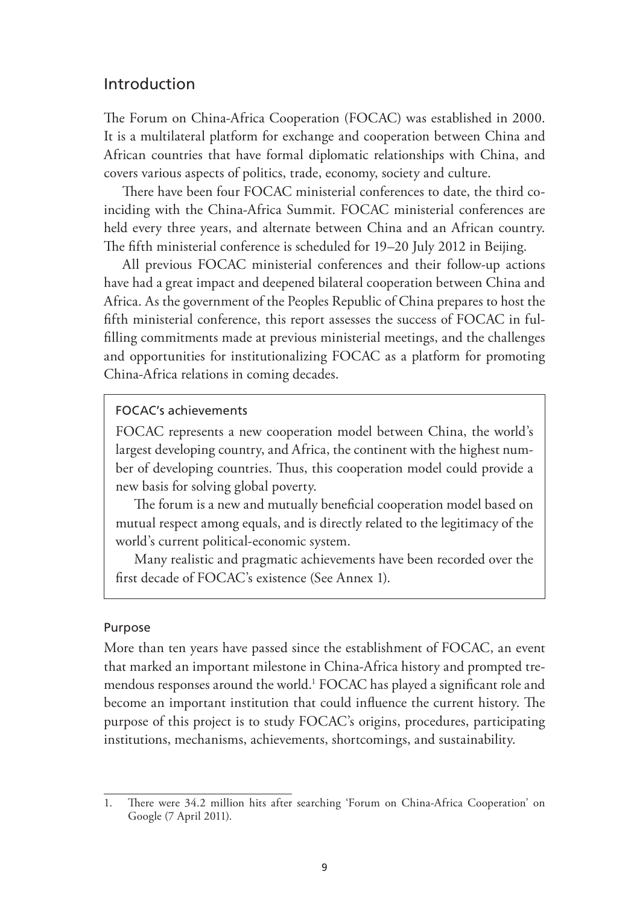### Introduction

The Forum on China-Africa Cooperation (FOCAC) was established in 2000. It is a multilateral platform for exchange and cooperation between China and African countries that have formal diplomatic relationships with China, and covers various aspects of politics, trade, economy, society and culture.

There have been four FOCAC ministerial conferences to date, the third coinciding with the China-Africa Summit. FOCAC ministerial conferences are held every three years, and alternate between China and an African country. The fifth ministerial conference is scheduled for 19–20 July 2012 in Beijing.

All previous FOCAC ministerial conferences and their follow-up actions have had a great impact and deepened bilateral cooperation between China and Africa. As the government of the Peoples Republic of China prepares to host the fifth ministerial conference, this report assesses the success of FOCAC in fulfilling commitments made at previous ministerial meetings, and the challenges and opportunities for institutionalizing FOCAC as a platform for promoting China-Africa relations in coming decades.

### FOCAC's achievements

FOCAC represents a new cooperation model between China, the world's largest developing country, and Africa, the continent with the highest number of developing countries. Thus, this cooperation model could provide a new basis for solving global poverty.

The forum is a new and mutually beneficial cooperation model based on mutual respect among equals, and is directly related to the legitimacy of the world's current political-economic system.

Many realistic and pragmatic achievements have been recorded over the first decade of FOCAC's existence (See Annex 1).

#### Purpose

More than ten years have passed since the establishment of FOCAC, an event that marked an important milestone in China-Africa history and prompted tremendous responses around the world.<sup>1</sup> FOCAC has played a significant role and become an important institution that could influence the current history. The purpose of this project is to study FOCAC's origins, procedures, participating institutions, mechanisms, achievements, shortcomings, and sustainability.

<sup>1.</sup> There were 34.2 million hits after searching 'Forum on China-Africa Cooperation' on Google (7 April 2011).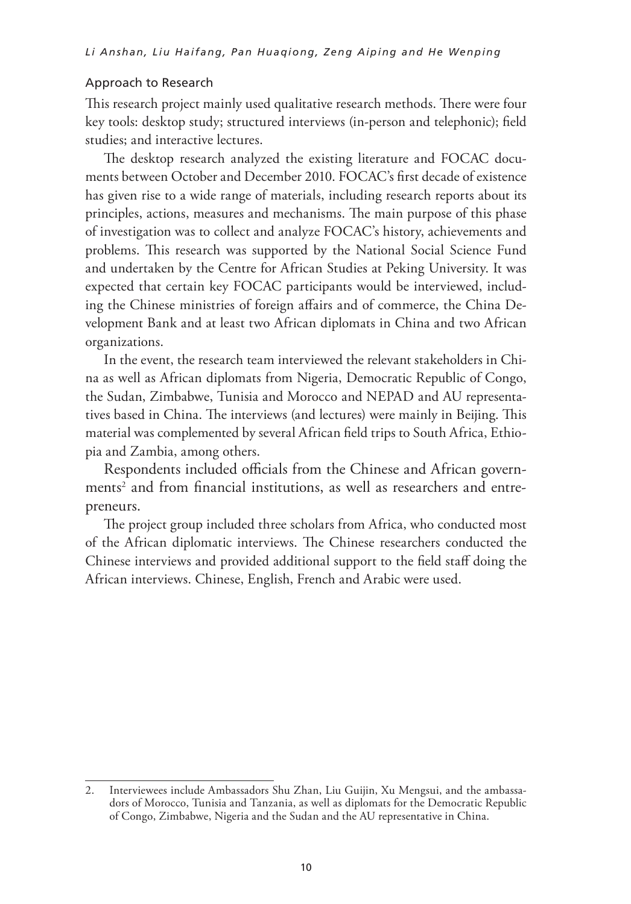#### Approach to Research

This research project mainly used qualitative research methods. There were four key tools: desktop study; structured interviews (in-person and telephonic); field studies; and interactive lectures.

The desktop research analyzed the existing literature and FOCAC documents between October and December 2010. FOCAC's first decade of existence has given rise to a wide range of materials, including research reports about its principles, actions, measures and mechanisms. The main purpose of this phase of investigation was to collect and analyze FOCAC's history, achievements and problems. This research was supported by the National Social Science Fund and undertaken by the Centre for African Studies at Peking University. It was expected that certain key FOCAC participants would be interviewed, including the Chinese ministries of foreign affairs and of commerce, the China Development Bank and at least two African diplomats in China and two African organizations.

In the event, the research team interviewed the relevant stakeholders in China as well as African diplomats from Nigeria, Democratic Republic of Congo, the Sudan, Zimbabwe, Tunisia and Morocco and NEPAD and AU representatives based in China. The interviews (and lectures) were mainly in Beijing. This material was complemented by several African field trips to South Africa, Ethiopia and Zambia, among others.

Respondents included officials from the Chinese and African governments<sup>2</sup> and from financial institutions, as well as researchers and entrepreneurs.

The project group included three scholars from Africa, who conducted most of the African diplomatic interviews. The Chinese researchers conducted the Chinese interviews and provided additional support to the field staff doing the African interviews. Chinese, English, French and Arabic were used.

<sup>2.</sup> Interviewees include Ambassadors Shu Zhan, Liu Guijin, Xu Mengsui, and the ambassadors of Morocco, Tunisia and Tanzania, as well as diplomats for the Democratic Republic of Congo, Zimbabwe, Nigeria and the Sudan and the AU representative in China.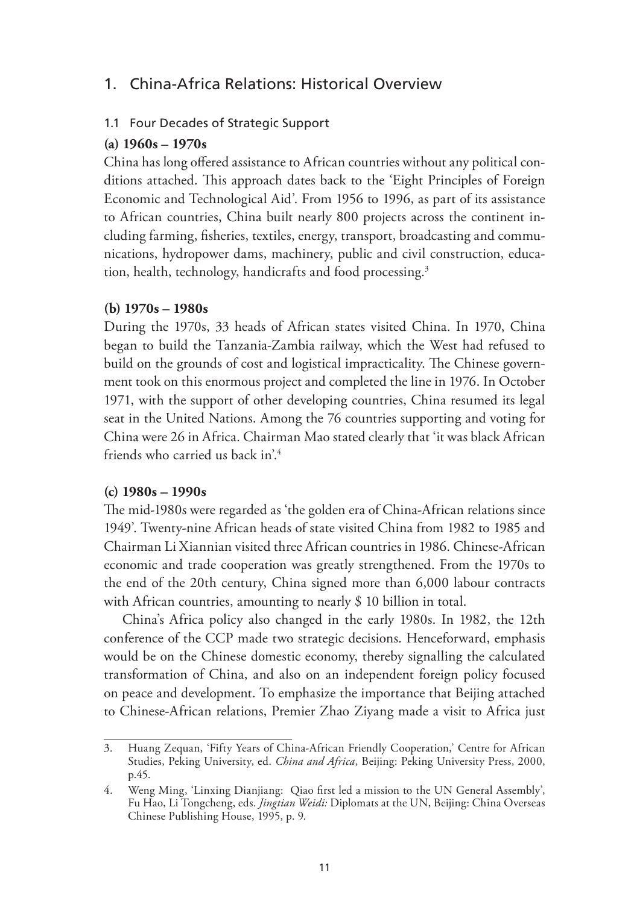## 1. China-Africa Relations: Historical Overview

### 1.1 Four Decades of Strategic Support

### **(a) 1960s – 1970s**

China has long offered assistance to African countries without any political conditions attached. This approach dates back to the 'Eight Principles of Foreign Economic and Technological Aid'. From 1956 to 1996, as part of its assistance to African countries, China built nearly 800 projects across the continent including farming, fisheries, textiles, energy, transport, broadcasting and communications, hydropower dams, machinery, public and civil construction, education, health, technology, handicrafts and food processing.3

### **(b) 1970s – 1980s**

During the 1970s, 33 heads of African states visited China. In 1970, China began to build the Tanzania-Zambia railway, which the West had refused to build on the grounds of cost and logistical impracticality. The Chinese government took on this enormous project and completed the line in 1976. In October 1971, with the support of other developing countries, China resumed its legal seat in the United Nations. Among the 76 countries supporting and voting for China were 26 in Africa. Chairman Mao stated clearly that 'it was black African friends who carried us back in'.4

### **(c) 1980s – 1990s**

The mid-1980s were regarded as 'the golden era of China-African relations since 1949'. Twenty-nine African heads of state visited China from 1982 to 1985 and Chairman Li Xiannian visited three African countries in 1986. Chinese-African economic and trade cooperation was greatly strengthened. From the 1970s to the end of the 20th century, China signed more than 6,000 labour contracts with African countries, amounting to nearly \$10 billion in total.

China's Africa policy also changed in the early 1980s. In 1982, the 12th conference of the CCP made two strategic decisions. Henceforward, emphasis would be on the Chinese domestic economy, thereby signalling the calculated transformation of China, and also on an independent foreign policy focused on peace and development. To emphasize the importance that Beijing attached to Chinese-African relations, Premier Zhao Ziyang made a visit to Africa just

<sup>3.</sup> Huang Zequan, 'Fifty Years of China-African Friendly Cooperation,' Centre for African Studies, Peking University, ed. *China and Africa*, Beijing: Peking University Press, 2000, p.45.

<sup>4.</sup> Weng Ming, 'Linxing Dianjiang: Qiao first led a mission to the UN General Assembly', Fu Hao, Li Tongcheng, eds. *Jingtian Weidi:* Diplomats at the UN, Beijing: China Overseas Chinese Publishing House, 1995, p. 9.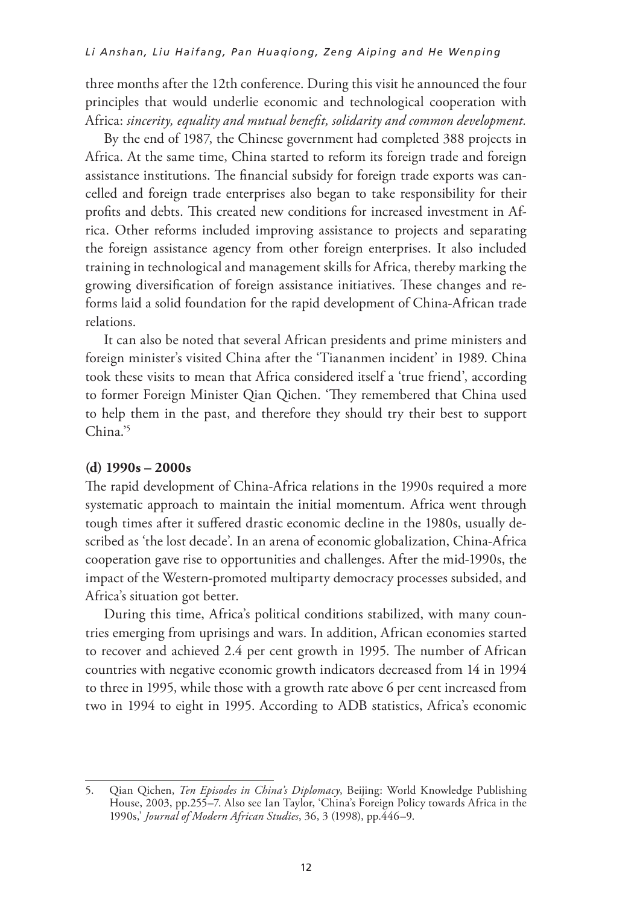three months after the 12th conference. During this visit he announced the four principles that would underlie economic and technological cooperation with Africa: *sincerity, equality and mutual benefit, solidarity and common development.*

By the end of 1987, the Chinese government had completed 388 projects in Africa. At the same time, China started to reform its foreign trade and foreign assistance institutions. The financial subsidy for foreign trade exports was cancelled and foreign trade enterprises also began to take responsibility for their profits and debts. This created new conditions for increased investment in Africa. Other reforms included improving assistance to projects and separating the foreign assistance agency from other foreign enterprises. It also included training in technological and management skills for Africa, thereby marking the growing diversification of foreign assistance initiatives. These changes and reforms laid a solid foundation for the rapid development of China-African trade relations.

It can also be noted that several African presidents and prime ministers and foreign minister's visited China after the 'Tiananmen incident' in 1989. China took these visits to mean that Africa considered itself a 'true friend', according to former Foreign Minister Qian Qichen. 'They remembered that China used to help them in the past, and therefore they should try their best to support  $China<sup>5</sup>$ 

#### **(d) 1990s – 2000s**

The rapid development of China-Africa relations in the 1990s required a more systematic approach to maintain the initial momentum. Africa went through tough times after it suffered drastic economic decline in the 1980s, usually described as 'the lost decade'. In an arena of economic globalization, China-Africa cooperation gave rise to opportunities and challenges. After the mid-1990s, the impact of the Western-promoted multiparty democracy processes subsided, and Africa's situation got better.

During this time, Africa's political conditions stabilized, with many countries emerging from uprisings and wars. In addition, African economies started to recover and achieved 2.4 per cent growth in 1995. The number of African countries with negative economic growth indicators decreased from 14 in 1994 to three in 1995, while those with a growth rate above 6 per cent increased from two in 1994 to eight in 1995. According to ADB statistics, Africa's economic

<sup>5.</sup> Qian Qichen, *Ten Episodes in China's Diplomacy*, Beijing: World Knowledge Publishing House, 2003, pp.255–7. Also see Ian Taylor, 'China's Foreign Policy towards Africa in the 1990s,' *Journal of Modern African Studies*, 36, 3 (1998), pp.446–9.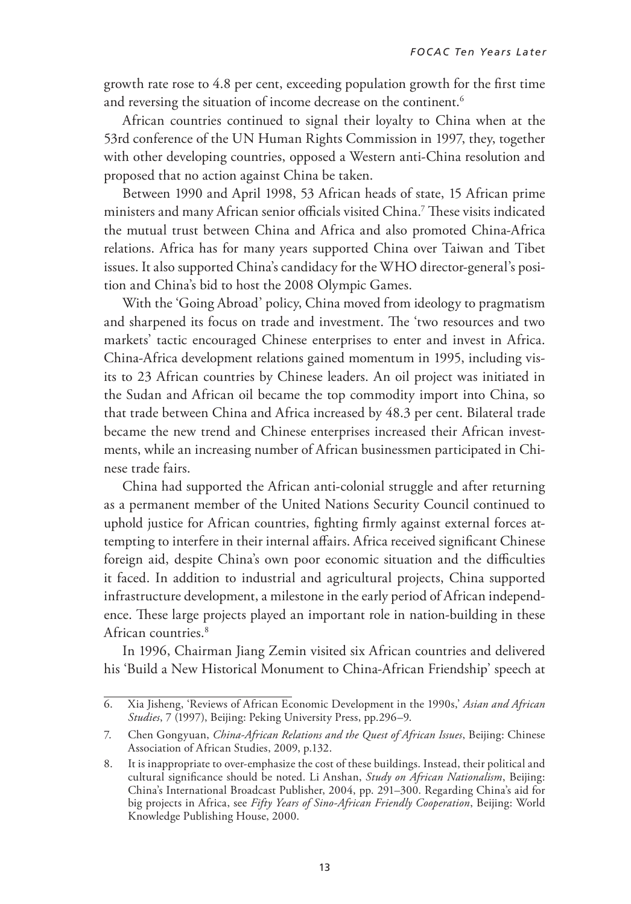growth rate rose to 4.8 per cent, exceeding population growth for the first time and reversing the situation of income decrease on the continent.<sup>6</sup>

African countries continued to signal their loyalty to China when at the 53rd conference of the UN Human Rights Commission in 1997, they, together with other developing countries, opposed a Western anti-China resolution and proposed that no action against China be taken.

Between 1990 and April 1998, 53 African heads of state, 15 African prime ministers and many African senior officials visited China.7 These visits indicated the mutual trust between China and Africa and also promoted China-Africa relations. Africa has for many years supported China over Taiwan and Tibet issues. It also supported China's candidacy for the WHO director-general's position and China's bid to host the 2008 Olympic Games.

With the 'Going Abroad' policy, China moved from ideology to pragmatism and sharpened its focus on trade and investment. The 'two resources and two markets' tactic encouraged Chinese enterprises to enter and invest in Africa. China-Africa development relations gained momentum in 1995, including visits to 23 African countries by Chinese leaders. An oil project was initiated in the Sudan and African oil became the top commodity import into China, so that trade between China and Africa increased by 48.3 per cent. Bilateral trade became the new trend and Chinese enterprises increased their African investments, while an increasing number of African businessmen participated in Chinese trade fairs.

China had supported the African anti-colonial struggle and after returning as a permanent member of the United Nations Security Council continued to uphold justice for African countries, fighting firmly against external forces attempting to interfere in their internal affairs. Africa received significant Chinese foreign aid, despite China's own poor economic situation and the difficulties it faced. In addition to industrial and agricultural projects, China supported infrastructure development, a milestone in the early period of African independence. These large projects played an important role in nation-building in these African countries.<sup>8</sup>

In 1996, Chairman Jiang Zemin visited six African countries and delivered his 'Build a New Historical Monument to China-African Friendship' speech at

<sup>6.</sup> Xia Jisheng, 'Reviews of African Economic Development in the 1990s,' Asian and African 6. Xia Jisheng, 'Reviews of African Economic Development in the 1990s,' *Asian and African*  Studies, 7 (1997), Beijing: Peking University Press, pp.296-9. *Studies*, 7 (1997), Beijing: Peking University Press, pp.296–9.

<sup>7.</sup> Chen Gongyuan, *China-African Relations and the Quest of African Issues*, Beijing: Chinese Association of African Studies, 2009, p.132.

<sup>8.</sup> It is inappropriate to over-emphasize the cost of these buildings. Instead, their political and cultural significance should be noted. Li Anshan, *Study on African Nationalism*, Beijing: China's International Broadcast Publisher, 2004, pp. 291–300. Regarding China's aid for big projects in Africa, see *Fifty Years of Sino-African Friendly Cooperation*, Beijing: World Knowledge Publishing House, 2000.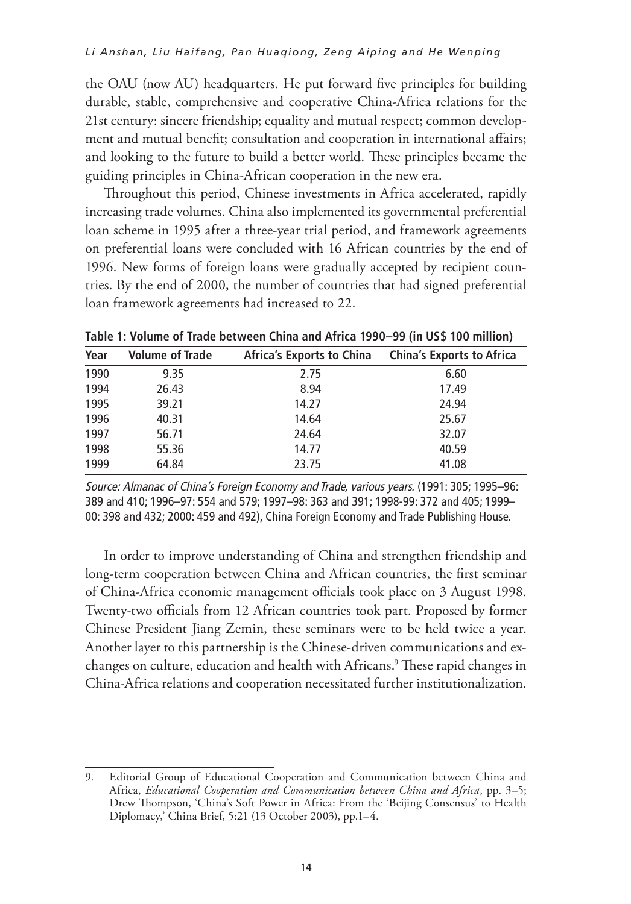the OAU (now AU) headquarters. He put forward five principles for building durable, stable, comprehensive and cooperative China-Africa relations for the 21st century: sincere friendship; equality and mutual respect; common development and mutual benefit; consultation and cooperation in international affairs; and looking to the future to build a better world. These principles became the guiding principles in China-African cooperation in the new era.

Throughout this period, Chinese investments in Africa accelerated, rapidly increasing trade volumes. China also implemented its governmental preferential loan scheme in 1995 after a three-year trial period, and framework agreements on preferential loans were concluded with 16 African countries by the end of 1996. New forms of foreign loans were gradually accepted by recipient countries. By the end of 2000, the number of countries that had signed preferential loan framework agreements had increased to 22.

| Year | <b>Volume of Trade</b> | <b>Africa's Exports to China</b> | <b>China's Exports to Africa</b> |
|------|------------------------|----------------------------------|----------------------------------|
| 1990 | 9.35                   | 2.75                             | 6.60                             |
| 1994 | 26.43                  | 8.94                             | 17.49                            |
| 1995 | 39.21                  | 14.27                            | 24.94                            |
| 1996 | 40.31                  | 14.64                            | 25.67                            |
| 1997 | 56.71                  | 24.64                            | 32.07                            |
| 1998 | 55.36                  | 14.77                            | 40.59                            |
| 1999 | 64.84                  | 23.75                            | 41.08                            |

**Table 1: Volume of Trade between China and Africa 1990–99 (in US\$ 100 million)** 

Source: Almanac of China's Foreign Economy and Trade, various years. (1991: 305; 1995–96: 389 and 410; 1996–97: 554 and 579; 1997–98: 363 and 391; 1998-99: 372 and 405; 1999– 00: 398 and 432; 2000: 459 and 492), China Foreign Economy and Trade Publishing House.

In order to improve understanding of China and strengthen friendship and long-term cooperation between China and African countries, the first seminar of China-Africa economic management officials took place on 3 August 1998. Twenty-two officials from 12 African countries took part. Proposed by former Chinese President Jiang Zemin, these seminars were to be held twice a year. Another layer to this partnership is the Chinese-driven communications and exchanges on culture, education and health with Africans.9 These rapid changes in China-Africa relations and cooperation necessitated further institutionalization.

<sup>9.</sup> Editorial Group of Educational Cooperation and Communication between China and Africa, *Educational Cooperation and Communication between China and Africa*, pp. 3–5; Drew Thompson, 'China's Soft Power in Africa: From the 'Beijing Consensus' to Health Diplomacy,' China Brief, 5:21 (13 October 2003), pp.1–4.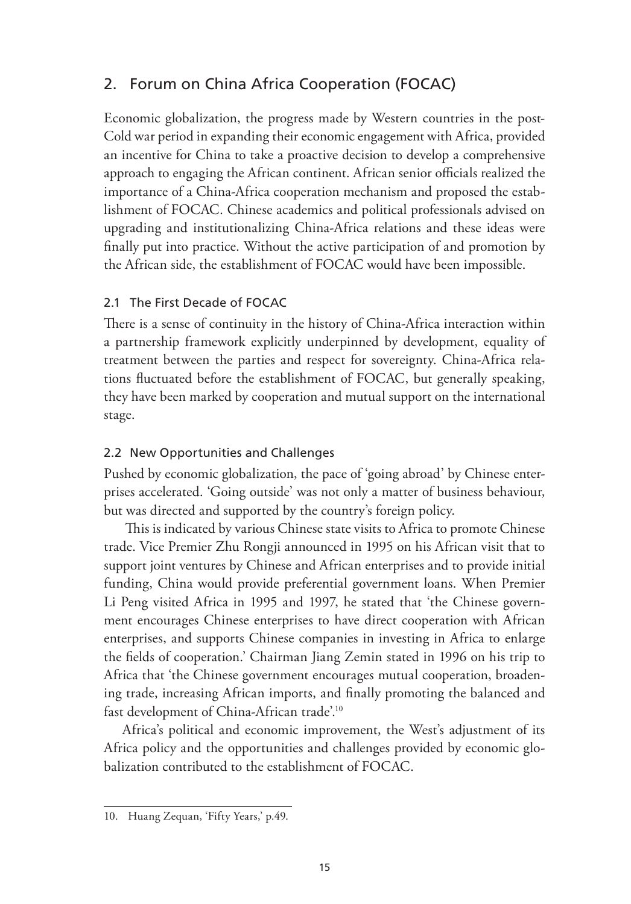## 2. Forum on China Africa Cooperation (FOCAC)

Economic globalization, the progress made by Western countries in the post-Cold war period in expanding their economic engagement with Africa, provided an incentive for China to take a proactive decision to develop a comprehensive approach to engaging the African continent. African senior officials realized the importance of a China-Africa cooperation mechanism and proposed the establishment of FOCAC. Chinese academics and political professionals advised on upgrading and institutionalizing China-Africa relations and these ideas were finally put into practice. Without the active participation of and promotion by the African side, the establishment of FOCAC would have been impossible.

### 2.1 The First Decade of FOCAC

There is a sense of continuity in the history of China-Africa interaction within a partnership framework explicitly underpinned by development, equality of treatment between the parties and respect for sovereignty. China-Africa relations fluctuated before the establishment of FOCAC, but generally speaking, they have been marked by cooperation and mutual support on the international stage.

### 2.2 New Opportunities and Challenges

Pushed by economic globalization, the pace of 'going abroad' by Chinese enterprises accelerated. 'Going outside' was not only a matter of business behaviour, but was directed and supported by the country's foreign policy.

 This is indicated by various Chinese state visits to Africa to promote Chinese trade. Vice Premier Zhu Rongji announced in 1995 on his African visit that to support joint ventures by Chinese and African enterprises and to provide initial funding, China would provide preferential government loans. When Premier Li Peng visited Africa in 1995 and 1997, he stated that 'the Chinese government encourages Chinese enterprises to have direct cooperation with African enterprises, and supports Chinese companies in investing in Africa to enlarge the fields of cooperation.' Chairman Jiang Zemin stated in 1996 on his trip to Africa that 'the Chinese government encourages mutual cooperation, broadening trade, increasing African imports, and finally promoting the balanced and fast development of China-African trade'.10

Africa's political and economic improvement, the West's adjustment of its Africa policy and the opportunities and challenges provided by economic globalization contributed to the establishment of FOCAC.

<sup>10.</sup> Huang Zequan, 'Fifty Years,' p.49.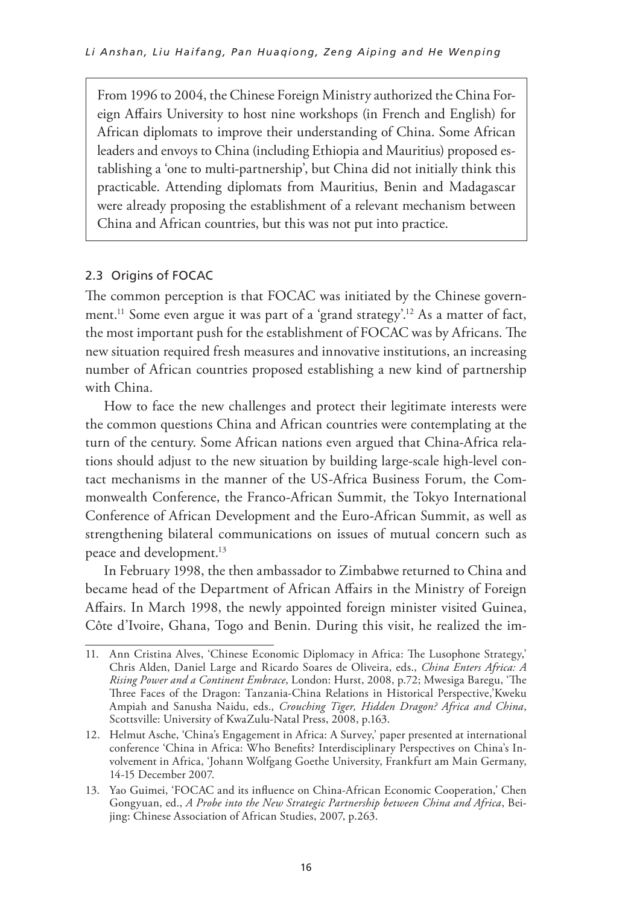From 1996 to 2004, the Chinese Foreign Ministry authorized the China Foreign Affairs University to host nine workshops (in French and English) for African diplomats to improve their understanding of China. Some African leaders and envoys to China (including Ethiopia and Mauritius) proposed establishing a 'one to multi-partnership', but China did not initially think this practicable. Attending diplomats from Mauritius, Benin and Madagascar were already proposing the establishment of a relevant mechanism between China and African countries, but this was not put into practice.

### 2.3 Origins of FOCAC

The common perception is that FOCAC was initiated by the Chinese government.<sup>11</sup> Some even argue it was part of a 'grand strategy'.<sup>12</sup> As a matter of fact, the most important push for the establishment of FOCAC was by Africans. The new situation required fresh measures and innovative institutions, an increasing number of African countries proposed establishing a new kind of partnership with China.

How to face the new challenges and protect their legitimate interests were the common questions China and African countries were contemplating at the turn of the century. Some African nations even argued that China-Africa relations should adjust to the new situation by building large-scale high-level contact mechanisms in the manner of the US-Africa Business Forum, the Commonwealth Conference, the Franco-African Summit, the Tokyo International Conference of African Development and the Euro-African Summit, as well as strengthening bilateral communications on issues of mutual concern such as peace and development.<sup>13</sup>

In February 1998, the then ambassador to Zimbabwe returned to China and became head of the Department of African Affairs in the Ministry of Foreign Affairs. In March 1998, the newly appointed foreign minister visited Guinea, Côte d'Ivoire, Ghana, Togo and Benin. During this visit, he realized the im-

<sup>11.</sup> Ann Cristina Alves, 'Chinese Economic Diplomacy in Africa: The Lusophone Strategy,' Chris Alden, Daniel Large and Ricardo Soares de Oliveira, eds., *China Enters Africa: A Rising Power and a Continent Embrace*, London: Hurst, 2008, p.72; Mwesiga Baregu, 'The Three Faces of the Dragon: Tanzania-China Relations in Historical Perspective,'Kweku Ampiah and Sanusha Naidu, eds., *Crouching Tiger, Hidden Dragon? Africa and China*, Scottsville: University of KwaZulu-Natal Press, 2008, p.163.

<sup>12.</sup> Helmut Asche, 'China's Engagement in Africa: A Survey,' paper presented at international conference 'China in Africa: Who Benefits? Interdisciplinary Perspectives on China's Involvement in Africa, 'Johann Wolfgang Goethe University, Frankfurt am Main Germany, 14-15 December 2007.

<sup>13.</sup> Yao Guimei, 'FOCAC and its influence on China-African Economic Cooperation,' Chen Gongyuan, ed., *A Probe into the New Strategic Partnership between China and Africa*, Beijing: Chinese Association of African Studies, 2007, p.263.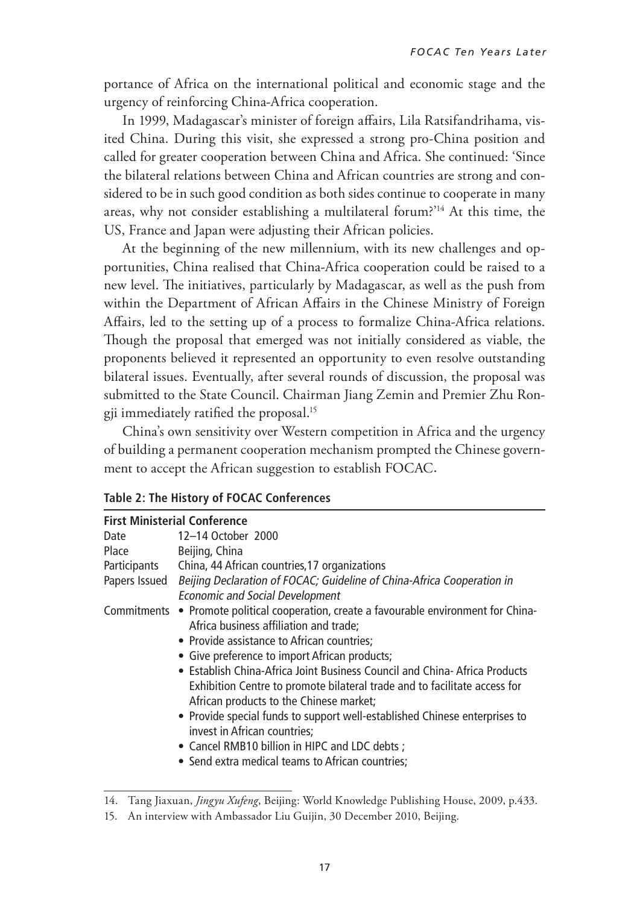portance of Africa on the international political and economic stage and the urgency of reinforcing China-Africa cooperation.

In 1999, Madagascar's minister of foreign affairs, Lila Ratsifandrihama, visited China. During this visit, she expressed a strong pro-China position and called for greater cooperation between China and Africa. She continued: 'Since the bilateral relations between China and African countries are strong and considered to be in such good condition as both sides continue to cooperate in many areas, why not consider establishing a multilateral forum?'14 At this time, the US, France and Japan were adjusting their African policies.

At the beginning of the new millennium, with its new challenges and opportunities, China realised that China-Africa cooperation could be raised to a new level. The initiatives, particularly by Madagascar, as well as the push from within the Department of African Affairs in the Chinese Ministry of Foreign Affairs, led to the setting up of a process to formalize China-Africa relations. Though the proposal that emerged was not initially considered as viable, the proponents believed it represented an opportunity to even resolve outstanding bilateral issues. Eventually, after several rounds of discussion, the proposal was submitted to the State Council. Chairman Jiang Zemin and Premier Zhu Rongji immediately ratified the proposal.15

China's own sensitivity over Western competition in Africa and the urgency of building a permanent cooperation mechanism prompted the Chinese government to accept the African suggestion to establish FOCAC.

#### **Table 2: The History of FOCAC Conferences**

|               | <b>First Ministerial Conference</b>                                         |
|---------------|-----------------------------------------------------------------------------|
| Date          | 12-14 October 2000                                                          |
| Place         | Beijing, China                                                              |
| Participants  | China, 44 African countries, 17 organizations                               |
| Papers Issued | Beijing Declaration of FOCAC; Guideline of China-Africa Cooperation in      |
|               | <b>Economic and Social Development</b>                                      |
| Commitments   | • Promote political cooperation, create a favourable environment for China- |
|               | Africa business affiliation and trade;                                      |
|               | • Provide assistance to African countries;                                  |
|               | • Give preference to import African products;                               |
|               | • Establish China-Africa Joint Business Council and China-Africa Products   |
|               | Exhibition Centre to promote bilateral trade and to facilitate access for   |
|               | African products to the Chinese market;                                     |
|               | • Provide special funds to support well-established Chinese enterprises to  |
|               | invest in African countries;                                                |
|               | • Cancel RMB10 billion in HIPC and LDC debts;                               |
|               | • Send extra medical teams to African countries;                            |

<sup>14.</sup> Tang Jiaxuan, *Jingyu Xufeng*, Beijing: World Knowledge Publishing House, 2009, p.433.

<sup>15.</sup> An interview with Ambassador Liu Guijin, 30 December 2010, Beijing.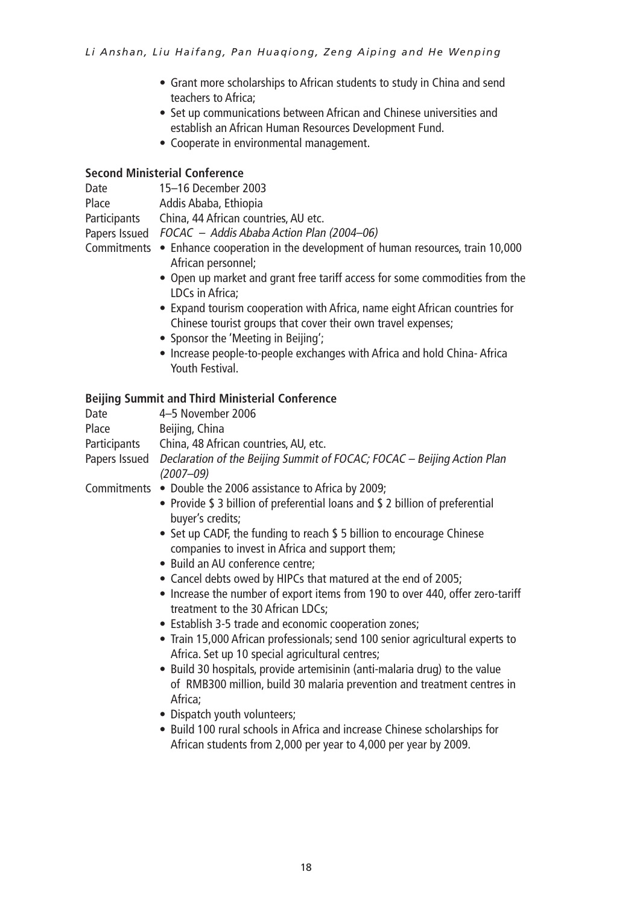- Grant more scholarships to African students to study in China and send teachers to Africa;
- Set up communications between African and Chinese universities and establish an African Human Resources Development Fund.
- • Cooperate in environmental management.

#### **Second Ministerial Conference**

| Date         | 15–16 December 2003                                                                   |
|--------------|---------------------------------------------------------------------------------------|
| Place        | Addis Ababa, Ethiopia                                                                 |
| Participants | China, 44 African countries, AU etc.                                                  |
|              | Papers Issued FOCAC – Addis Ababa Action Plan (2004–06)                               |
|              | Commitments ● Enhance cooperation in the development of human resources, train 10,000 |
|              | African personnel;                                                                    |

- Open up market and grant free tariff access for some commodities from the LDCs in Africa;
- Expand tourism cooperation with Africa, name eight African countries for Chinese tourist groups that cover their own travel expenses;
- Sponsor the 'Meeting in Beijing';
- Increase people-to-people exchanges with Africa and hold China- Africa Youth Festival.

### **Beijing Summit and Third Ministerial Conference**

| Date          | 4-5 November 2006                                                                                                                                                |
|---------------|------------------------------------------------------------------------------------------------------------------------------------------------------------------|
| Place         | Beijing, China                                                                                                                                                   |
| Participants  | China, 48 African countries, AU, etc.                                                                                                                            |
| Papers Issued | Declaration of the Beijing Summit of FOCAC; FOCAC - Beijing Action Plan<br>$(2007 - 09)$                                                                         |
|               | Commitments • Double the 2006 assistance to Africa by 2009;                                                                                                      |
|               | • Provide \$ 3 billion of preferential loans and \$ 2 billion of preferential<br>buyer's credits;                                                                |
|               | • Set up CADF, the funding to reach \$ 5 billion to encourage Chinese<br>companies to invest in Africa and support them;                                         |
|               | • Build an AU conference centre:                                                                                                                                 |
|               | • Cancel debts owed by HIPCs that matured at the end of 2005;                                                                                                    |
|               | • Increase the number of export items from 190 to over 440, offer zero-tariff<br>treatment to the 30 African LDCs;                                               |
|               | • Establish 3-5 trade and economic cooperation zones;                                                                                                            |
|               | • Train 15,000 African professionals; send 100 senior agricultural experts to<br>Africa. Set up 10 special agricultural centres;                                 |
|               | • Build 30 hospitals, provide artemisinin (anti-malaria drug) to the value<br>of RMB300 million, build 30 malaria prevention and treatment centres in<br>Africa; |
|               | • Dispatch youth volunteers;                                                                                                                                     |
|               |                                                                                                                                                                  |

• Build 100 rural schools in Africa and increase Chinese scholarships for African students from 2,000 per year to 4,000 per year by 2009.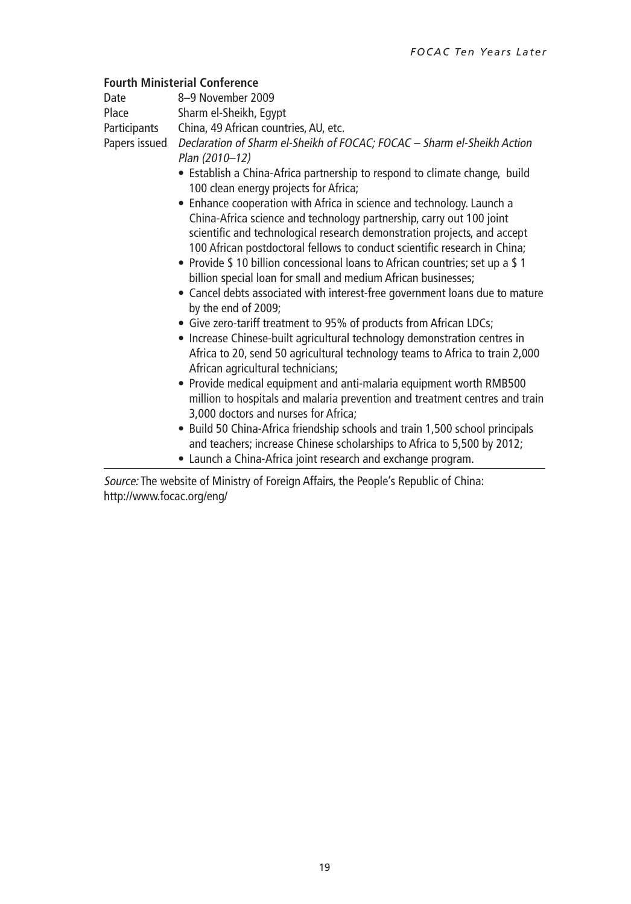#### **Fourth Ministerial Conference**

Date 8–9 November 2009

Place Sharm el-Sheikh, Egypt

Participants China, 49 African countries, AU, etc.

Papers issued Declaration of Sharm el-Sheikh of FOCAC; FOCAC – Sharm el-Sheikh Action Plan (2010–12)

- Establish a China-Africa partnership to respond to climate change, build 100 clean energy projects for Africa;
- Enhance cooperation with Africa in science and technology. Launch a China-Africa science and technology partnership, carry out 100 joint scientific and technological research demonstration projects, and accept 100 African postdoctoral fellows to conduct scientific research in China;
- Provide \$10 billion concessional loans to African countries: set up a \$1 billion special loan for small and medium African businesses;
- Cancel debts associated with interest-free government loans due to mature by the end of 2009;
- Give zero-tariff treatment to 95% of products from African LDCs;
- Increase Chinese-built agricultural technology demonstration centres in Africa to 20, send 50 agricultural technology teams to Africa to train 2,000 African agricultural technicians;
- Provide medical equipment and anti-malaria equipment worth RMB500 million to hospitals and malaria prevention and treatment centres and train 3,000 doctors and nurses for Africa;
- Build 50 China-Africa friendship schools and train 1,500 school principals and teachers; increase Chinese scholarships to Africa to 5,500 by 2012;
- Launch a China-Africa joint research and exchange program.

Source: The website of Ministry of Foreign Affairs, the People's Republic of China: http://www.focac.org/eng/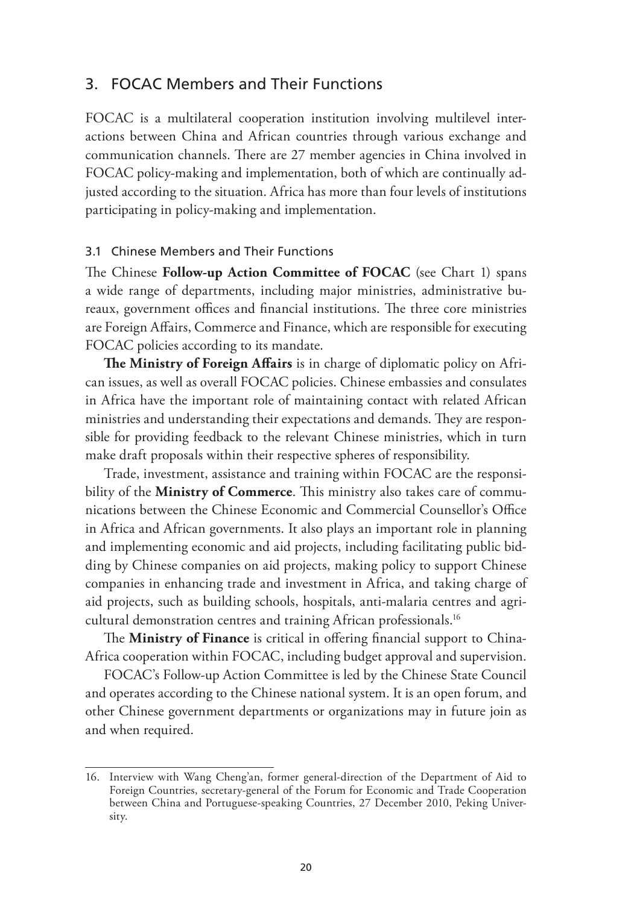### 3. FOCAC Members and Their Functions

FOCAC is a multilateral cooperation institution involving multilevel interactions between China and African countries through various exchange and communication channels. There are 27 member agencies in China involved in FOCAC policy-making and implementation, both of which are continually adjusted according to the situation. Africa has more than four levels of institutions participating in policy-making and implementation.

#### 3.1 Chinese Members and Their Functions

The Chinese **Follow-up Action Committee of FOCAC** (see Chart 1) spans a wide range of departments, including major ministries, administrative bureaux, government offices and financial institutions. The three core ministries are Foreign Affairs, Commerce and Finance, which are responsible for executing FOCAC policies according to its mandate.

**The Ministry of Foreign Affairs** is in charge of diplomatic policy on African issues, as well as overall FOCAC policies. Chinese embassies and consulates in Africa have the important role of maintaining contact with related African ministries and understanding their expectations and demands. They are responsible for providing feedback to the relevant Chinese ministries, which in turn make draft proposals within their respective spheres of responsibility.

Trade, investment, assistance and training within FOCAC are the responsibility of the **Ministry of Commerce**. This ministry also takes care of communications between the Chinese Economic and Commercial Counsellor's Office in Africa and African governments. It also plays an important role in planning and implementing economic and aid projects, including facilitating public bidding by Chinese companies on aid projects, making policy to support Chinese companies in enhancing trade and investment in Africa, and taking charge of aid projects, such as building schools, hospitals, anti-malaria centres and agricultural demonstration centres and training African professionals.16

The **Ministry of Finance** is critical in offering financial support to China-Africa cooperation within FOCAC, including budget approval and supervision.

FOCAC's Follow-up Action Committee is led by the Chinese State Council and operates according to the Chinese national system. It is an open forum, and other Chinese government departments or organizations may in future join as and when required.

<sup>16.</sup> Interview with Wang Cheng'an, former general-direction of the Department of Aid to Foreign Countries, secretary-general of the Forum for Economic and Trade Cooperation between China and Portuguese-speaking Countries, 27 December 2010, Peking University.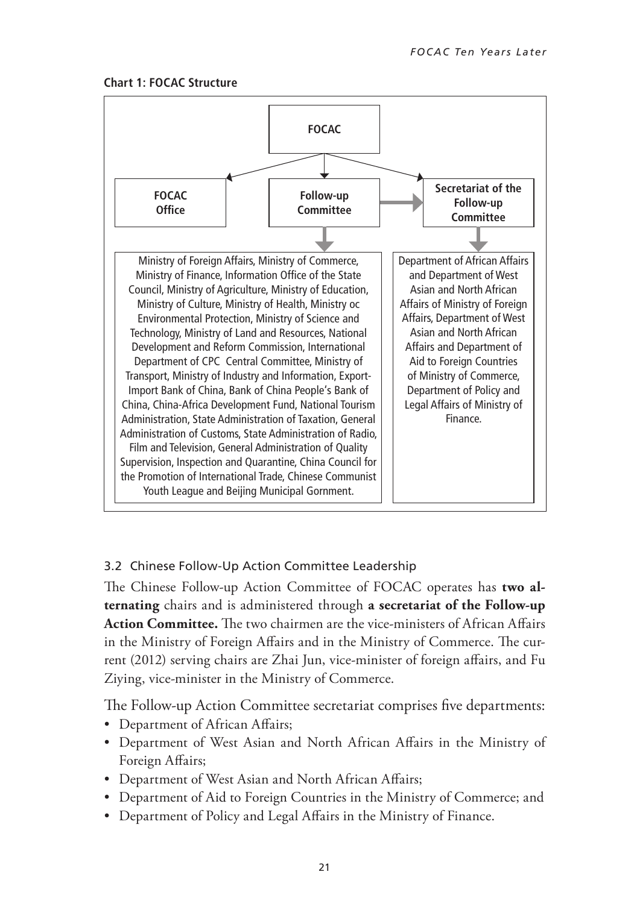



### 3.2 Chinese Follow-Up Action Committee Leadership

The Chinese Follow-up Action Committee of FOCAC operates has **two alternating** chairs and is administered through **a secretariat of the Follow-up Action Committee.** The two chairmen are the vice-ministers of African Affairs in the Ministry of Foreign Affairs and in the Ministry of Commerce. The current (2012) serving chairs are Zhai Jun, vice-minister of foreign affairs, and Fu Ziying, vice-minister in the Ministry of Commerce.

The Follow-up Action Committee secretariat comprises five departments:

- Department of African Affairs;
- • Department of West Asian and North African Affairs in the Ministry of Foreign Affairs;
- Department of West Asian and North African Affairs;
- Department of Aid to Foreign Countries in the Ministry of Commerce; and
- Department of Policy and Legal Affairs in the Ministry of Finance.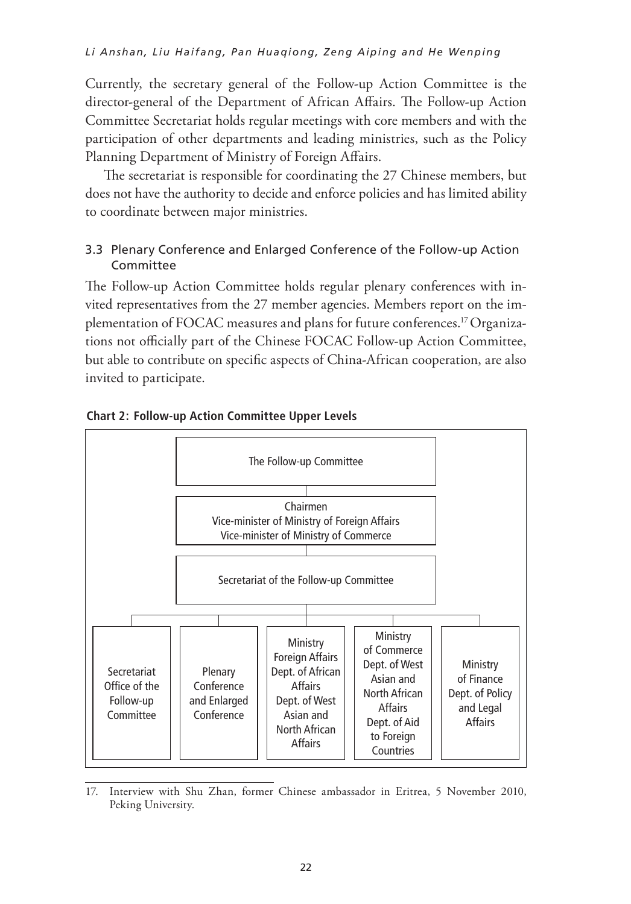Currently, the secretary general of the Follow-up Action Committee is the director-general of the Department of African Affairs. The Follow-up Action Committee Secretariat holds regular meetings with core members and with the participation of other departments and leading ministries, such as the Policy Planning Department of Ministry of Foreign Affairs.

The secretariat is responsible for coordinating the 27 Chinese members, but does not have the authority to decide and enforce policies and has limited ability to coordinate between major ministries.

### 3.3 Plenary Conference and Enlarged Conference of the Follow-up Action Committee

The Follow-up Action Committee holds regular plenary conferences with invited representatives from the 27 member agencies. Members report on the implementation of FOCAC measures and plans for future conferences.17 Organizations not officially part of the Chinese FOCAC Follow-up Action Committee, but able to contribute on specific aspects of China-African cooperation, are also invited to participate.





<sup>17.</sup> Interview with Shu Zhan, former Chinese ambassador in Eritrea, 5 November 2010, Peking University.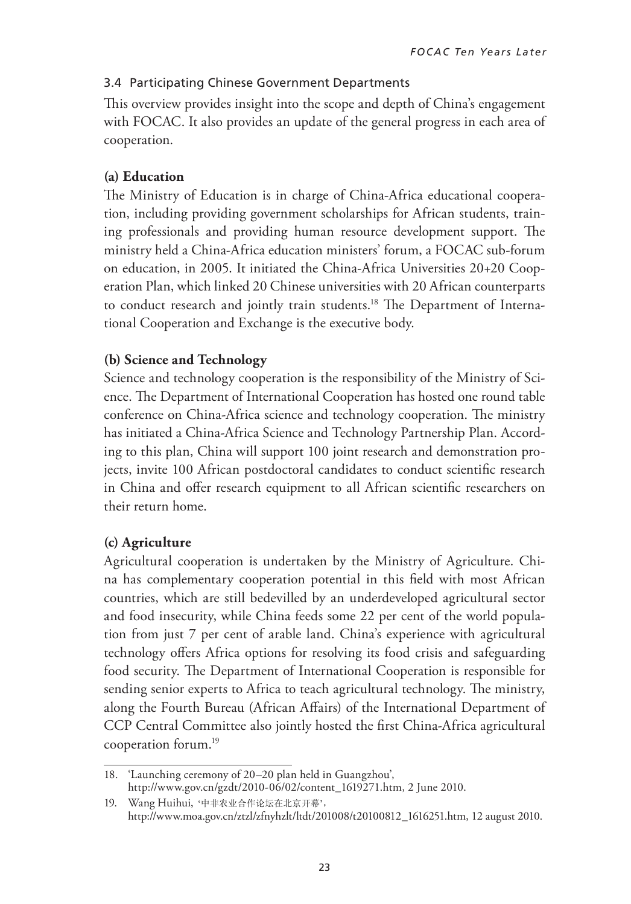### 3.4 Participating Chinese Government Departments

This overview provides insight into the scope and depth of China's engagement with FOCAC. It also provides an update of the general progress in each area of cooperation.

### **(a) Education**

The Ministry of Education is in charge of China-Africa educational cooperation, including providing government scholarships for African students, training professionals and providing human resource development support. The ministry held a China-Africa education ministers' forum, a FOCAC sub-forum on education, in 2005. It initiated the China-Africa Universities 20+20 Cooperation Plan, which linked 20 Chinese universities with 20 African counterparts to conduct research and jointly train students.<sup>18</sup> The Department of International Cooperation and Exchange is the executive body. theoretical direction act research and jointly train students. The Department of hi

## (b) Science and Technology

(c) Science and technology cooperation is the responsibility of the Ministry of Science. The Department of International Cooperation has hosted one round table conference on China-Africa science and technology cooperation. The ministry has initiated a China-Africa Science and Technology Partnership Plan. Accord-**(d) Health** ing to this plan, China will support 100 joint research and demonstration projects, invite 100 African postdoctoral candidates to conduct scientific research in China and offer research equipment to all African scientific researchers on their return home. and technology cooperation is the responsibility of the Ministry  $\epsilon$ ministery invites a function of African health of African health of the China to China to China to China to the China to China to China to China to China to China to China to China to China to China to China to China to Ch  $\mu$ m nome.

### (c) Agriculture

Agricultural cooperation is undertaken by the Ministry of Agriculture. Chi<mark>-</mark> na has complementary cooperation potential in this field with most African countries, which are still bedevilled by an underdeveloped agricultural sector and food insecurity, while China feeds some 22 per cent of the world population from just 7 per cent of arable land. China's experience with agricultural technology offers Africa options for resolving its food crisis and safeguarding food security. The Department of International Cooperation is responsible for sending senior experts to Africa to teach agricultural technology. The ministry, along the Fourth Bureau (African Affairs) of the International Department of CCP Central Committee also jointly hosted the first China-Africa agricultural cooperation forum.<sup>19</sup>  $\frac{1}{2}$  focus programmes in different Chinese comparison control  $\frac{1}{2}$ 

<sup>18. &#</sup>x27;Launching ceremony of 20–20 plan held in Guangzhou', http://www.gov.cn/gzdt/2010-06/02/content\_1619271.htm, 2 June 2010.

<sup>111</sup>p.//www.gov.cn/gzdt/2010-00/02/conten<br>19. Wang Huihui, '中非农业合作论坛在北京开幕', http://www.moa.gov.cn/ztzl/zfnyhzlt/ltdt/201008/t20100812\_1616251.htm, 12 august 2010. http://www.moa.gov.cn/ztzl/zfnyhzlt/ltdt/201008/t20100812\_1616251.htm, 12 August 2010.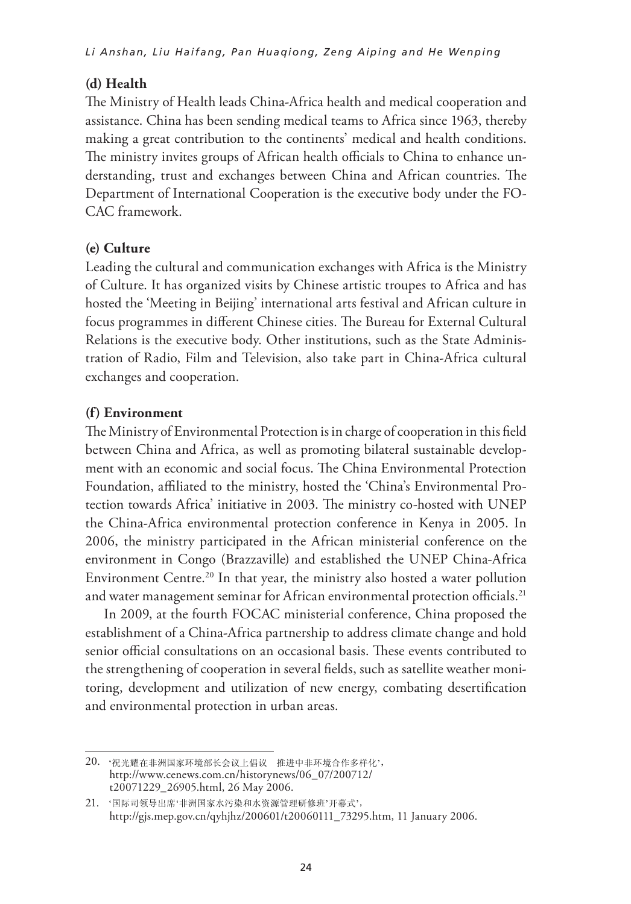### **(d) Health**

The Ministry of Health leads China-Africa health and medical cooperation and assistance. China has been sending medical teams to Africa since 1963, thereby making a great contribution to the continents' medical and health conditions. The ministry invites groups of African health officials to China to enhance understanding, trust and exchanges between China and African countries. The Department of International Cooperation is the executive body under the FO-CAC framework. framework.  $\frac{1}{2}$  and  $\frac{1}{2}$  the China-Africa environmental protection conference in  $\frac{1}{2}$  conference in  $\frac{1}{2}$  conference in  $\frac{1}{2}$  conference in  $\frac{1}{2}$  conference in  $\frac{1}{2}$  conference in  $\frac{1}{2}$  conference

#### **(e) Culture** China-Africa Environment Centre. conference on the environment in Congo (Brazzaville) and established the UNEP of UNEP of UNEP of UNEP or UNEP o

Leading the cultural and communication exchanges with Africa is the Ministry of Culture. It has organized visits by Chinese artistic troupes to Africa and has hosted the 'Meeting in Beijing' international arts festival and African culture in focus programmes in different Chinese cities. The Bureau for External Cultural Relations is the executive body. Other institutions, such as the State Administration of Radio, Film and Television, also take part in China-Africa cultural exchanges and cooperation. ng the cultural and communication exchanges with Africa is the programmes in anterest connect enters. The bareau for External ilture. It has orga programmes in different Chinese cities. The Bureau for External  $\frac{1}{2}$  bishment of a China-Africa partnership to address climate change and hold change and hold change and hold change and hold change and hold change and hold change and hold change and hold change and hold change an sensions is the executive body. Other momentum, such as the state to

## **If Inter-party communication between China and African contribution between China and African contribution**

The Ministry of Environmental Protection is in charge of cooperation in this field between China and Africa, as well as promoting bilateral sustainable development with an economic and social focus. The China Environmental Protection Foundation, affiliated to the ministry, hosted the 'China's Environmental Protection towards Africa' initiative in 2003. The ministry co-hosted with UNEP the China-Africa environmental protection conference in Kenya in 2005. In 2006, the ministry participated in the African ministerial conference on the environment in Congo (Brazzaville) and established the UNEP China-Africa Environment Centre.<sup>20</sup> In that year, the ministry also hosted a water pollution and water management seminar for African environmental protection officials.<sup>21</sup> for China-and Thirty as well as promoting onated wordinable Thina-Tritta Chvitoninchial protection contenent in Kenya in .  $\sum_{i=1}^{n}$ en China and Africa, as well as promoting bilateral sustainable. department sometimes organizes activities with other ministries, for instance, the with an economic and social focus. The china-Environmental  $\Gamma$ **(h) Mass Media**  $\tau$  the infinstry participated in the Affican infinistenal conference onment Centre  $^{20}$  In that year, the ministry also hosted a water 1 They also enhanced Chinese media influence in Africa to challenge false are management semma ror rintean environmental protection of

In 2009, at the fourth FOCAC ministerial conference, China proposed the establishment of a China-Africa partnership to address climate change and hold senior official consultations on an occasional basis. These events contributed to the strengthening of cooperation in several fields, such as satellite weather monitoring, development and utilization of new energy, combating desertification and environmental protection in urban areas. ometal consultations on an occasional basis. These events contri International and China TV, have increased the number of stations increased the number of stations in the number of stations in the number of stations in the number of stations in the number of stations in the number of st t official consultations on an occasional basis. These events contr news conference on 15 July 2009 with information officials, mainstream media rchguiching or cooperation in several neius, such as satemic weath nvironmental protection in urban areas.  $\frac{1}{2}$ 

Africa following the establishment of FOCAC, and have active exchanges with

<sup>20.</sup>  20 '祝光耀在非洲国家环境部长会议上倡议 推进中非环境合作多样化',  $h_{\text{H}} = 2.64 \times 10^{14} \text{ K}$  and  $\lambda$  central  $\lambda$  may  $\lambda$  may  $\lambda$  may  $\lambda$  may  $\lambda$  may  $\lambda$  may  $\lambda$  may  $\lambda$  may  $\lambda$  may  $\lambda$  may  $\lambda$  may  $\lambda$  may  $\lambda$  may  $\lambda$  may be  $\lambda$  may be  $\lambda$  may be  $\lambda$  may be  $\lambda$  may t20071229\_26905.html, 26 May 2006.

<sup>21. &#</sup>x27;国际司领导出席'非洲国家水污染和水资源管理研修班'开幕式',<br>- http://www.cn/GB/96617775.html ,ntml,15 July 2006. 2007.html ,15 July 2006. http://gjs.mep.gov.cn/qyhjhz/200601/t20060111\_73295.htm, 11 January 2006.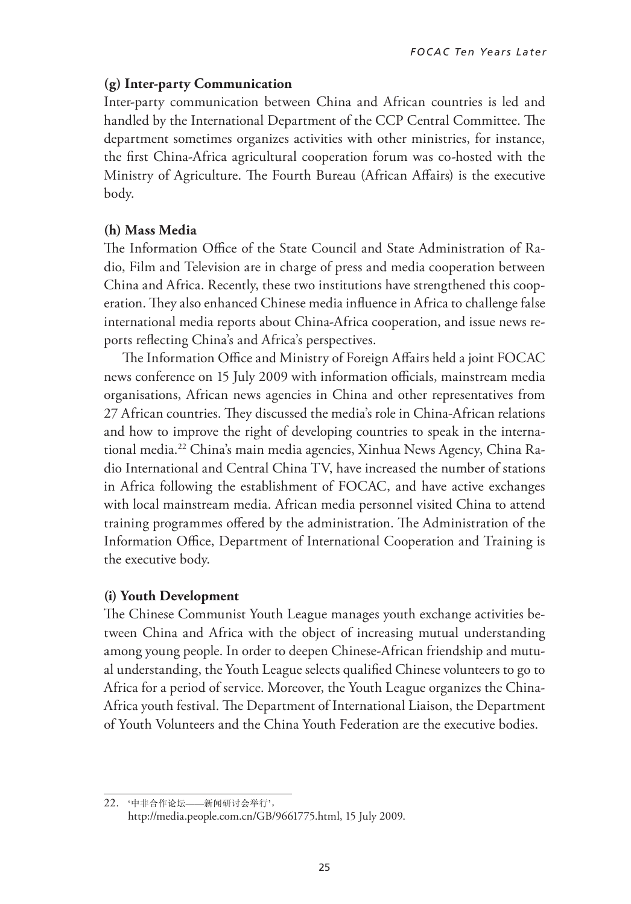### **(g) Inter-party Communication**

Inter-party communication between China and African countries is led and handled by the International Department of the CCP Central Committee. The department sometimes organizes activities with other ministries, for instance, the first China-Africa agricultural cooperation forum was co-hosted with the Ministry of Agriculture. The Fourth Bureau (African Affairs) is the executive body.

## (h) Mass Media

(ii) Mass Media<br>The Information Office of the State Council and State Administration of Radio, Film and Television are in charge of press and media cooperation between China and Africa. Recently, these two institutions have strengthened this cooperation. They also enhanced Chinese media influence in Africa to challenge false international media reports about China-Africa cooperation, and issue news reports reflecting China's and Africa's perspectives. mormation Omce of the state Council and state Administratio establishment of a China-Africa partnership to a China-Africa conditional partnership to a change and hold and hold

The Information Office and Ministry of Foreign Affairs held a joint FOCAC news conference on 15 July 2009 with information officials, mainstream media organisations, African news agencies in China and other representatives from 27 African countries. They discussed the media's role in China-African relations and how to improve the right of developing countries to speak in the international media.<sup>22</sup> China's main media agencies, Xinhua News Agency, China Radio International and Central China TV, have increased the number of stations in Africa following the establishment of FOCAC, and have active exchanges with local mainstream media. African media personnel visited China to attend training programmes offered by the administration. The Administration of the Information Office, Department of International Cooperation and Training is the executive body. department in sometimes organizes activities with other ministers and ministers with other ministers.  $\frac{1}{\sqrt{2}}$ 

### **(i) Youth Development**

The Chinese Communist Youth League manages youth exchange activities between China and Africa with the object of increasing mutual understanding among young people. In order to deepen Chinese-African friendship and mutual understanding, the Youth League selects qualified Chinese volunteers to go to Africa for a period of service. Moreover, the Youth League organizes the China-Africa youth festival. The Department of International Liaison, the Department of Youth Volunteers and the China Youth Federation are the executive bodies. news and think with the object of increasing mutual under  $\frac{2}{3}$  China's media and  $\frac{2}{3}$  China's media and  $\frac{2}{3}$  China Radio Radio Radio Radio Radio Radio Radio Radio Radio Radio Radio Radio Radio Radio Radio Radio Radio Radio Radio Radio Radio Radio Radio Radio Radio

<sup>22. &</sup>quot;中非合作论坛——新闻研讨会举行', http://media.people.com.cn/GB/9661775.html, 15 July 2009. 2009.http://gymental.com/distribute.com/distribute.com/distribute.com/distribute.com/distribute.com/distribute.com/<br>http://gymental.com/distribute.com/distribute.com/distribute.com/distribute.com/distribute.com/distribute.com/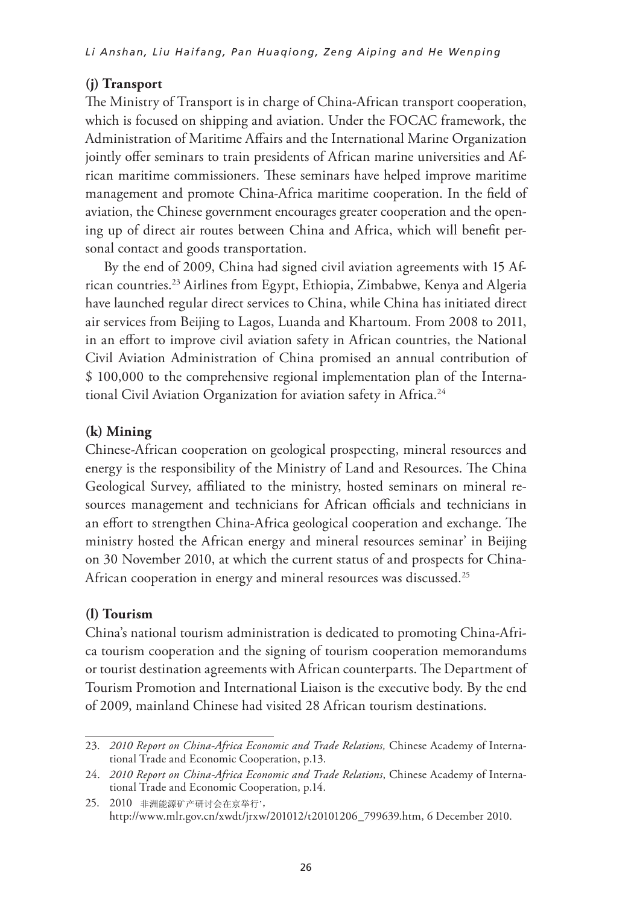### **(j) Transport**

The Ministry of Transport is in charge of China-African transport cooperation, which is focused on shipping and aviation. Under the FOCAC framework, the Administration of Maritime Affairs and the International Marine Organization jointly offer seminars to train presidents of African marine universities and African maritime commissioners. These seminars have helped improve maritime management and promote China-Africa maritime cooperation. In the field of aviation, the Chinese government encourages greater cooperation and the opening up of direct air routes between China and Africa, which will benefit personal contact and goods transportation. 30 november 2010, and provided the current status of and provided provided provided provided provided provided

By the end of 2009, China had signed civil aviation agreements with 15 African countries.<sup>23</sup> Airlines from Egypt, Ethiopia, Zimbabwe, Kenya and Algeria have launched regular direct services to China, while China has initiated direct air services from Beijing to Lagos, Luanda and Khartoum. From 2008 to 2011, in an effort to improve civil aviation safety in African countries, the National Civil Aviation Administration of China promised an annual contribution of  $$100,000$  to the comprehensive regional implementation plan of the International Civil Aviation Organization for aviation safety in Africa.<sup>24</sup>  $\alpha$ unifies. Triffies from Egypt, Limopia, Zimbabwe, Kenya and  $\mathcal{O}$  and the growing relations with Africa. These use existing and  $\mathcal{O}$ 

### **implemental and multiplement cooperations** bilateral and multiplement cooperation. The multiplement cooperation  $\mathbf{r}$  and  $\mathbf{r}$  and  $\mathbf{r}$  and  $\mathbf{r}$  and  $\mathbf{r}$  and  $\mathbf{r}$  and  $\mathbf{r}$  and  $\mathbf{r}$  and  $\mathbf{$

Chinese-African cooperation on geological prospecting, mineral resources and energy is the responsibility of the Ministry of Land and Resources. The China Geological Survey, affiliated to the ministry, hosted seminars on mineral resources management and technicians for African officials and technicians in an effort to strengthen China-Africa geological cooperation and exchange. The ministry hosted the African energy and mineral resources seminar' in Beijing on 30 November 2010, at which the current status of and prospects for China-African cooperation in energy and mineral resources was discussed.<sup>25</sup> I survey, amilated to the ministry, nosted seminars on min rosted the African energy and immeral resources seminal in (b) The **National Development and Reform Commission** creates an

#### **(l) Tourism**  $\mathbf{m}$

China's national tourism administration is dedicated to promoting China-Africa tourism cooperation and the signing of tourism cooperation memorandums or tourist destination agreements with African counterparts. The Department of Tourism Promotion and International Liaison is the executive body. By the end of 2009, mainland Chinese had visited 28 African tourism destinations.

<sup>23. 2010</sup> Report on China-Africa Economic and Trade Relations, Chinese Academy of International Trade and Economic Cooperation, p.13. exemption group to decide a number of issues, including the list of tariffice a number of tariffice a number o

<sup>24. 2010</sup> Report on China-Africa Economic and Trade Relations, Chinese Academy of International Trade and Economic Cooperation, p.14.

cional riade and Economic Cooper http://www.mlr.gov.cn/xwdt/jrxw/201012/t20101206\_799639.htm, 6 December 2010. http://www.mlr.gov.cn/xwdt/jrxw/201012/t20101206\_799639.htm,6 December 2010.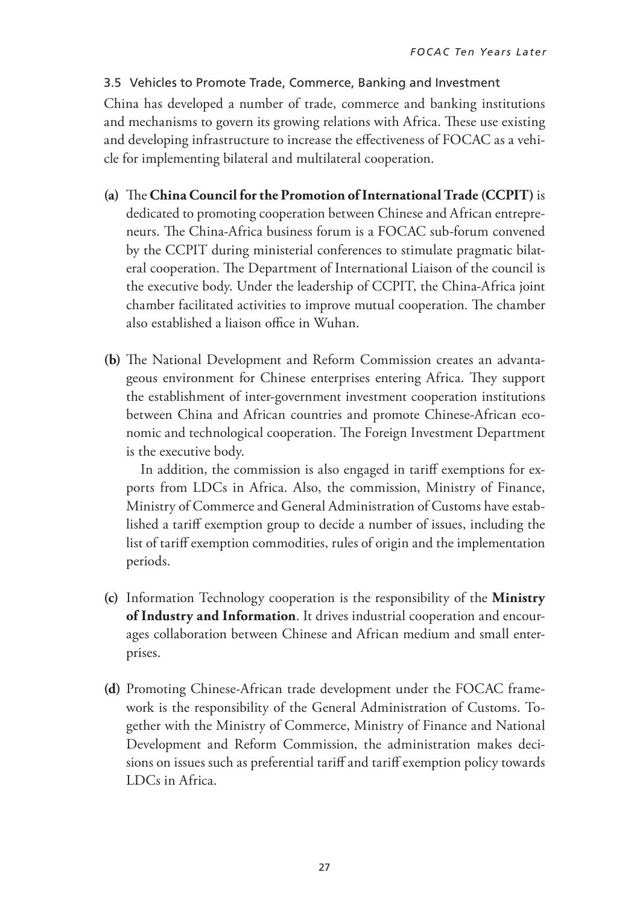### 3.5 Vehicles to Promote Trade, Commerce, Banking and Investment

China has developed a number of trade, commerce and banking institutions and mechanisms to govern its growing relations with Africa. These use existing and developing infrastructure to increase the effectiveness of FOCAC as a vehicle for implementing bilateral and multilateral cooperation.

- **(a)** The **China Council for the Promotion of International Trade (CCPIT)** is dedicated to promoting cooperation between Chinese and African entrepreneurs. The China-Africa business forum is a FOCAC sub-forum convened by the CCPIT during ministerial conferences to stimulate pragmatic bilateral cooperation. The Department of International Liaison of the council is the executive body. Under the leadership of CCPIT, the China-Africa joint chamber facilitated activities to improve mutual cooperation. The chamber also established a liaison office in Wuhan.
- **(b)** The National Development and Reform Commission creates an advantageous environment for Chinese enterprises entering Africa. They support the establishment of inter-government investment cooperation institutions between China and African countries and promote Chinese-African economic and technological cooperation. The Foreign Investment Department is the executive body.

 In addition, the commission is also engaged in tariff exemptions for exports from LDCs in Africa. Also, the commission, Ministry of Finance, Ministry of Commerce and General Administration of Customs have established a tariff exemption group to decide a number of issues, including the list of tariff exemption commodities, rules of origin and the implementation periods.

- **(c)** Information Technology cooperation is the responsibility of the **Ministry of Industry and Information**. It drives industrial cooperation and encourages collaboration between Chinese and African medium and small enterprises.
- **(d)** Promoting Chinese-African trade development under the FOCAC framework is the responsibility of the General Administration of Customs. Together with the Ministry of Commerce, Ministry of Finance and National Development and Reform Commission, the administration makes decisions on issues such as preferential tariff and tariff exemption policy towards LDCs in Africa.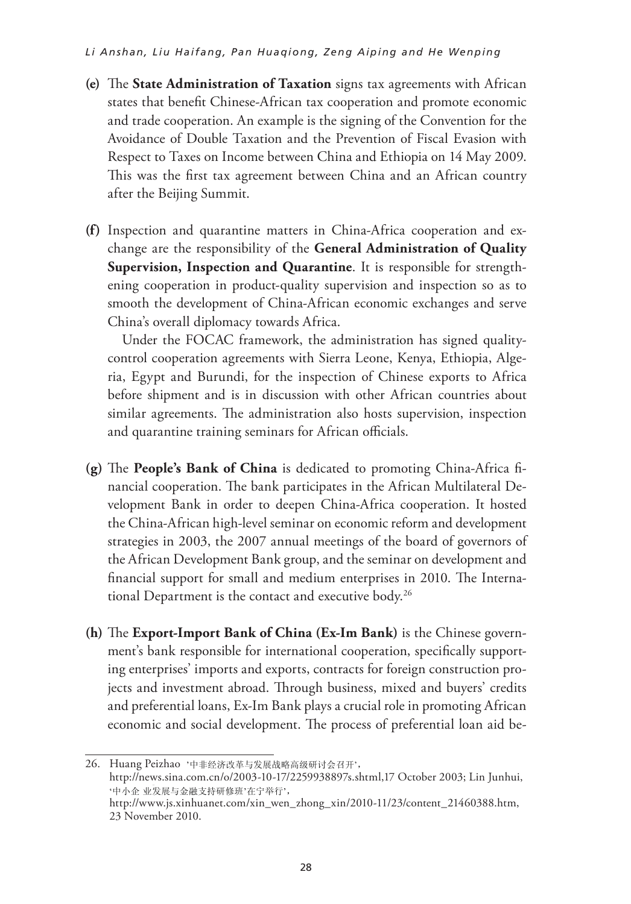#### *Li Anshan, Liu Haifang, Pan Huaqiong, Zeng Aiping and He Wenping*

- **(e)** The **State Administration of Taxation** signs tax agreements with African states that benefit Chinese-African tax cooperation and promote economic and trade cooperation. An example is the signing of the Convention for the Avoidance of Double Taxation and the Prevention of Fiscal Evasion with Respect to Taxes on Income between China and Ethiopia on 14 May 2009. This was the first tax agreement between China and an African country after the Beijing Summit. **Industry and Information.** It drives industrial cooperation and encourages **Industry and Information.** It drives industrial cooperation and encourages collaboration between Chinese and African medium and small enterprises.
- (f) Inspection and quarantine matters in China-Africa cooperation and exchange are the responsibility of the **General Administration of Quality Supervision, Inspection and Quarantine**. It is responsible for strengthening cooperation in product-quality supervision and inspection so as to smooth the development of China-African economic exchanges and serve China's overall diplomacy towards Africa. are the responsionity of the **General National National Structure** (d) Promoting Chinese-African trade development under the FOCAC framework is the responsibility of the **General Administration of Customs.** Together  $S$ upery of  $C$ on issues such as preferential tariff and tariff exemption policy towards the responsibility of the **General Administration of Qualit** with the Ministry of Commerce,  $M$ **b**, **inspection and Quarantine**. It is responsible for strength (e) The **State Administration of Taxation** signs tax agreements with African

Under the FOCAC framework, the administration has signed qualitycontrol cooperation agreements with Sierra Leone, Kenya, Ethiopia, Algeria, Egypt and Burundi, for the inspection of Chinese exports to Africa before shipment and is in discussion with other African countries about similar agreements. The administration also hosts supervision, inspection and quarantine training seminars for African officials. ype and Burding, for the inspection of Chinese exports to (e) The **State Administration of Taxation** signs tax agreements with African and trade cooperation. An example is the signing of the Convention for the  $\overline{\mathcal{L}}$  $\text{degree}$  $\epsilon$  focac framework, the administration has signed quality nd Burundi for the inspection of Chinese exports to Afric  $R = \begin{pmatrix} 1 & 1 & 1 \\ 1 & 1 & 1 \end{pmatrix}$ The first and is the discussion with other African countries about

(f) Inspection and quarantine matters in China-Africa cooperation and exchange

- (g) The People's Bank of China is dedicated to promoting China-Africa financial cooperation. The bank participates in the African Multilateral Development Bank in order to deepen China-Africa cooperation. It hosted the China-African high-level seminar on economic reform and development strategies in 2003, the 2007 annual meetings of the board of governors of the African Development Bank group, and the seminar on development and financial support for small and medium enterprises in 2010. The International Department is the contact and executive body.<sup>26</sup> our bank in order to deep al support for sinal and inculum citief prises in 2010. The fi (f) Inspection and quarantine matters in China-Africa cooperation and exchange cooperation in product-quality supervision and inspection so as to smooth the  $\frac{\text{top}}{\text{max}}$  $\theta$  focach framework, the administration has significant  $\theta$  $\overline{c}$  $\frac{1}{2}$  inspection of  $\frac{1}{2}$  inspection of  $\frac{1}{2}$ are the responsibility of the **General Administration of Quality s dank of Unina** is dedicated to promoting Unina-Affica i dank in order to deepen China-Africa cooperation. It hoster anger for emall and madium optograpiese in  $2010$ . The Internet and is in discussion with other African countries and agreements.
- (h) The **Export-Import Bank of China** (Ex-Im Bank) is the Chinese government's bank responsible for international cooperation, specifically supporting enterprises' imports and exports, contracts for foreign construction projects and investment abroad. Through business, mixed and buyers' credits ,<br>and preferential loans, Ex-Im Bank plays a crucial role in promoting African economic and social development. The process of preferential loan aid be- $A$  and  $B$  are set of  $B$  and  $B$  and  $B$  and  $B$  are  $B$  and  $B$  and  $B$  are seminar  $B$  and  $B$  $m$  **People's** Bank of Proposition  $\frac{1}{2}$  iects at the China-African high-level seminar on  $\mathcal{A}$ and pro African Development Bank group, and the seminar on development and (g) The **People's Bank of China** is dedicated to promoting China-Africa responsible for international cooperation, specifically support tial loans. Ex Im Bank plays a crucial role in promoting African  $\mathcal{A}$  and  $\mathcal{A}$  are the seminar group, and the seminar on development and the seminar on development and  $\mathcal{A}$ ful social development. The process of preferential foail and be

<sup>26.</sup> Huang Peizhao 26 Huang Peizhao,'中非经济改革与发展战略高级研讨会召开', 26 Huang Peizhao,'中非经济改革与发展战略高级研讨会召开', http://news.sina.com.cn/o/2003-10-17/2259938897s.shtml,17 October 2003; Lin Junhui, http://www.js.xinhuanet.com/xin\_wen\_zhong\_xin/2010-11/23/content\_21460388.htm, 23 November 2010. 2010. 2010.业发展与金融支持研修班'在宁举行', 业发展与金融支持研修班'在宁举行', http://news.sina.com/o/2003-10-17/22599393897s.shtml,27 October 2003; Lin Junhui,  $123$  November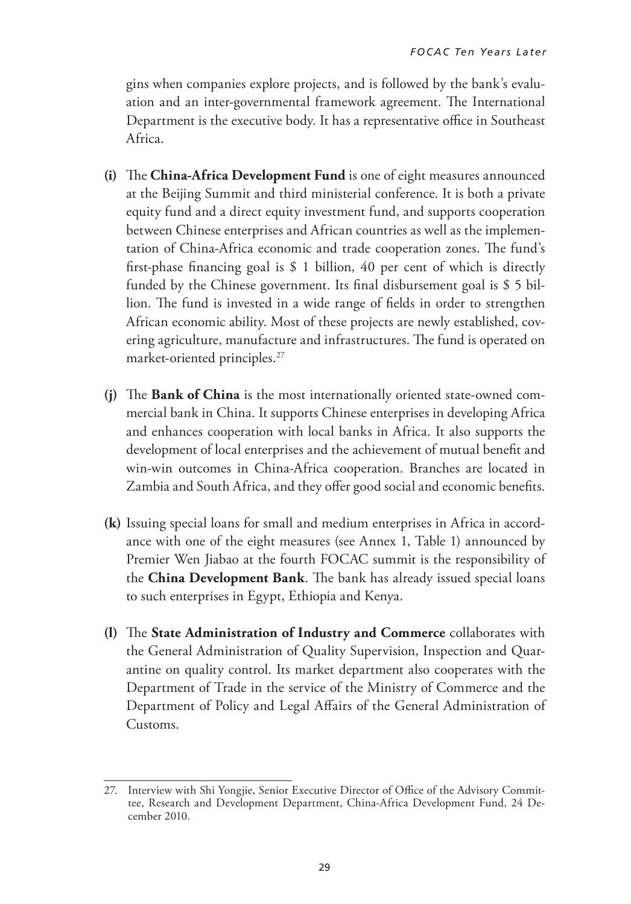gins when companies explore projects, and is followed by the bank's evaluation and an inter-governmental framework agreement. The International Department is the executive body. It has a representative office in Southeast Africa.

- **(i)** The **China-Africa Development Fund** is one of eight measures announced at the Beijing Summit and third ministerial conference. It is both a private equity fund and a direct equity investment fund, and supports cooperation between Chinese enterprises and African countries as well as the implementation of China-Africa economic and trade cooperation zones. The fund's first-phase financing goal is \$ 1 billion, 40 per cent of which is directly funded by the Chinese government. Its final disbursement goal is \$ 5 billion. The fund is invested in a wide range of fields in order to strengthen African economic ability. Most of these projects are newly established, covering agriculture, manufacture and infrastructures. The fund is operated on market-oriented principles.27
- **(j)** The **Bank of China** is the most internationally oriented state-owned commercial bank in China. It supports Chinese enterprises in developing Africa and enhances cooperation with local banks in Africa. It also supports the development of local enterprises and the achievement of mutual benefit and win-win outcomes in China-Africa cooperation. Branches are located in Zambia and South Africa, and they offer good social and economic benefits.
- **(k)** Issuing special loans for small and medium enterprises in Africa in accordance with one of the eight measures (see Annex 1, Table 1) announced by Premier Wen Jiabao at the fourth FOCAC summit is the responsibility of the **China Development Bank**. The bank has already issued special loans to such enterprises in Egypt, Ethiopia and Kenya.
- **(l)** The **State Administration of Industry and Commerce** collaborates with the General Administration of Quality Supervision, Inspection and Quarantine on quality control. Its market department also cooperates with the Department of Trade in the service of the Ministry of Commerce and the Department of Policy and Legal Affairs of the General Administration of Customs.

<sup>27.</sup> Interview with Shi Yongjie, Senior Executive Director of Office of the Advisory Committee, Research and Development Department, China-Africa Development Fund, 24 December 2010.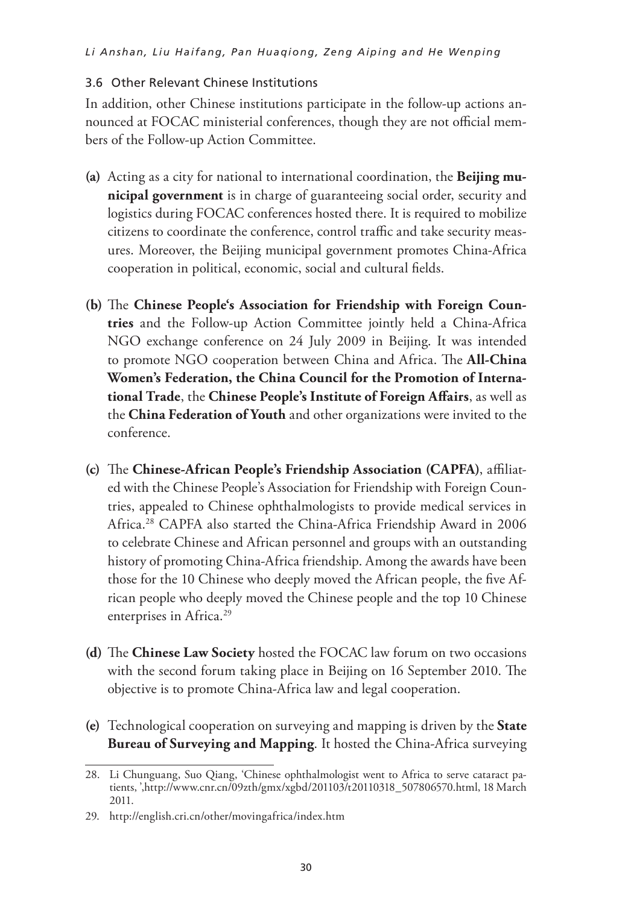### 3.6 Other Relevant Chinese Institutions

In addition, other Chinese institutions participate in the follow-up actions announced at FOCAC ministerial conferences, though they are not official members of the Follow-up Action Committee.

- **(a)** Acting as a city for national to international coordination, the **Beijing municipal government** is in charge of guaranteeing social order, security and logistics during FOCAC conferences hosted there. It is required to mobilize citizens to coordinate the conference, control traffic and take security measures. Moreover, the Beijing municipal government promotes China-Africa cooperation in political, economic, social and cultural fields.
- **(b)** The **Chinese People's Association for Friendship with Foreign Countries** and the Follow-up Action Committee jointly held a China-Africa NGO exchange conference on 24 July 2009 in Beijing. It was intended to promote NGO cooperation between China and Africa. The **All-China Women's Federation, the China Council for the Promotion of International Trade**, the **Chinese People's Institute of Foreign Affairs**, as well as the **China Federation of Youth** and other organizations were invited to the conference.
- **(c)** The **Chinese-African People's Friendship Association (CAPFA)**, affiliated with the Chinese People's Association for Friendship with Foreign Countries, appealed to Chinese ophthalmologists to provide medical services in Africa.28 CAPFA also started the China-Africa Friendship Award in 2006 to celebrate Chinese and African personnel and groups with an outstanding history of promoting China-Africa friendship. Among the awards have been those for the 10 Chinese who deeply moved the African people, the five African people who deeply moved the Chinese people and the top 10 Chinese enterprises in Africa.<sup>29</sup>
- **(d)** The **Chinese Law Society** hosted the FOCAC law forum on two occasions with the second forum taking place in Beijing on 16 September 2010. The objective is to promote China-Africa law and legal cooperation.
- **(e)** Technological cooperation on surveying and mapping is driven by the **State Bureau of Surveying and Mapping**. It hosted the China-Africa surveying

<sup>28.</sup> Li Chunguang, Suo Qiang, 'Chinese ophthalmologist went to Africa to serve cataract patients, ',http://www.cnr.cn/09zth/gmx/xgbd/201103/t20110318\_507806570.html, 18 March 2011.

<sup>29.</sup> http://english.cri.cn/other/movingafrica/index.htm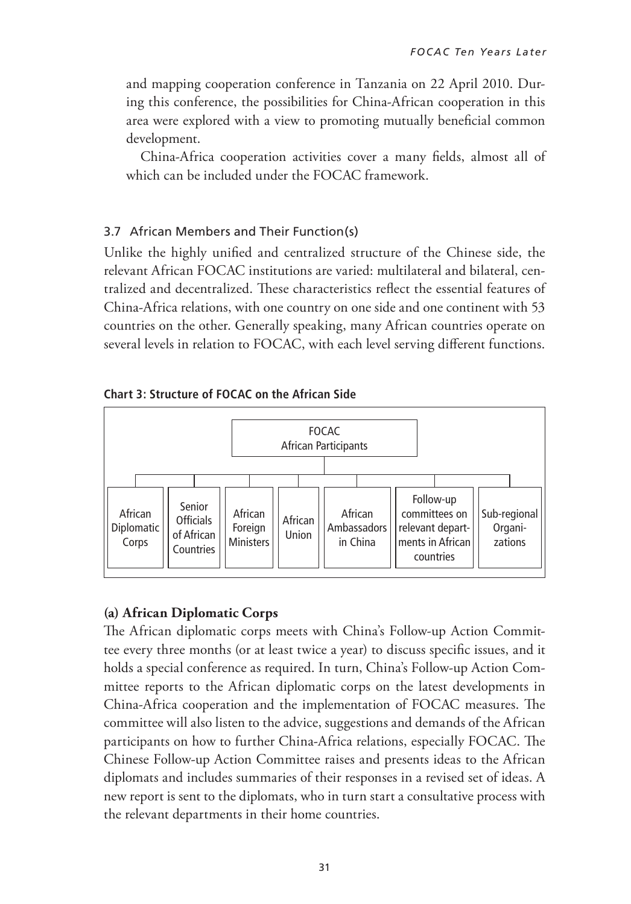and mapping cooperation conference in Tanzania on 22 April 2010. During this conference, the possibilities for China-African cooperation in this area were explored with a view to promoting mutually beneficial common development.

 China-Africa cooperation activities cover a many fields, almost all of which can be included under the FOCAC framework.

### 3.7 African Members and Their Function(s)

Unlike the highly unified and centralized structure of the Chinese side, the relevant African FOCAC institutions are varied: multilateral and bilateral, centralized and decentralized. These characteristics reflect the essential features of China-Africa relations, with one country on one side and one continent with 53 countries on the other. Generally speaking, many African countries operate on several levels in relation to FOCAC, with each level serving different functions.





### **(a) African Diplomatic Corps**

The African diplomatic corps meets with China's Follow-up Action Committee every three months (or at least twice a year) to discuss specific issues, and it holds a special conference as required. In turn, China's Follow-up Action Committee reports to the African diplomatic corps on the latest developments in China-Africa cooperation and the implementation of FOCAC measures. The committee will also listen to the advice, suggestions and demands of the African participants on how to further China-Africa relations, especially FOCAC. The Chinese Follow-up Action Committee raises and presents ideas to the African diplomats and includes summaries of their responses in a revised set of ideas. A new report is sent to the diplomats, who in turn start a consultative process with the relevant departments in their home countries.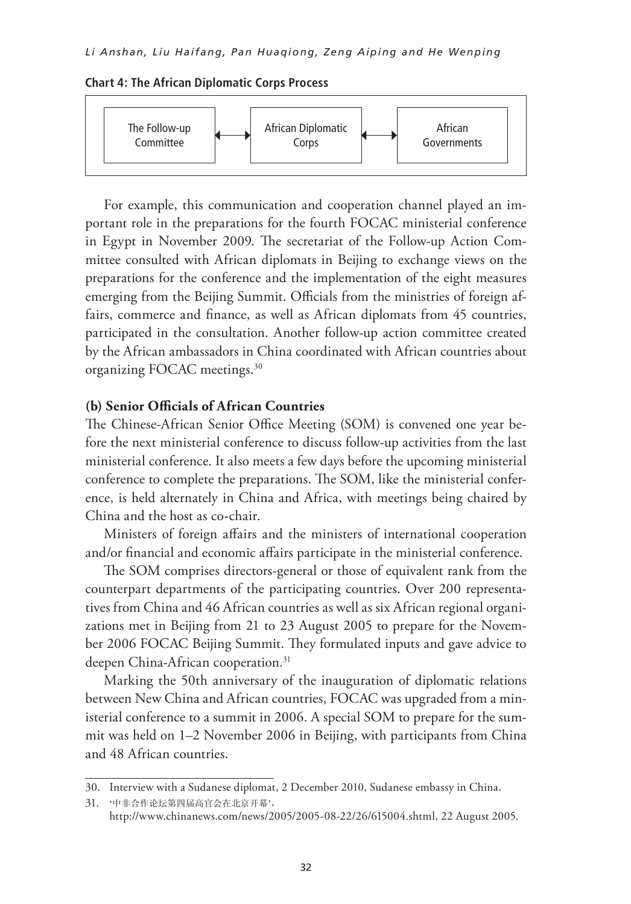#### **Chart 4: The African Diplomatic Corps Process**



For example, this communication and cooperation channel played an important role in the preparations for the fourth FOCAC ministerial conference in Egypt in November 2009. The secretariat of the Follow-up Action Committee consulted with African diplomats in Beijing to exchange views on the preparations for the conference and the implementation of the eight measures emerging from the Beijing Summit. Officials from the ministries of foreign affairs, commerce and finance, as well as African diplomats from 45 countries, participated in the consultation. Another follow-up action committee created by the African ambassadors in China coordinated with African countries about **(b) Senior Officials of African Countries** organizing FOCAC meetings.30 For example, this communication and cooperation change

#### (b) Senior Officials of African Countries Senior Omerals of African Countries

The Chinese-African Senior Office Meeting (SOM) is convened one year before the next ministerial conference to discuss follow-up activities from the last ministerial conference. It also meets a few days before the upcoming ministerial conference to complete the preparations. The SOM, like the ministerial conference, is held alternately in China and Africa, with meetings being chaired by China and the host as co-chair.

Ministers of foreign affairs and the ministers of international cooperation and/or financial and economic affairs participate in the ministerial conference. remisters of foreign attains and the ministers of international cou

The SOM comprises directors-general or those of equivalent rank from the counterpart departments of the participating countries. Over 200 representatives from China and 46 African countries as well as six African regional organizations met in Beijing from 21 to 23 August 2005 to prepare for the November 2006 FOCAC Beijing Summit. They formulated inputs and gave advice to deepen China-African cooperation.<sup>31</sup> mei part departments conference to a summit in  $\frac{1}{2}$  or the summit was held summit was held summit was held to prepare for the summit was held to prepare for the summit was held to prepare for the summit was held to prepare for the summit

Marking the 50th anniversary of the inauguration of diplomatic relations between New China and African countries, FOCAC was upgraded from a ministerial conference to a summit in 2006. A special SOM to prepare for the summit was held on 1–2 November 2006 in Beijing, with participants from China and 48 African countries.

<sup>30.</sup> Interview with a Sudanese diplomat, 2 December 2010, Sudanese embassy in China.

<sup>31.</sup>  <sup>31</sup> '中非合作论坛第四届高官会在北京开幕', http://www.chinanews.com/news/2005/2005-08-22/26/615004.shtml, 22 August 2005. http://www.chinanews.com/news/2005/2005-08-22/26/615004.shtml,22 August 2005.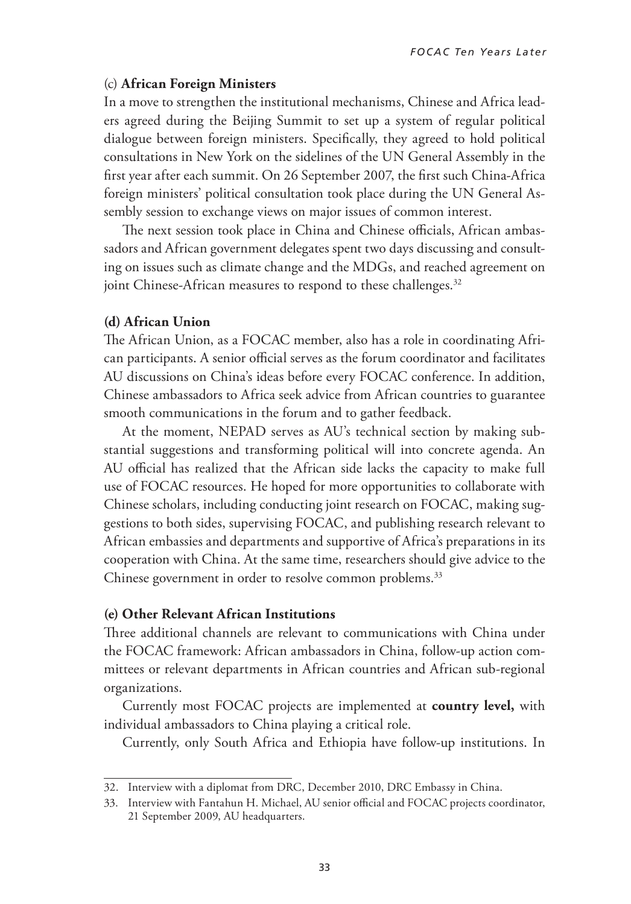#### (c) **African Foreign Ministers**

In a move to strengthen the institutional mechanisms, Chinese and Africa leaders agreed during the Beijing Summit to set up a system of regular political dialogue between foreign ministers. Specifically, they agreed to hold political consultations in New York on the sidelines of the UN General Assembly in the first year after each summit. On 26 September 2007, the first such China-Africa foreign ministers' political consultation took place during the UN General Assembly session to exchange views on major issues of common interest.

The next session took place in China and Chinese officials, African ambassadors and African government delegates spent two days discussing and consulting on issues such as climate change and the MDGs, and reached agreement on joint Chinese-African measures to respond to these challenges.<sup>32</sup>

#### **(d) African Union**

The African Union, as a FOCAC member, also has a role in coordinating African participants. A senior official serves as the forum coordinator and facilitates AU discussions on China's ideas before every FOCAC conference. In addition, Chinese ambassadors to Africa seek advice from African countries to guarantee smooth communications in the forum and to gather feedback.

At the moment, NEPAD serves as AU's technical section by making substantial suggestions and transforming political will into concrete agenda. An AU official has realized that the African side lacks the capacity to make full use of FOCAC resources. He hoped for more opportunities to collaborate with Chinese scholars, including conducting joint research on FOCAC, making suggestions to both sides, supervising FOCAC, and publishing research relevant to African embassies and departments and supportive of Africa's preparations in its cooperation with China. At the same time, researchers should give advice to the Chinese government in order to resolve common problems.<sup>33</sup>

#### **(e) Other Relevant African Institutions**

Three additional channels are relevant to communications with China under the FOCAC framework: African ambassadors in China, follow-up action committees or relevant departments in African countries and African sub-regional organizations.

Currently most FOCAC projects are implemented at **country level,** with individual ambassadors to China playing a critical role.

Currently, only South Africa and Ethiopia have follow-up institutions. In

<sup>32.</sup> Interview with a diplomat from DRC, December 2010, DRC Embassy in China.

<sup>33.</sup> Interview with Fantahun H. Michael, AU senior official and FOCAC projects coordinator, 21 September 2009, AU headquarters.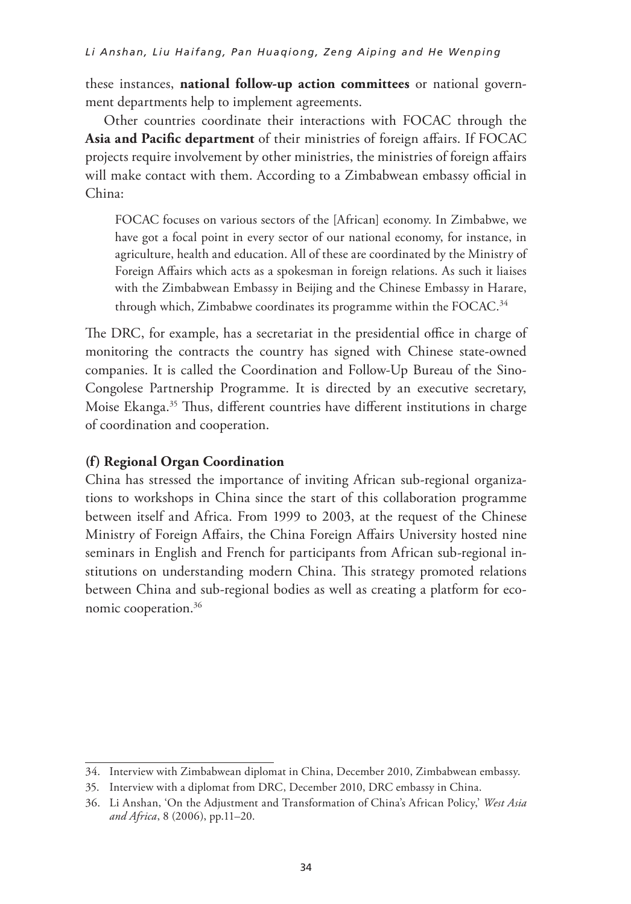these instances, **national follow-up action committees** or national government departments help to implement agreements.

Other countries coordinate their interactions with FOCAC through the **Asia and Pacific department** of their ministries of foreign affairs. If FOCAC projects require involvement by other ministries, the ministries of foreign affairs will make contact with them. According to a Zimbabwean embassy official in China:

FOCAC focuses on various sectors of the [African] economy. In Zimbabwe, we have got a focal point in every sector of our national economy, for instance, in agriculture, health and education. All of these are coordinated by the Ministry of Foreign Affairs which acts as a spokesman in foreign relations. As such it liaises with the Zimbabwean Embassy in Beijing and the Chinese Embassy in Harare, through which, Zimbabwe coordinates its programme within the FOCAC.<sup>34</sup>

The DRC, for example, has a secretariat in the presidential office in charge of monitoring the contracts the country has signed with Chinese state-owned companies. It is called the Coordination and Follow-Up Bureau of the Sino-Congolese Partnership Programme. It is directed by an executive secretary, Moise Ekanga.<sup>35</sup> Thus, different countries have different institutions in charge of coordination and cooperation.

### **(f) Regional Organ Coordination**

China has stressed the importance of inviting African sub-regional organizations to workshops in China since the start of this collaboration programme between itself and Africa. From 1999 to 2003, at the request of the Chinese Ministry of Foreign Affairs, the China Foreign Affairs University hosted nine seminars in English and French for participants from African sub-regional institutions on understanding modern China. This strategy promoted relations between China and sub-regional bodies as well as creating a platform for economic cooperation.36

<sup>34.</sup> Interview with Zimbabwean diplomat in China, December 2010, Zimbabwean embassy.

<sup>35.</sup> Interview with a diplomat from DRC, December 2010, DRC embassy in China.

<sup>36.</sup> Li Anshan, 'On the Adjustment and Transformation of China's African Policy,' *West Asia and Africa*, 8 (2006), pp.11–20.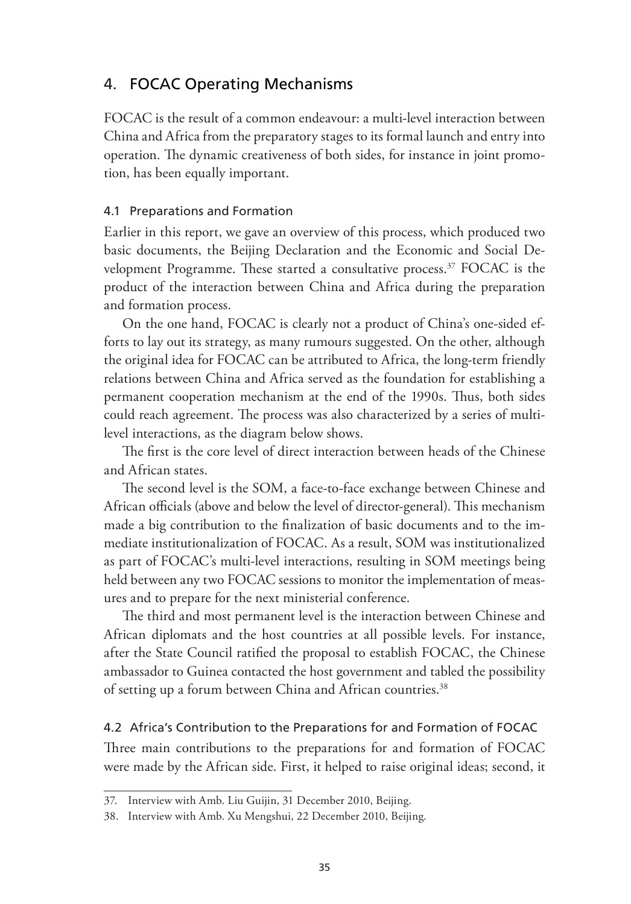## 4. FOCAC Operating Mechanisms

FOCAC is the result of a common endeavour: a multi-level interaction between China and Africa from the preparatory stages to its formal launch and entry into operation. The dynamic creativeness of both sides, for instance in joint promotion, has been equally important.

### 4.1 Preparations and Formation

Earlier in this report, we gave an overview of this process, which produced two basic documents, the Beijing Declaration and the Economic and Social Development Programme. These started a consultative process.<sup>37</sup> FOCAC is the product of the interaction between China and Africa during the preparation and formation process.

On the one hand, FOCAC is clearly not a product of China's one-sided efforts to lay out its strategy, as many rumours suggested. On the other, although the original idea for FOCAC can be attributed to Africa, the long-term friendly relations between China and Africa served as the foundation for establishing a permanent cooperation mechanism at the end of the 1990s. Thus, both sides could reach agreement. The process was also characterized by a series of multilevel interactions, as the diagram below shows.

The first is the core level of direct interaction between heads of the Chinese and African states.

The second level is the SOM, a face-to-face exchange between Chinese and African officials (above and below the level of director-general). This mechanism made a big contribution to the finalization of basic documents and to the immediate institutionalization of FOCAC. As a result, SOM was institutionalized as part of FOCAC's multi-level interactions, resulting in SOM meetings being held between any two FOCAC sessions to monitor the implementation of measures and to prepare for the next ministerial conference.

The third and most permanent level is the interaction between Chinese and African diplomats and the host countries at all possible levels. For instance, after the State Council ratified the proposal to establish FOCAC, the Chinese ambassador to Guinea contacted the host government and tabled the possibility of setting up a forum between China and African countries.<sup>38</sup>

#### 4.2 Africa's Contribution to the Preparations for and Formation of FOCAC

Three main contributions to the preparations for and formation of FOCAC were made by the African side. First, it helped to raise original ideas; second, it

<sup>37.</sup> Interview with Amb. Liu Guijin, 31 December 2010, Beijing.

<sup>38.</sup> Interview with Amb. Xu Mengshui, 22 December 2010, Beijing.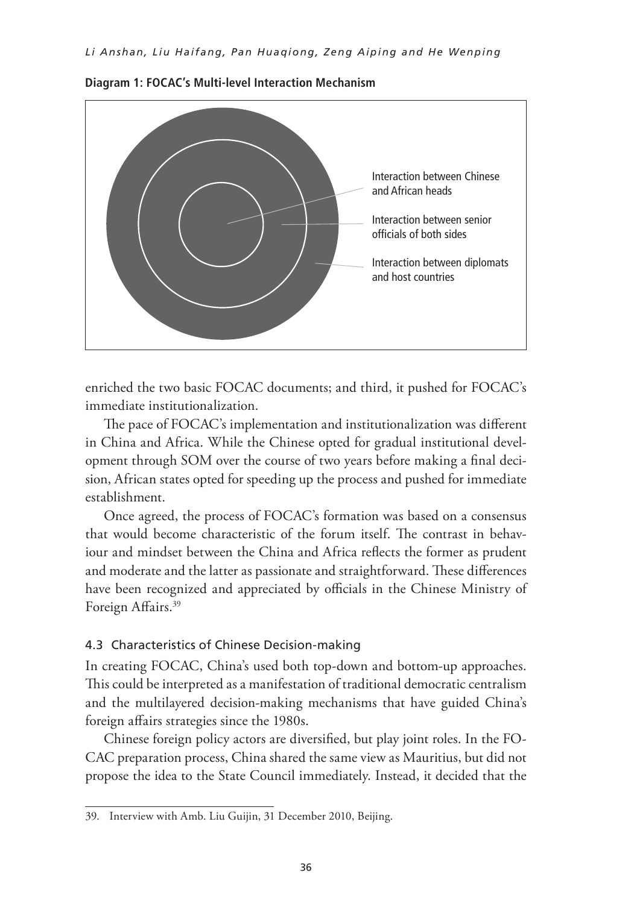

**Diagram 1: FOCAC's Multi-level Interaction Mechanism**

enriched the two basic FOCAC documents; and third, it pushed for FOCAC's immediate institutionalization.

The pace of FOCAC's implementation and institutionalization was different in China and Africa. While the Chinese opted for gradual institutional development through SOM over the course of two years before making a final decision, African states opted for speeding up the process and pushed for immediate establishment.

Once agreed, the process of FOCAC's formation was based on a consensus that would become characteristic of the forum itself. The contrast in behaviour and mindset between the China and Africa reflects the former as prudent and moderate and the latter as passionate and straightforward. These differences have been recognized and appreciated by officials in the Chinese Ministry of Foreign Affairs.<sup>39</sup>

#### 4.3 Characteristics of Chinese Decision-making

In creating FOCAC, China's used both top-down and bottom-up approaches. This could be interpreted as a manifestation of traditional democratic centralism and the multilayered decision-making mechanisms that have guided China's foreign affairs strategies since the 1980s.

Chinese foreign policy actors are diversified, but play joint roles. In the FO-CAC preparation process, China shared the same view as Mauritius, but did not propose the idea to the State Council immediately. Instead, it decided that the

<sup>39.</sup> Interview with Amb. Liu Guijin, 31 December 2010, Beijing.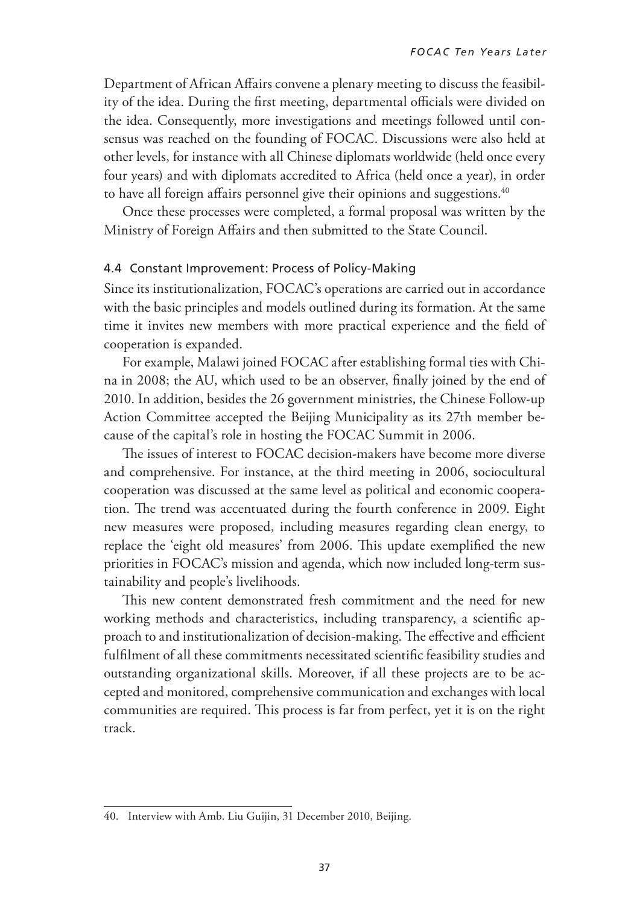Department of African Affairs convene a plenary meeting to discuss the feasibility of the idea. During the first meeting, departmental officials were divided on the idea. Consequently, more investigations and meetings followed until consensus was reached on the founding of FOCAC. Discussions were also held at other levels, for instance with all Chinese diplomats worldwide (held once every four years) and with diplomats accredited to Africa (held once a year), in order to have all foreign affairs personnel give their opinions and suggestions.<sup>40</sup>

Once these processes were completed, a formal proposal was written by the Ministry of Foreign Affairs and then submitted to the State Council.

#### 4.4 Constant Improvement: Process of Policy-Making

Since its institutionalization, FOCAC's operations are carried out in accordance with the basic principles and models outlined during its formation. At the same time it invites new members with more practical experience and the field of cooperation is expanded.

For example, Malawi joined FOCAC after establishing formal ties with China in 2008; the AU, which used to be an observer, finally joined by the end of 2010. In addition, besides the 26 government ministries, the Chinese Follow-up Action Committee accepted the Beijing Municipality as its 27th member because of the capital's role in hosting the FOCAC Summit in 2006.

The issues of interest to FOCAC decision-makers have become more diverse and comprehensive. For instance, at the third meeting in 2006, sociocultural cooperation was discussed at the same level as political and economic cooperation. The trend was accentuated during the fourth conference in 2009. Eight new measures were proposed, including measures regarding clean energy, to replace the 'eight old measures' from 2006. This update exemplified the new priorities in FOCAC's mission and agenda, which now included long-term sustainability and people's livelihoods.

This new content demonstrated fresh commitment and the need for new working methods and characteristics, including transparency, a scientific approach to and institutionalization of decision-making. The effective and efficient fulfilment of all these commitments necessitated scientific feasibility studies and outstanding organizational skills. Moreover, if all these projects are to be accepted and monitored, comprehensive communication and exchanges with local communities are required. This process is far from perfect, yet it is on the right track.

<sup>40.</sup> Interview with Amb. Liu Guijin, 31 December 2010, Beijing.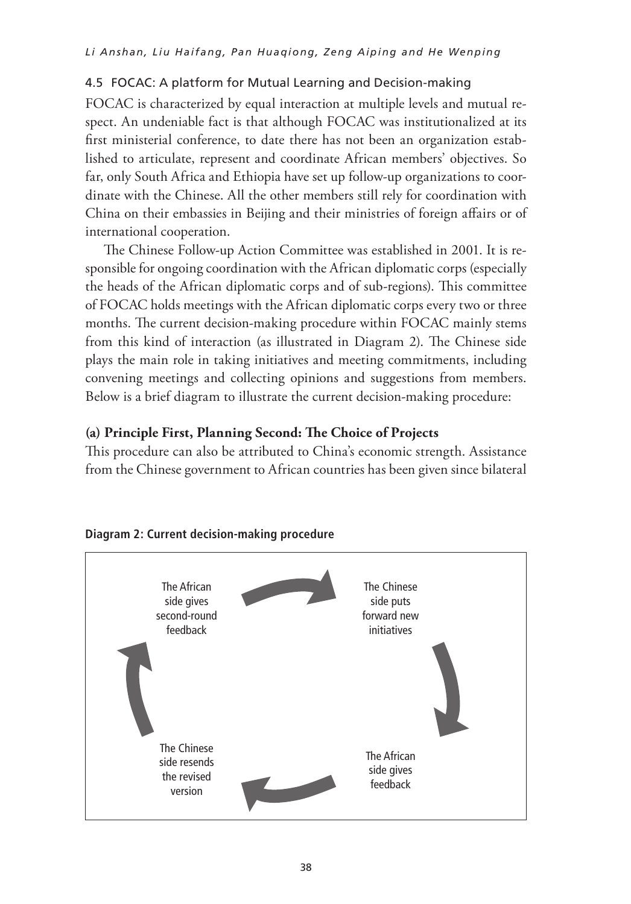### 4.5 FOCAC: A platform for Mutual Learning and Decision-making

FOCAC is characterized by equal interaction at multiple levels and mutual respect. An undeniable fact is that although FOCAC was institutionalized at its first ministerial conference, to date there has not been an organization established to articulate, represent and coordinate African members' objectives. So far, only South Africa and Ethiopia have set up follow-up organizations to coordinate with the Chinese. All the other members still rely for coordination with China on their embassies in Beijing and their ministries of foreign affairs or of international cooperation.

The Chinese Follow-up Action Committee was established in 2001. It is responsible for ongoing coordination with the African diplomatic corps (especially the heads of the African diplomatic corps and of sub-regions). This committee of FOCAC holds meetings with the African diplomatic corps every two or three months. The current decision-making procedure within FOCAC mainly stems from this kind of interaction (as illustrated in Diagram 2). The Chinese side plays the main role in taking initiatives and meeting commitments, including convening meetings and collecting opinions and suggestions from members. Below is a brief diagram to illustrate the current decision-making procedure:

### **(a) Principle First, Planning Second: The Choice of Projects**

This procedure can also be attributed to China's economic strength. Assistance from the Chinese government to African countries has been given since bilateral



#### **Diagram 2: Current decision-making procedure**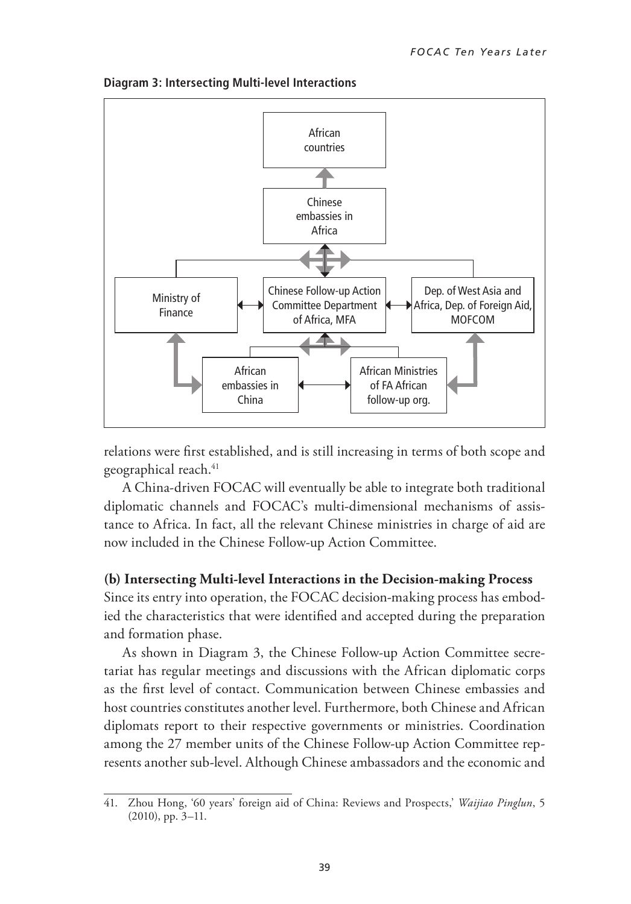

**Diagram 3: Intersecting Multi-level Interactions**

relations were first established, and is still increasing in terms of both scope and geographical reach.<sup>41</sup>

A China-driven FOCAC will eventually be able to integrate both traditional diplomatic channels and FOCAC's multi-dimensional mechanisms of assistance to Africa. In fact, all the relevant Chinese ministries in charge of aid are now included in the Chinese Follow-up Action Committee.

#### **(b) Intersecting Multi-level Interactions in the Decision-making Process**

Since its entry into operation, the FOCAC decision-making process has embodied the characteristics that were identified and accepted during the preparation and formation phase.

As shown in Diagram 3, the Chinese Follow-up Action Committee secretariat has regular meetings and discussions with the African diplomatic corps as the first level of contact. Communication between Chinese embassies and host countries constitutes another level. Furthermore, both Chinese and African diplomats report to their respective governments or ministries. Coordination among the 27 member units of the Chinese Follow-up Action Committee represents another sub-level. Although Chinese ambassadors and the economic and

<sup>41.</sup> Zhou Hong, '60 years' foreign aid of China: Reviews and Prospects,' *Waijiao Pinglun*, 5 (2010), pp. 3–11.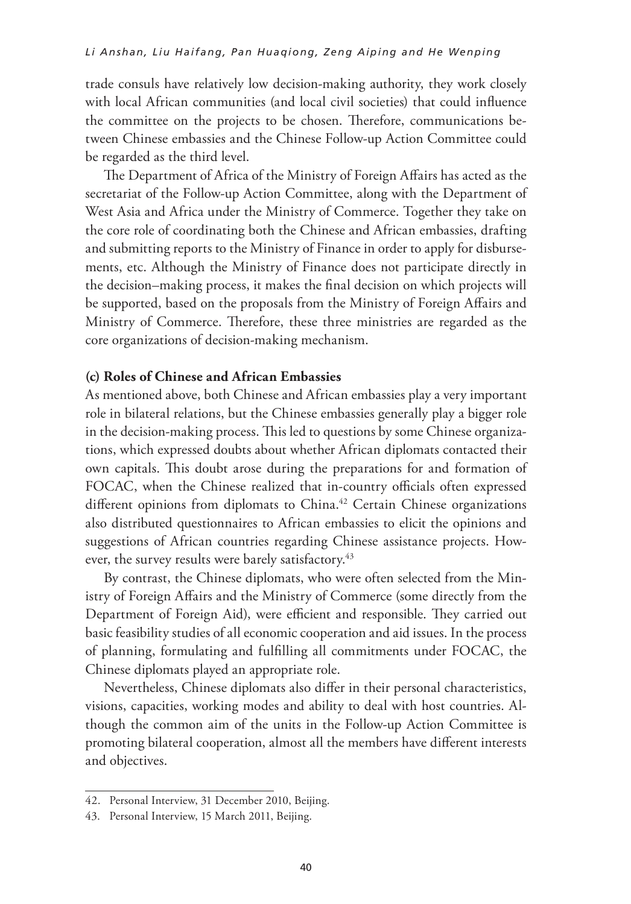trade consuls have relatively low decision-making authority, they work closely with local African communities (and local civil societies) that could influence the committee on the projects to be chosen. Therefore, communications between Chinese embassies and the Chinese Follow-up Action Committee could be regarded as the third level.

The Department of Africa of the Ministry of Foreign Affairs has acted as the secretariat of the Follow-up Action Committee, along with the Department of West Asia and Africa under the Ministry of Commerce. Together they take on the core role of coordinating both the Chinese and African embassies, drafting and submitting reports to the Ministry of Finance in order to apply for disbursements, etc. Although the Ministry of Finance does not participate directly in the decision–making process, it makes the final decision on which projects will be supported, based on the proposals from the Ministry of Foreign Affairs and Ministry of Commerce. Therefore, these three ministries are regarded as the core organizations of decision-making mechanism.

#### **(c) Roles of Chinese and African Embassies**

As mentioned above, both Chinese and African embassies play a very important role in bilateral relations, but the Chinese embassies generally play a bigger role in the decision-making process. This led to questions by some Chinese organizations, which expressed doubts about whether African diplomats contacted their own capitals. This doubt arose during the preparations for and formation of FOCAC, when the Chinese realized that in-country officials often expressed different opinions from diplomats to China.<sup>42</sup> Certain Chinese organizations also distributed questionnaires to African embassies to elicit the opinions and suggestions of African countries regarding Chinese assistance projects. However, the survey results were barely satisfactory.<sup>43</sup>

By contrast, the Chinese diplomats, who were often selected from the Ministry of Foreign Affairs and the Ministry of Commerce (some directly from the Department of Foreign Aid), were efficient and responsible. They carried out basic feasibility studies of all economic cooperation and aid issues. In the process of planning, formulating and fulfilling all commitments under FOCAC, the Chinese diplomats played an appropriate role.

Nevertheless, Chinese diplomats also differ in their personal characteristics, visions, capacities, working modes and ability to deal with host countries. Although the common aim of the units in the Follow-up Action Committee is promoting bilateral cooperation, almost all the members have different interests and objectives.

<sup>42.</sup> Personal Interview, 31 December 2010, Beijing.

<sup>43.</sup> Personal Interview, 15 March 2011, Beijing.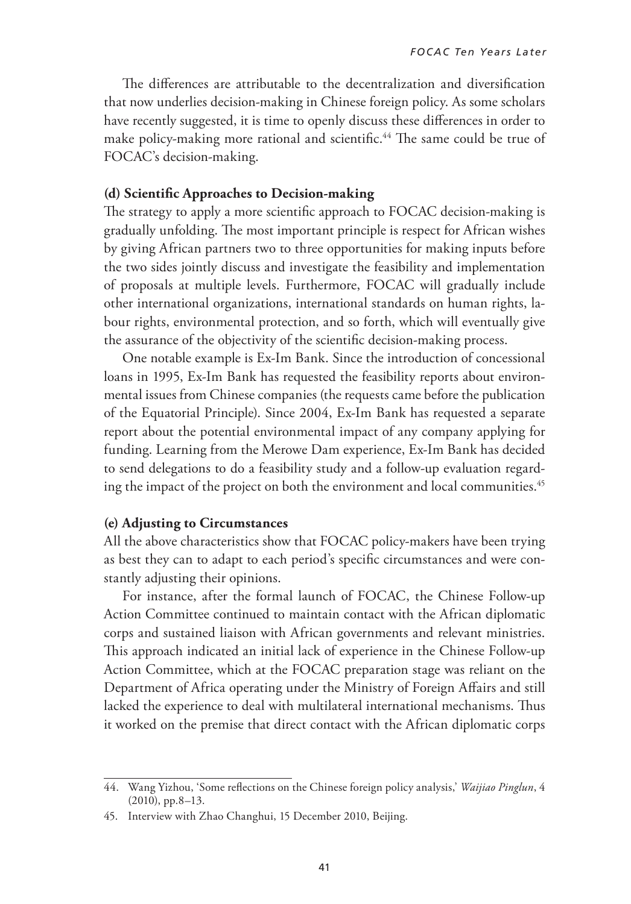The differences are attributable to the decentralization and diversification that now underlies decision-making in Chinese foreign policy. As some scholars have recently suggested, it is time to openly discuss these differences in order to make policy-making more rational and scientific.<sup>44</sup> The same could be true of FOCAC's decision-making.

#### **(d) Scientific Approaches to Decision-making**

The strategy to apply a more scientific approach to FOCAC decision-making is gradually unfolding. The most important principle is respect for African wishes by giving African partners two to three opportunities for making inputs before the two sides jointly discuss and investigate the feasibility and implementation of proposals at multiple levels. Furthermore, FOCAC will gradually include other international organizations, international standards on human rights, labour rights, environmental protection, and so forth, which will eventually give the assurance of the objectivity of the scientific decision-making process.

One notable example is Ex-Im Bank. Since the introduction of concessional loans in 1995, Ex-Im Bank has requested the feasibility reports about environmental issues from Chinese companies (the requests came before the publication of the Equatorial Principle). Since 2004, Ex-Im Bank has requested a separate report about the potential environmental impact of any company applying for funding. Learning from the Merowe Dam experience, Ex-Im Bank has decided to send delegations to do a feasibility study and a follow-up evaluation regarding the impact of the project on both the environment and local communities.<sup>45</sup>

#### **(e) Adjusting to Circumstances**

All the above characteristics show that FOCAC policy-makers have been trying as best they can to adapt to each period's specific circumstances and were constantly adjusting their opinions.

For instance, after the formal launch of FOCAC, the Chinese Follow-up Action Committee continued to maintain contact with the African diplomatic corps and sustained liaison with African governments and relevant ministries. This approach indicated an initial lack of experience in the Chinese Follow-up Action Committee, which at the FOCAC preparation stage was reliant on the Department of Africa operating under the Ministry of Foreign Affairs and still lacked the experience to deal with multilateral international mechanisms. Thus it worked on the premise that direct contact with the African diplomatic corps

<sup>44.</sup> Wang Yizhou, 'Some reflections on the Chinese foreign policy analysis,' *Waijiao Pinglun*, 4 (2010), pp.8–13.

<sup>45.</sup> Interview with Zhao Changhui, 15 December 2010, Beijing.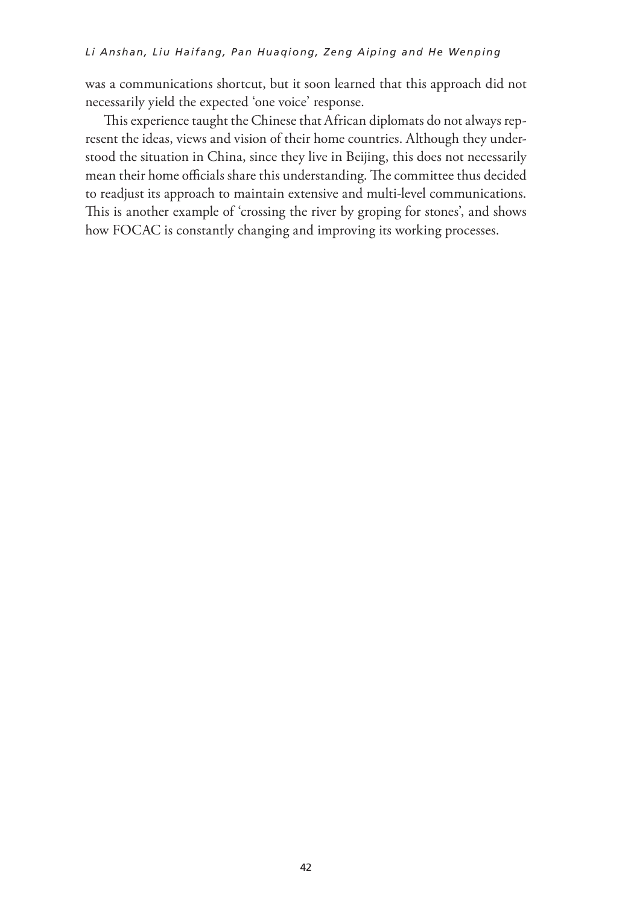was a communications shortcut, but it soon learned that this approach did not necessarily yield the expected 'one voice' response.

This experience taught the Chinese that African diplomats do not always represent the ideas, views and vision of their home countries. Although they understood the situation in China, since they live in Beijing, this does not necessarily mean their home officials share this understanding. The committee thus decided to readjust its approach to maintain extensive and multi-level communications. This is another example of 'crossing the river by groping for stones', and shows how FOCAC is constantly changing and improving its working processes.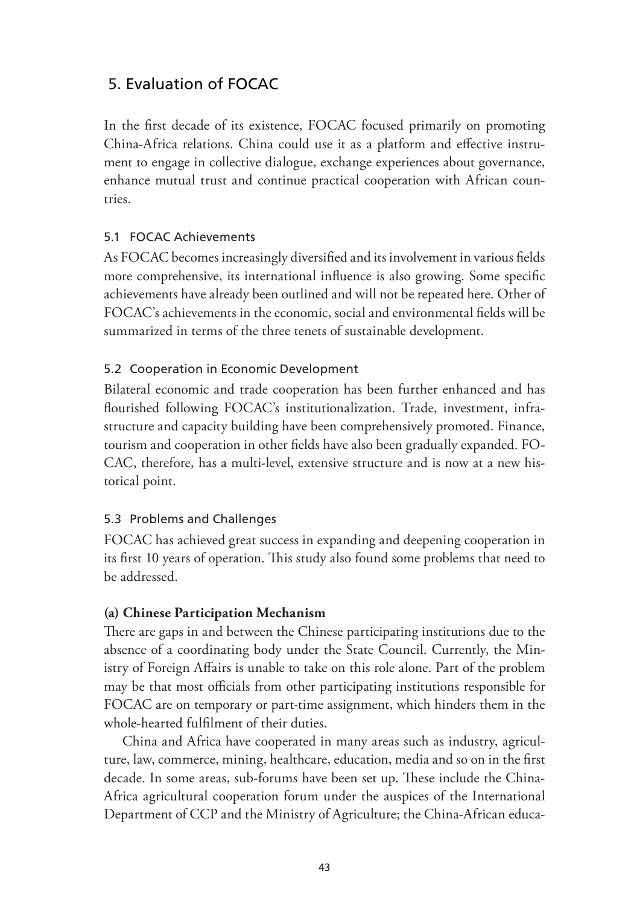## 5. Evaluation of FOCAC

In the first decade of its existence, FOCAC focused primarily on promoting China-Africa relations. China could use it as a platform and effective instrument to engage in collective dialogue, exchange experiences about governance, enhance mutual trust and continue practical cooperation with African countries.

### 5.1 FOCAC Achievements

As FOCAC becomes increasingly diversified and its involvement in various fields more comprehensive, its international influence is also growing. Some specific achievements have already been outlined and will not be repeated here. Other of FOCAC's achievements in the economic, social and environmental fields will be summarized in terms of the three tenets of sustainable development.

### 5.2 Cooperation in Economic Development

Bilateral economic and trade cooperation has been further enhanced and has flourished following FOCAC's institutionalization. Trade, investment, infrastructure and capacity building have been comprehensively promoted. Finance, tourism and cooperation in other fields have also been gradually expanded. FO-CAC, therefore, has a multi-level, extensive structure and is now at a new historical point.

### 5.3 Problems and Challenges

FOCAC has achieved great success in expanding and deepening cooperation in its first 10 years of operation. This study also found some problems that need to be addressed.

### **(a) Chinese Participation Mechanism**

There are gaps in and between the Chinese participating institutions due to the absence of a coordinating body under the State Council. Currently, the Ministry of Foreign Affairs is unable to take on this role alone. Part of the problem may be that most officials from other participating institutions responsible for FOCAC are on temporary or part-time assignment, which hinders them in the whole-hearted fulfilment of their duties.

China and Africa have cooperated in many areas such as industry, agriculture, law, commerce, mining, healthcare, education, media and so on in the first decade. In some areas, sub-forums have been set up. These include the China-Africa agricultural cooperation forum under the auspices of the International Department of CCP and the Ministry of Agriculture; the China-African educa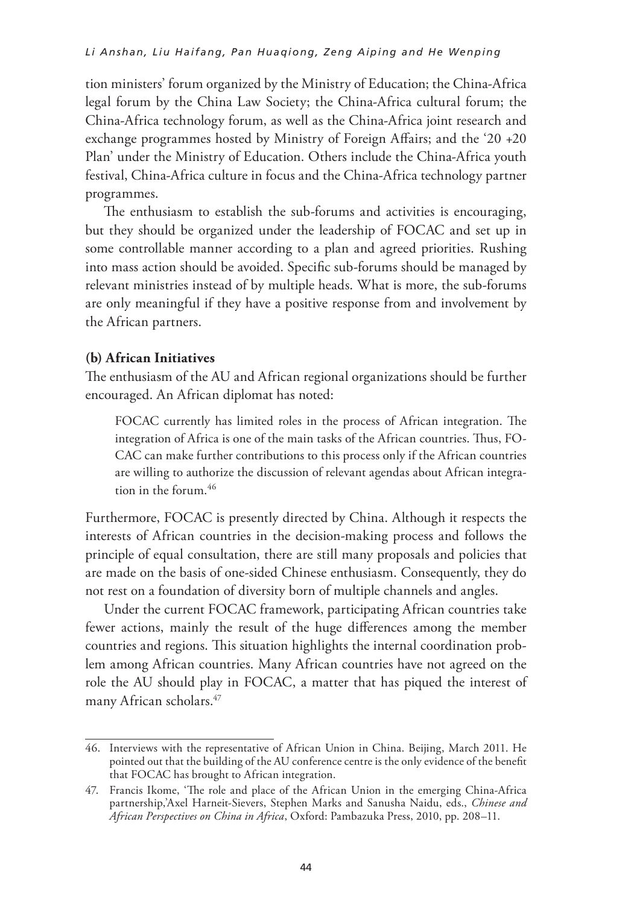tion ministers' forum organized by the Ministry of Education; the China-Africa legal forum by the China Law Society; the China-Africa cultural forum; the China-Africa technology forum, as well as the China-Africa joint research and exchange programmes hosted by Ministry of Foreign Affairs; and the '20 +20 Plan' under the Ministry of Education. Others include the China-Africa youth festival, China-Africa culture in focus and the China-Africa technology partner programmes.

The enthusiasm to establish the sub-forums and activities is encouraging, but they should be organized under the leadership of FOCAC and set up in some controllable manner according to a plan and agreed priorities. Rushing into mass action should be avoided. Specific sub-forums should be managed by relevant ministries instead of by multiple heads. What is more, the sub-forums are only meaningful if they have a positive response from and involvement by the African partners.

#### **(b) African Initiatives**

The enthusiasm of the AU and African regional organizations should be further encouraged. An African diplomat has noted:

FOCAC currently has limited roles in the process of African integration. The integration of Africa is one of the main tasks of the African countries. Thus, FO-CAC can make further contributions to this process only if the African countries are willing to authorize the discussion of relevant agendas about African integration in the forum.<sup>46</sup>

Furthermore, FOCAC is presently directed by China. Although it respects the interests of African countries in the decision-making process and follows the principle of equal consultation, there are still many proposals and policies that are made on the basis of one-sided Chinese enthusiasm. Consequently, they do not rest on a foundation of diversity born of multiple channels and angles.

Under the current FOCAC framework, participating African countries take fewer actions, mainly the result of the huge differences among the member countries and regions. This situation highlights the internal coordination problem among African countries. Many African countries have not agreed on the role the AU should play in FOCAC, a matter that has piqued the interest of many African scholars.47

<sup>46.</sup> Interviews with the representative of African Union in China. Beijing, March 2011. He pointed out that the building of the AU conference centre is the only evidence of the benefit that FOCAC has brought to African integration.

<sup>47.</sup> Francis Ikome, 'The role and place of the African Union in the emerging China-Africa partnership,'Axel Harneit-Sievers, Stephen Marks and Sanusha Naidu, eds., *Chinese and African Perspectives on China in Africa*, Oxford: Pambazuka Press, 2010, pp. 208–11.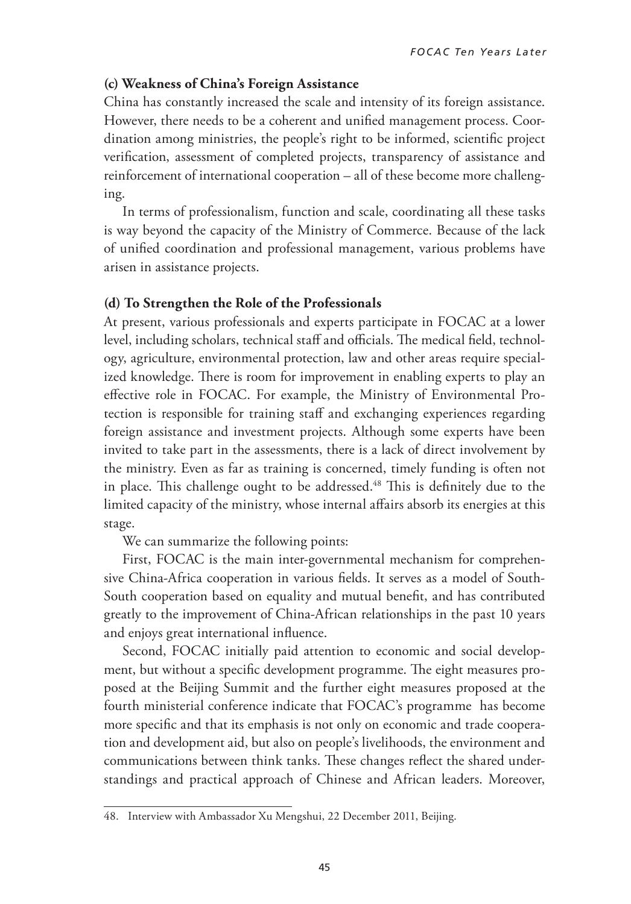#### **(c) Weakness of China's Foreign Assistance**

China has constantly increased the scale and intensity of its foreign assistance. However, there needs to be a coherent and unified management process. Coordination among ministries, the people's right to be informed, scientific project verification, assessment of completed projects, transparency of assistance and reinforcement of international cooperation – all of these become more challenging.

In terms of professionalism, function and scale, coordinating all these tasks is way beyond the capacity of the Ministry of Commerce. Because of the lack of unified coordination and professional management, various problems have arisen in assistance projects.

#### **(d) To Strengthen the Role of the Professionals**

At present, various professionals and experts participate in FOCAC at a lower level, including scholars, technical staff and officials. The medical field, technology, agriculture, environmental protection, law and other areas require specialized knowledge. There is room for improvement in enabling experts to play an effective role in FOCAC. For example, the Ministry of Environmental Protection is responsible for training staff and exchanging experiences regarding foreign assistance and investment projects. Although some experts have been invited to take part in the assessments, there is a lack of direct involvement by the ministry. Even as far as training is concerned, timely funding is often not in place. This challenge ought to be addressed.<sup>48</sup> This is definitely due to the limited capacity of the ministry, whose internal affairs absorb its energies at this stage.

We can summarize the following points:

First, FOCAC is the main inter-governmental mechanism for comprehensive China-Africa cooperation in various fields. It serves as a model of South-South cooperation based on equality and mutual benefit, and has contributed greatly to the improvement of China-African relationships in the past 10 years and enjoys great international influence.

Second, FOCAC initially paid attention to economic and social development, but without a specific development programme. The eight measures proposed at the Beijing Summit and the further eight measures proposed at the fourth ministerial conference indicate that FOCAC's programme has become more specific and that its emphasis is not only on economic and trade cooperation and development aid, but also on people's livelihoods, the environment and communications between think tanks. These changes reflect the shared understandings and practical approach of Chinese and African leaders. Moreover,

<sup>48.</sup> Interview with Ambassador Xu Mengshui, 22 December 2011, Beijing.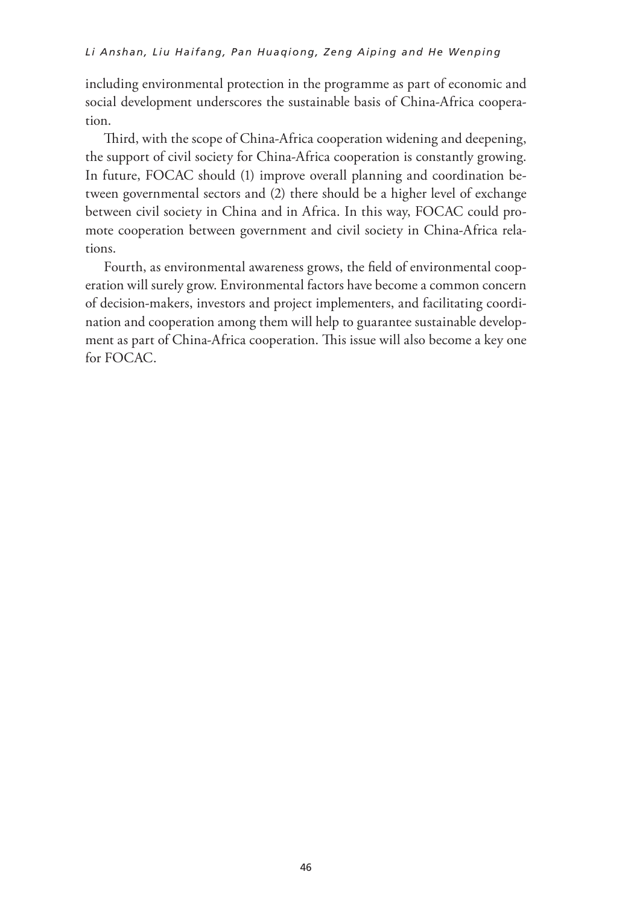including environmental protection in the programme as part of economic and social development underscores the sustainable basis of China-Africa cooperation.

Third, with the scope of China-Africa cooperation widening and deepening, the support of civil society for China-Africa cooperation is constantly growing. In future, FOCAC should (1) improve overall planning and coordination between governmental sectors and (2) there should be a higher level of exchange between civil society in China and in Africa. In this way, FOCAC could promote cooperation between government and civil society in China-Africa relations.

Fourth, as environmental awareness grows, the field of environmental cooperation will surely grow. Environmental factors have become a common concern of decision-makers, investors and project implementers, and facilitating coordination and cooperation among them will help to guarantee sustainable development as part of China-Africa cooperation. This issue will also become a key one for FOCAC.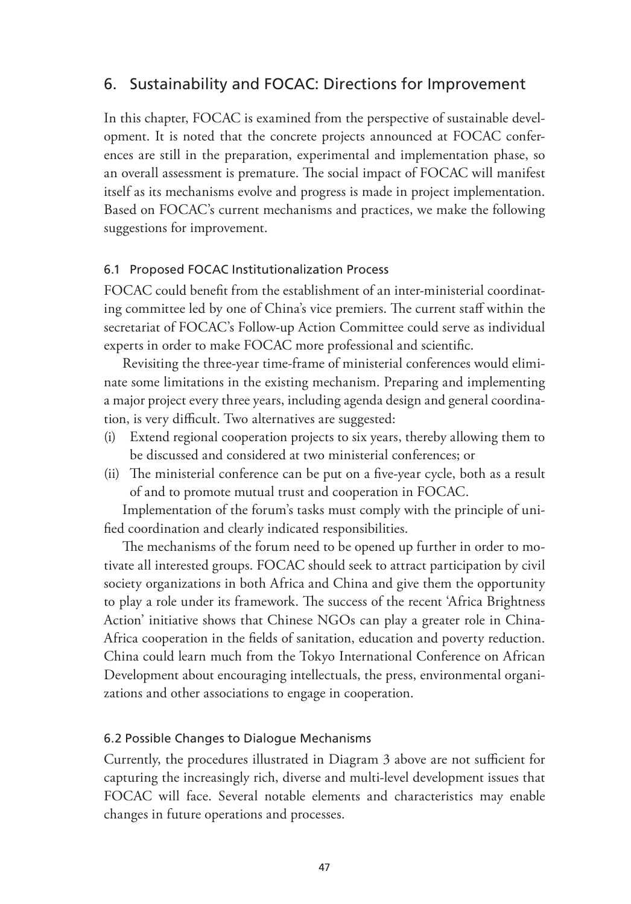## 6. Sustainability and FOCAC: Directions for Improvement

In this chapter, FOCAC is examined from the perspective of sustainable development. It is noted that the concrete projects announced at FOCAC conferences are still in the preparation, experimental and implementation phase, so an overall assessment is premature. The social impact of FOCAC will manifest itself as its mechanisms evolve and progress is made in project implementation. Based on FOCAC's current mechanisms and practices, we make the following suggestions for improvement.

### 6.1 Proposed FOCAC Institutionalization Process

FOCAC could benefit from the establishment of an inter-ministerial coordinating committee led by one of China's vice premiers. The current staff within the secretariat of FOCAC's Follow-up Action Committee could serve as individual experts in order to make FOCAC more professional and scientific.

Revisiting the three-year time-frame of ministerial conferences would eliminate some limitations in the existing mechanism. Preparing and implementing a major project every three years, including agenda design and general coordination, is very difficult. Two alternatives are suggested:

- (i) Extend regional cooperation projects to six years, thereby allowing them to be discussed and considered at two ministerial conferences; or
- (ii) The ministerial conference can be put on a five-year cycle, both as a result of and to promote mutual trust and cooperation in FOCAC.

Implementation of the forum's tasks must comply with the principle of unified coordination and clearly indicated responsibilities.

The mechanisms of the forum need to be opened up further in order to motivate all interested groups. FOCAC should seek to attract participation by civil society organizations in both Africa and China and give them the opportunity to play a role under its framework. The success of the recent 'Africa Brightness Action' initiative shows that Chinese NGOs can play a greater role in China-Africa cooperation in the fields of sanitation, education and poverty reduction. China could learn much from the Tokyo International Conference on African Development about encouraging intellectuals, the press, environmental organizations and other associations to engage in cooperation.

#### 6.2 Possible Changes to Dialogue Mechanisms

Currently, the procedures illustrated in Diagram 3 above are not sufficient for capturing the increasingly rich, diverse and multi-level development issues that FOCAC will face. Several notable elements and characteristics may enable changes in future operations and processes.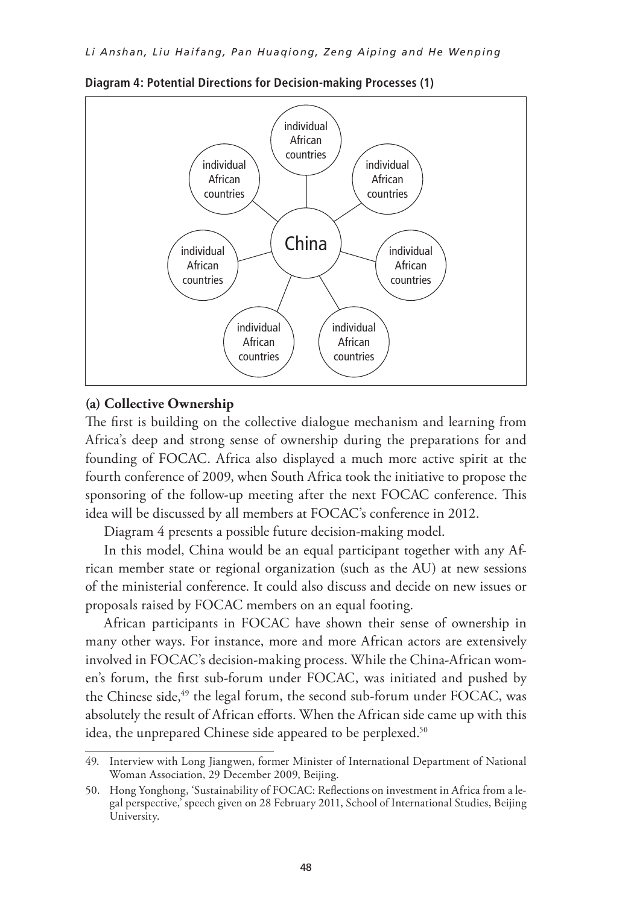

**Diagram 4: Potential Directions for Decision-making Processes (1)**

#### **(a) Collective Ownership**

The first is building on the collective dialogue mechanism and learning from Africa's deep and strong sense of ownership during the preparations for and founding of FOCAC. Africa also displayed a much more active spirit at the fourth conference of 2009, when South Africa took the initiative to propose the sponsoring of the follow-up meeting after the next FOCAC conference. This idea will be discussed by all members at FOCAC's conference in 2012.

Diagram 4 presents a possible future decision-making model.

In this model, China would be an equal participant together with any African member state or regional organization (such as the AU) at new sessions of the ministerial conference. It could also discuss and decide on new issues or proposals raised by FOCAC members on an equal footing.

African participants in FOCAC have shown their sense of ownership in many other ways. For instance, more and more African actors are extensively involved in FOCAC's decision-making process. While the China-African women's forum, the first sub-forum under FOCAC, was initiated and pushed by the Chinese side,<sup>49</sup> the legal forum, the second sub-forum under FOCAC, was absolutely the result of African efforts. When the African side came up with this idea, the unprepared Chinese side appeared to be perplexed.<sup>50</sup>

<sup>49.</sup> Interview with Long Jiangwen, former Minister of International Department of National Woman Association, 29 December 2009, Beijing.

<sup>50.</sup> Hong Yonghong, 'Sustainability of FOCAC: Reflections on investment in Africa from a legal perspective,' speech given on 28 February 2011, School of International Studies, Beijing University.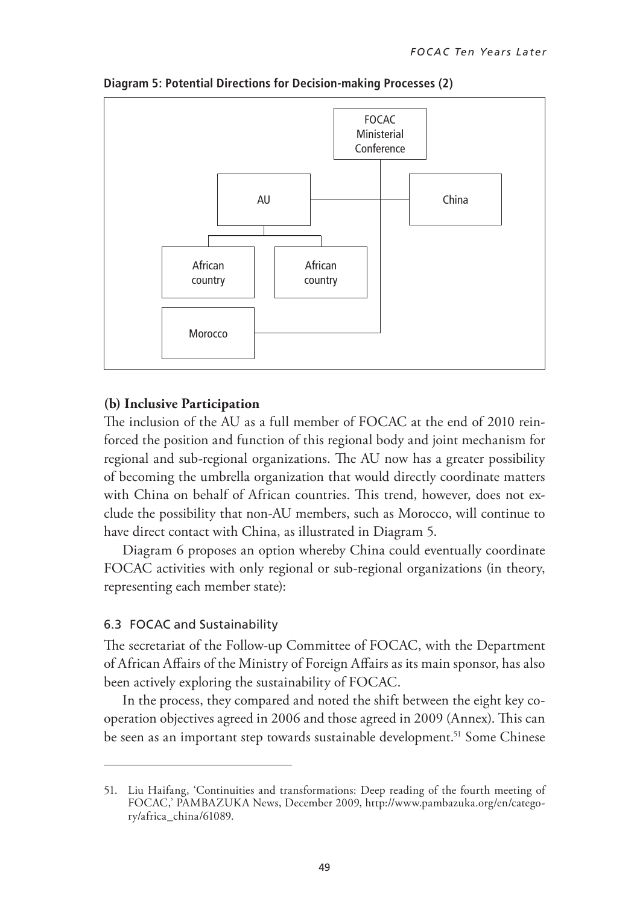

**Diagram 5: Potential Directions for Decision-making Processes (2)**

#### **(b) Inclusive Participation**

The inclusion of the AU as a full member of FOCAC at the end of 2010 reinforced the position and function of this regional body and joint mechanism for regional and sub-regional organizations. The AU now has a greater possibility of becoming the umbrella organization that would directly coordinate matters with China on behalf of African countries. This trend, however, does not exclude the possibility that non-AU members, such as Morocco, will continue to have direct contact with China, as illustrated in Diagram 5.

Diagram 6 proposes an option whereby China could eventually coordinate FOCAC activities with only regional or sub-regional organizations (in theory, representing each member state):

#### 6.3 FOCAC and Sustainability

The secretariat of the Follow-up Committee of FOCAC, with the Department of African Affairs of the Ministry of Foreign Affairs as its main sponsor, has also been actively exploring the sustainability of FOCAC.

In the process, they compared and noted the shift between the eight key cooperation objectives agreed in 2006 and those agreed in 2009 (Annex). This can be seen as an important step towards sustainable development.<sup>51</sup> Some Chinese

<sup>51.</sup> Liu Haifang, 'Continuities and transformations: Deep reading of the fourth meeting of FOCAC,' PAMBAZUKA News, December 2009, http://www.pambazuka.org/en/category/africa\_china/61089.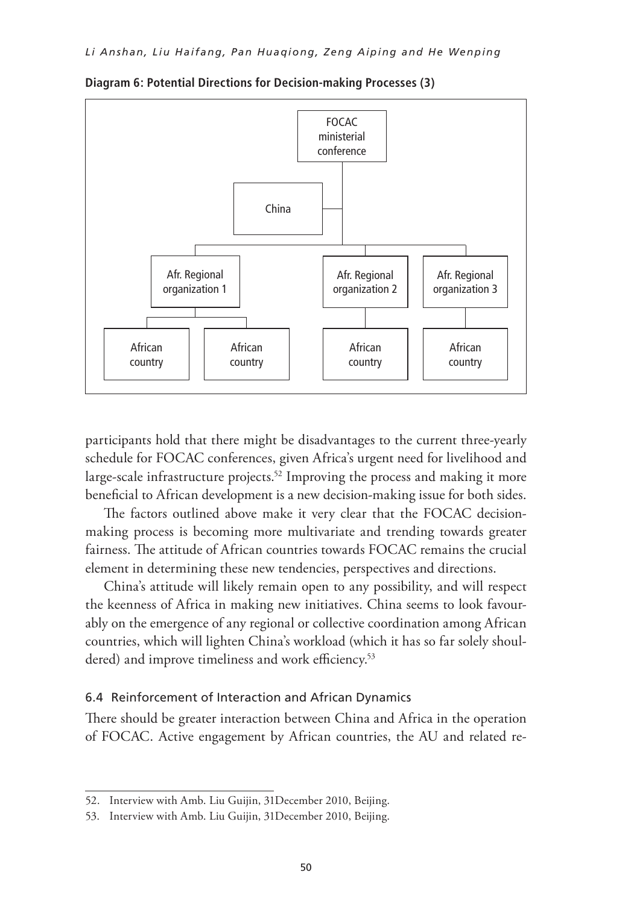

**Diagram 6: Potential Directions for Decision-making Processes (3)**

participants hold that there might be disadvantages to the current three-yearly schedule for FOCAC conferences, given Africa's urgent need for livelihood and large-scale infrastructure projects.<sup>52</sup> Improving the process and making it more beneficial to African development is a new decision-making issue for both sides.

The factors outlined above make it very clear that the FOCAC decisionmaking process is becoming more multivariate and trending towards greater fairness. The attitude of African countries towards FOCAC remains the crucial element in determining these new tendencies, perspectives and directions.

China's attitude will likely remain open to any possibility, and will respect the keenness of Africa in making new initiatives. China seems to look favourably on the emergence of any regional or collective coordination among African countries, which will lighten China's workload (which it has so far solely shouldered) and improve timeliness and work efficiency.<sup>53</sup>

### 6.4 Reinforcement of Interaction and African Dynamics

There should be greater interaction between China and Africa in the operation of FOCAC. Active engagement by African countries, the AU and related re-

<sup>52.</sup> Interview with Amb. Liu Guijin, 31December 2010, Beijing.

<sup>53.</sup> Interview with Amb. Liu Guijin, 31December 2010, Beijing.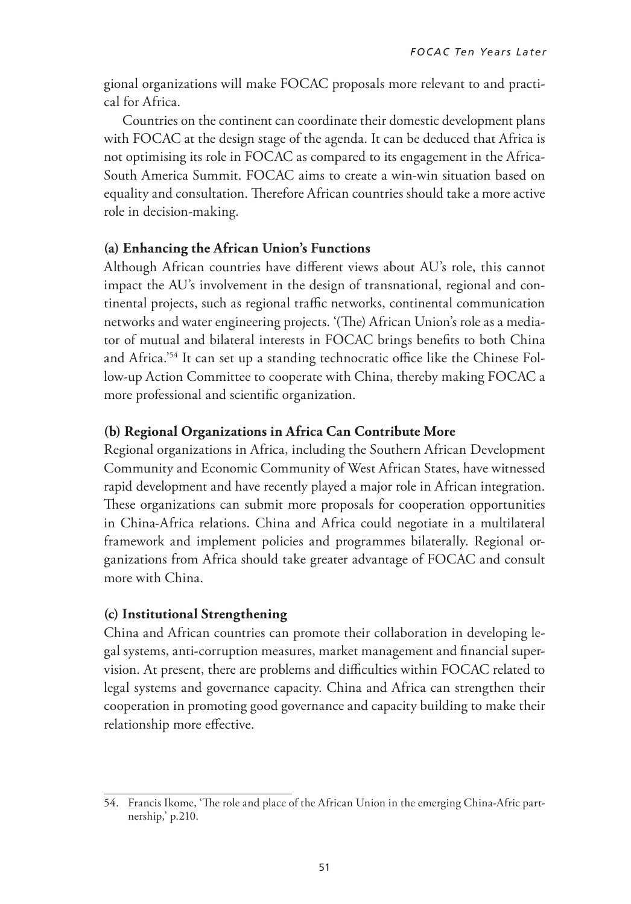gional organizations will make FOCAC proposals more relevant to and practical for Africa.

Countries on the continent can coordinate their domestic development plans with FOCAC at the design stage of the agenda. It can be deduced that Africa is not optimising its role in FOCAC as compared to its engagement in the Africa-South America Summit. FOCAC aims to create a win-win situation based on equality and consultation. Therefore African countries should take a more active role in decision-making.

### **(a) Enhancing the African Union's Functions**

Although African countries have different views about AU's role, this cannot impact the AU's involvement in the design of transnational, regional and continental projects, such as regional traffic networks, continental communication networks and water engineering projects. '(The) African Union's role as a mediator of mutual and bilateral interests in FOCAC brings benefits to both China and Africa.'54 It can set up a standing technocratic office like the Chinese Follow-up Action Committee to cooperate with China, thereby making FOCAC a more professional and scientific organization.

### **(b) Regional Organizations in Africa Can Contribute More**

Regional organizations in Africa, including the Southern African Development Community and Economic Community of West African States, have witnessed rapid development and have recently played a major role in African integration. These organizations can submit more proposals for cooperation opportunities in China-Africa relations. China and Africa could negotiate in a multilateral framework and implement policies and programmes bilaterally. Regional organizations from Africa should take greater advantage of FOCAC and consult more with China.

### **(c) Institutional Strengthening**

China and African countries can promote their collaboration in developing legal systems, anti-corruption measures, market management and financial supervision. At present, there are problems and difficulties within FOCAC related to legal systems and governance capacity. China and Africa can strengthen their cooperation in promoting good governance and capacity building to make their relationship more effective.

<sup>54.</sup> Francis Ikome, 'The role and place of the African Union in the emerging China-Afric partnership,' p.210.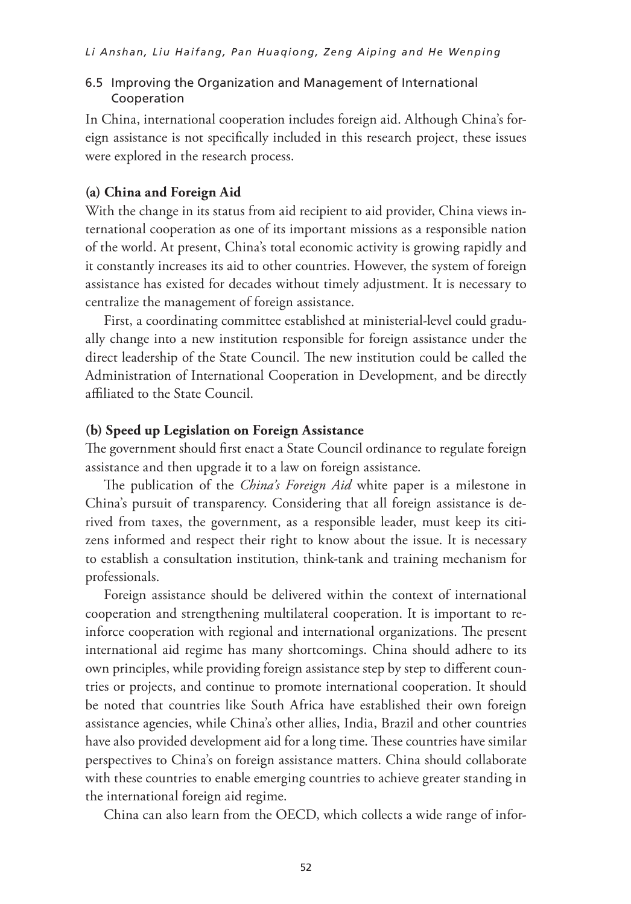#### 6.5 Improving the Organization and Management of International Cooperation

In China, international cooperation includes foreign aid. Although China's foreign assistance is not specifically included in this research project, these issues were explored in the research process.

#### **(a) China and Foreign Aid**

With the change in its status from aid recipient to aid provider, China views international cooperation as one of its important missions as a responsible nation of the world. At present, China's total economic activity is growing rapidly and it constantly increases its aid to other countries. However, the system of foreign assistance has existed for decades without timely adjustment. It is necessary to centralize the management of foreign assistance.

First, a coordinating committee established at ministerial-level could gradually change into a new institution responsible for foreign assistance under the direct leadership of the State Council. The new institution could be called the Administration of International Cooperation in Development, and be directly affiliated to the State Council.

#### **(b) Speed up legislation on foreign assistance**

The government should first enact a State Council ordinance to regulate foreign assistance and then upgrade it to a law on foreign assistance.

The publication of the *China's Foreign Aid* white paper is a milestone in China's pursuit of transparency. Considering that all foreign assistance is derived from taxes, the government, as a responsible leader, must keep its citizens informed and respect their right to know about the issue. It is necessary to establish a consultation institution, think-tank and training mechanism for professionals.

Foreign assistance should be delivered within the context of international cooperation and strengthening multilateral cooperation. It is important to reinforce cooperation with regional and international organizations. The present international aid regime has many shortcomings. China should adhere to its own principles, while providing foreign assistance step by step to different countries or projects, and continue to promote international cooperation. It should be noted that countries like South Africa have established their own foreign assistance agencies, while China's other allies, India, Brazil and other countries have also provided development aid for a long time. These countries have similar perspectives to China's on foreign assistance matters. China should collaborate with these countries to enable emerging countries to achieve greater standing in the international foreign aid regime.

China can also learn from the OECD, which collects a wide range of infor-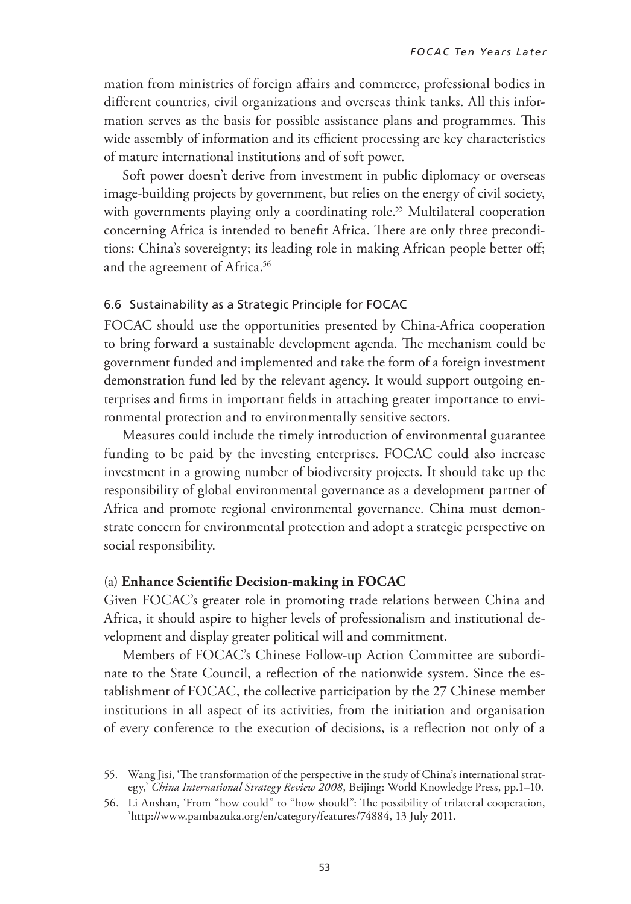mation from ministries of foreign affairs and commerce, professional bodies in different countries, civil organizations and overseas think tanks. All this information serves as the basis for possible assistance plans and programmes. This wide assembly of information and its efficient processing are key characteristics of mature international institutions and of soft power.

Soft power doesn't derive from investment in public diplomacy or overseas image-building projects by government, but relies on the energy of civil society, with governments playing only a coordinating role.<sup>55</sup> Multilateral cooperation concerning Africa is intended to benefit Africa. There are only three preconditions: China's sovereignty; its leading role in making African people better off; and the agreement of Africa.<sup>56</sup>

#### 6.6 Sustainability as a Strategic Principle for FOCAC

FOCAC should use the opportunities presented by China-Africa cooperation to bring forward a sustainable development agenda. The mechanism could be government funded and implemented and take the form of a foreign investment demonstration fund led by the relevant agency. It would support outgoing enterprises and firms in important fields in attaching greater importance to environmental protection and to environmentally sensitive sectors.

Measures could include the timely introduction of environmental guarantee funding to be paid by the investing enterprises. FOCAC could also increase investment in a growing number of biodiversity projects. It should take up the responsibility of global environmental governance as a development partner of Africa and promote regional environmental governance. China must demonstrate concern for environmental protection and adopt a strategic perspective on social responsibility.

#### (a) **Enhance Scientific Decision-making in FOCAC**

Given FOCAC's greater role in promoting trade relations between China and Africa, it should aspire to higher levels of professionalism and institutional development and display greater political will and commitment.

Members of FOCAC's Chinese Follow-up Action Committee are subordinate to the State Council, a reflection of the nationwide system. Since the establishment of FOCAC, the collective participation by the 27 Chinese member institutions in all aspect of its activities, from the initiation and organisation of every conference to the execution of decisions, is a reflection not only of a

<sup>55.</sup> Wang Jisi, 'The transformation of the perspective in the study of China's international strategy,' *China International Strategy Review 2008*, Beijing: World Knowledge Press, pp.1–10.

<sup>56.</sup> Li Anshan, 'From "how could" to "how should": The possibility of trilateral cooperation, 'http://www.pambazuka.org/en/category/features/74884, 13 July 2011.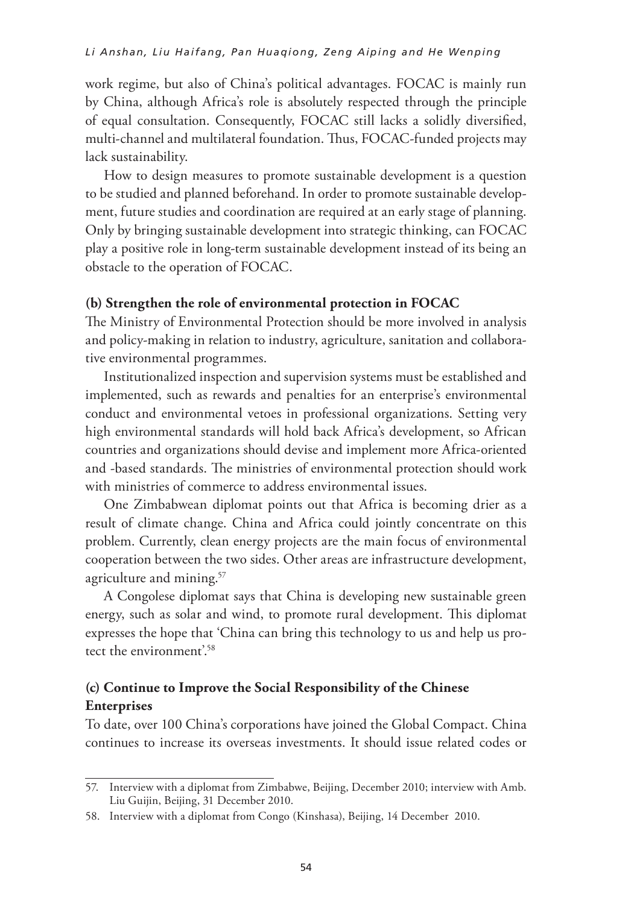#### *Li Anshan, Liu Haifang, Pan Huaqiong, Zeng Aiping and He Wenping*

work regime, but also of China's political advantages. FOCAC is mainly run by China, although Africa's role is absolutely respected through the principle of equal consultation. Consequently, FOCAC still lacks a solidly diversified, multi-channel and multilateral foundation. Thus, FOCAC-funded projects may lack sustainability.

How to design measures to promote sustainable development is a question to be studied and planned beforehand. In order to promote sustainable development, future studies and coordination are required at an early stage of planning. Only by bringing sustainable development into strategic thinking, can FOCAC play a positive role in long-term sustainable development instead of its being an obstacle to the operation of FOCAC.

#### **(b) Strengthen the role of environmental protection in FOCAC**

The Ministry of Environmental Protection should be more involved in analysis and policy-making in relation to industry, agriculture, sanitation and collaborative environmental programmes.

Institutionalized inspection and supervision systems must be established and implemented, such as rewards and penalties for an enterprise's environmental conduct and environmental vetoes in professional organizations. Setting very high environmental standards will hold back Africa's development, so African countries and organizations should devise and implement more Africa-oriented and -based standards. The ministries of environmental protection should work with ministries of commerce to address environmental issues.

One Zimbabwean diplomat points out that Africa is becoming drier as a result of climate change. China and Africa could jointly concentrate on this problem. Currently, clean energy projects are the main focus of environmental cooperation between the two sides. Other areas are infrastructure development, agriculture and mining.57

A Congolese diplomat says that China is developing new sustainable green energy, such as solar and wind, to promote rural development. This diplomat expresses the hope that 'China can bring this technology to us and help us protect the environment'.58

### **(c) Continue to Improve the Social Responsibility of the Chinese Enterprises**

To date, over 100 China's corporations have joined the Global Compact. China continues to increase its overseas investments. It should issue related codes or

<sup>57.</sup> Interview with a diplomat from Zimbabwe, Beijing, December 2010; interview with Amb. Liu Guijin, Beijing, 31 December 2010.

<sup>58.</sup> Interview with a diplomat from Congo (Kinshasa), Beijing, 14 December 2010.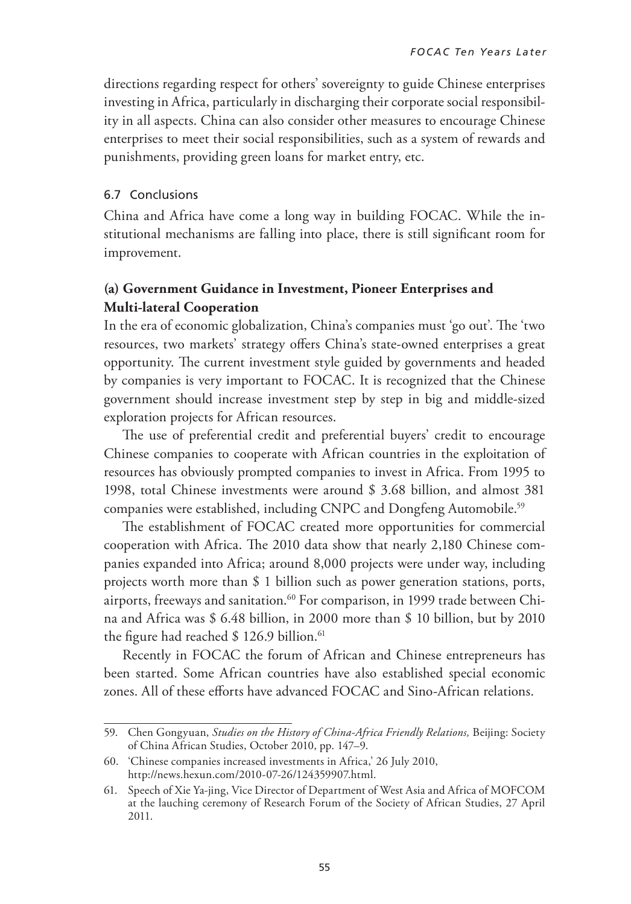directions regarding respect for others' sovereignty to guide Chinese enterprises investing in Africa, particularly in discharging their corporate social responsibility in all aspects. China can also consider other measures to encourage Chinese enterprises to meet their social responsibilities, such as a system of rewards and punishments, providing green loans for market entry, etc.

#### 6.7 Conclusions

China and Africa have come a long way in building FOCAC. While the institutional mechanisms are falling into place, there is still significant room for improvement.

### **(a) Government Guidance in Investment, Pioneer Enterprises and Multi-lateral Cooperation**

In the era of economic globalization, China's companies must 'go out'. The 'two resources, two markets' strategy offers China's state-owned enterprises a great opportunity. The current investment style guided by governments and headed by companies is very important to FOCAC. It is recognized that the Chinese government should increase investment step by step in big and middle-sized exploration projects for African resources.

The use of preferential credit and preferential buyers' credit to encourage Chinese companies to cooperate with African countries in the exploitation of resources has obviously prompted companies to invest in Africa. From 1995 to 1998, total Chinese investments were around \$ 3.68 billion, and almost 381 companies were established, including CNPC and Dongfeng Automobile.<sup>59</sup>

The establishment of FOCAC created more opportunities for commercial cooperation with Africa. The 2010 data show that nearly 2,180 Chinese companies expanded into Africa; around 8,000 projects were under way, including projects worth more than \$ 1 billion such as power generation stations, ports, airports, freeways and sanitation.<sup>60</sup> For comparison, in 1999 trade between China and Africa was \$ 6.48 billion, in 2000 more than \$ 10 billion, but by 2010 the figure had reached  $$ 126.9$  billion.<sup>61</sup>

Recently in FOCAC the forum of African and Chinese entrepreneurs has been started. Some African countries have also established special economic zones. All of these efforts have advanced FOCAC and Sino-African relations.

<sup>59.</sup> Chen Gongyuan, *Studies on the History of China-Africa Friendly Relations,* Beijing: Society of China African Studies, October 2010, pp. 147–9.

<sup>60.</sup> 'Chinese companies increased investments in Africa,' 26 July 2010, http://news.hexun.com/2010-07-26/124359907.html.

<sup>61.</sup> Speech of Xie Ya-jing, Vice Director of Department of West Asia and Africa of MOFCOM at the lauching ceremony of Research Forum of the Society of African Studies, 27 April 2011.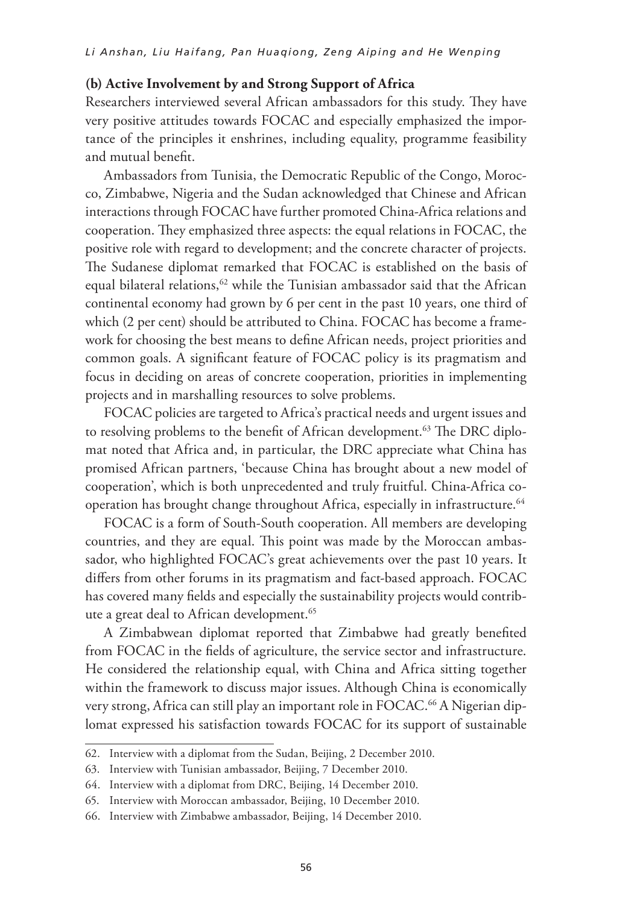### **(b) Active Involvement by and Strong Support of Africa**

Researchers interviewed several African ambassadors for this study. They have very positive attitudes towards FOCAC and especially emphasized the importance of the principles it enshrines, including equality, programme feasibility and mutual benefit.

Ambassadors from Tunisia, the Democratic Republic of the Congo, Morocco, Zimbabwe, Nigeria and the Sudan acknowledged that Chinese and African interactions through FOCAC have further promoted China-Africa relations and cooperation. They emphasized three aspects: the equal relations in FOCAC, the positive role with regard to development; and the concrete character of projects. The Sudanese diplomat remarked that FOCAC is established on the basis of equal bilateral relations, $62$  while the Tunisian ambassador said that the African continental economy had grown by 6 per cent in the past 10 years, one third of which (2 per cent) should be attributed to China. FOCAC has become a framework for choosing the best means to define African needs, project priorities and common goals. A significant feature of FOCAC policy is its pragmatism and focus in deciding on areas of concrete cooperation, priorities in implementing projects and in marshalling resources to solve problems.

FOCAC policies are targeted to Africa's practical needs and urgent issues and to resolving problems to the benefit of African development.<sup>63</sup> The DRC diplomat noted that Africa and, in particular, the DRC appreciate what China has promised African partners, 'because China has brought about a new model of cooperation', which is both unprecedented and truly fruitful. China-Africa cooperation has brought change throughout Africa, especially in infrastructure.<sup>64</sup>

FOCAC is a form of South-South cooperation. All members are developing countries, and they are equal. This point was made by the Moroccan ambassador, who highlighted FOCAC's great achievements over the past 10 years. It differs from other forums in its pragmatism and fact-based approach. FOCAC has covered many fields and especially the sustainability projects would contribute a great deal to African development.<sup>65</sup>

A Zimbabwean diplomat reported that Zimbabwe had greatly benefited from FOCAC in the fields of agriculture, the service sector and infrastructure. He considered the relationship equal, with China and Africa sitting together within the framework to discuss major issues. Although China is economically very strong, Africa can still play an important role in FOCAC.<sup>66</sup> A Nigerian diplomat expressed his satisfaction towards FOCAC for its support of sustainable

<sup>62.</sup> Interview with a diplomat from the Sudan, Beijing, 2 December 2010.

<sup>63.</sup> Interview with Tunisian ambassador, Beijing, 7 December 2010.

<sup>64.</sup> Interview with a diplomat from DRC, Beijing, 14 December 2010.

<sup>65.</sup> Interview with Moroccan ambassador, Beijing, 10 December 2010.

<sup>66.</sup> Interview with Zimbabwe ambassador, Beijing, 14 December 2010.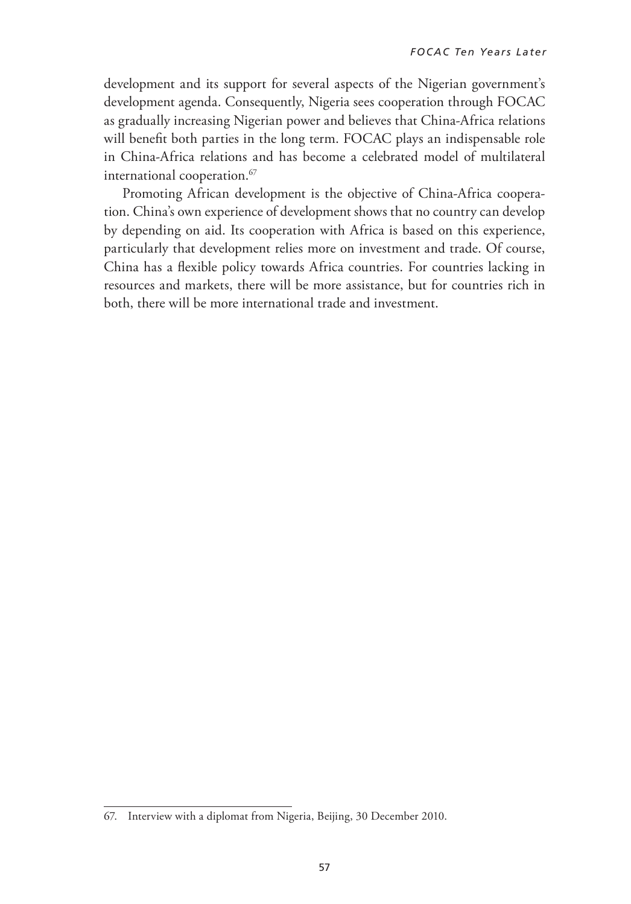development and its support for several aspects of the Nigerian government's development agenda. Consequently, Nigeria sees cooperation through FOCAC as gradually increasing Nigerian power and believes that China-Africa relations will benefit both parties in the long term. FOCAC plays an indispensable role in China-Africa relations and has become a celebrated model of multilateral international cooperation.<sup>67</sup>

Promoting African development is the objective of China-Africa cooperation. China's own experience of development shows that no country can develop by depending on aid. Its cooperation with Africa is based on this experience, particularly that development relies more on investment and trade. Of course, China has a flexible policy towards Africa countries. For countries lacking in resources and markets, there will be more assistance, but for countries rich in both, there will be more international trade and investment.

<sup>67.</sup> Interview with a diplomat from Nigeria, Beijing, 30 December 2010.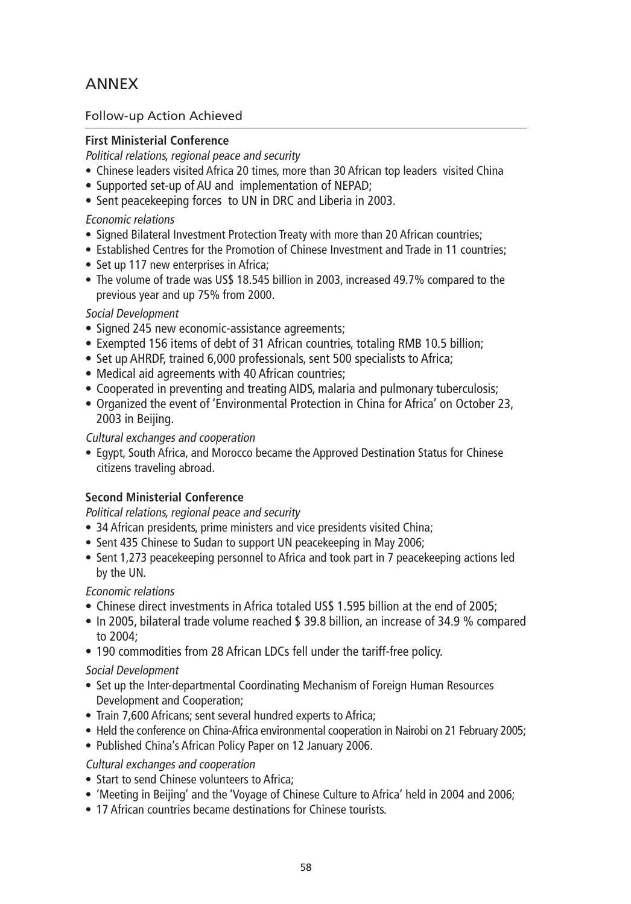## ANNEX

### Follow-up Action Achieved

### **First Ministerial Conference**

Political relations, regional peace and security

- Chinese leaders visited Africa 20 times, more than 30 African top leaders visited China
- Supported set-up of AU and implementation of NEPAD;
- Sent peacekeeping forces to UN in DRC and Liberia in 2003.

#### Economic relations

- Signed Bilateral Investment Protection Treaty with more than 20 African countries;
- Established Centres for the Promotion of Chinese Investment and Trade in 11 countries:
- Set up 117 new enterprises in Africa;
- The volume of trade was US\$ 18.545 billion in 2003, increased 49.7% compared to the previous year and up 75% from 2000.

#### Social Development

- Signed 245 new economic-assistance agreements;
- Exempted 156 items of debt of 31 African countries, totaling RMB 10.5 billion;
- Set up AHRDF, trained 6,000 professionals, sent 500 specialists to Africa;
- Medical aid agreements with 40 African countries;
- Cooperated in preventing and treating AIDS, malaria and pulmonary tuberculosis;
- Organized the event of 'Environmental Protection in China for Africa' on October 23, 2003 in Beijing.

#### Cultural exchanges and cooperation

• Egypt, South Africa, and Morocco became the Approved Destination Status for Chinese citizens traveling abroad.

#### **Second Ministerial Conference**

Political relations, regional peace and security

- 34 African presidents, prime ministers and vice presidents visited China;
- Sent 435 Chinese to Sudan to support UN peacekeeping in May 2006;
- Sent 1,273 peacekeeping personnel to Africa and took part in 7 peacekeeping actions led by the UN.

#### Economic relations

- Chinese direct investments in Africa totaled US\$ 1.595 billion at the end of 2005;
- In 2005, bilateral trade volume reached \$ 39.8 billion, an increase of 34.9 % compared to 2004;
- 190 commodities from 28 African LDCs fell under the tariff-free policy.

#### Social Development

- Set up the Inter-departmental Coordinating Mechanism of Foreign Human Resources Development and Cooperation;
- Train 7,600 Africans; sent several hundred experts to Africa;
- Held the conference on China-Africa environmental cooperation in Nairobi on 21 February 2005;
- Published China's African Policy Paper on 12 January 2006.

#### Cultural exchanges and cooperation

- Start to send Chinese volunteers to Africa:
- 'Meeting in Beijing' and the 'Voyage of Chinese Culture to Africa' held in 2004 and 2006;
- 17 African countries became destinations for Chinese tourists.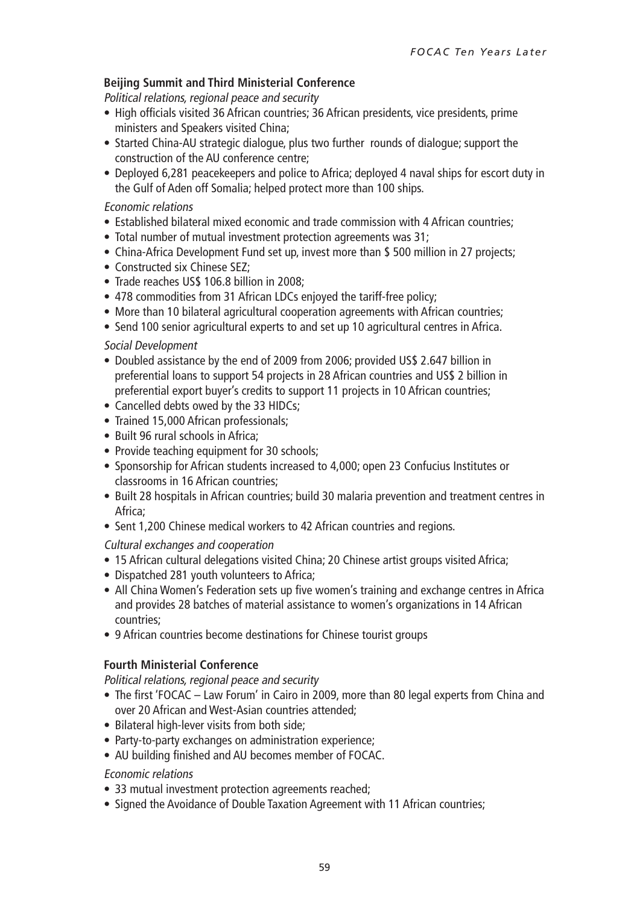#### **Beijing Summit and Third Ministerial Conference**

Political relations, regional peace and security

- High officials visited 36 African countries; 36 African presidents, vice presidents, prime ministers and Speakers visited China;
- Started China-AU strategic dialogue, plus two further rounds of dialogue; support the construction of the AU conference centre;
- Deployed 6,281 peacekeepers and police to Africa; deployed 4 naval ships for escort duty in the Gulf of Aden off Somalia; helped protect more than 100 ships.

#### Economic relations

- Established bilateral mixed economic and trade commission with 4 African countries:
- Total number of mutual investment protection agreements was 31;
- China-Africa Development Fund set up, invest more than \$500 million in 27 projects;
- Constructed six Chinese SEZ:
- Trade reaches US\$ 106.8 billion in 2008;
- 478 commodities from 31 African LDCs enjoyed the tariff-free policy;
- More than 10 bilateral agricultural cooperation agreements with African countries;
- Send 100 senior agricultural experts to and set up 10 agricultural centres in Africa.

#### Social Development

- Doubled assistance by the end of 2009 from 2006; provided US\$ 2.647 billion in preferential loans to support 54 projects in 28 African countries and US\$ 2 billion in preferential export buyer's credits to support 11 projects in 10 African countries;
- Cancelled debts owed by the 33 HIDCs:
- Trained 15,000 African professionals;
- Built 96 rural schools in Africa:
- Provide teaching equipment for 30 schools;
- Sponsorship for African students increased to 4,000; open 23 Confucius Institutes or classrooms in 16 African countries;
- Built 28 hospitals in African countries; build 30 malaria prevention and treatment centres in Africa;
- Sent 1,200 Chinese medical workers to 42 African countries and regions.

Cultural exchanges and cooperation

- 15 African cultural delegations visited China; 20 Chinese artist groups visited Africa;
- Dispatched 281 youth volunteers to Africa;
- All China Women's Federation sets up five women's training and exchange centres in Africa and provides 28 batches of material assistance to women's organizations in 14 African countries;
- 9 African countries become destinations for Chinese tourist groups

#### **Fourth Ministerial Conference**

Political relations, regional peace and security

- The first 'FOCAC Law Forum' in Cairo in 2009, more than 80 legal experts from China and over 20 African and West-Asian countries attended;
- Bilateral high-lever visits from both side;
- Party-to-party exchanges on administration experience;
- AU building finished and AU becomes member of FOCAC.

#### Economic relations

- 33 mutual investment protection agreements reached;
- Signed the Avoidance of Double Taxation Agreement with 11 African countries;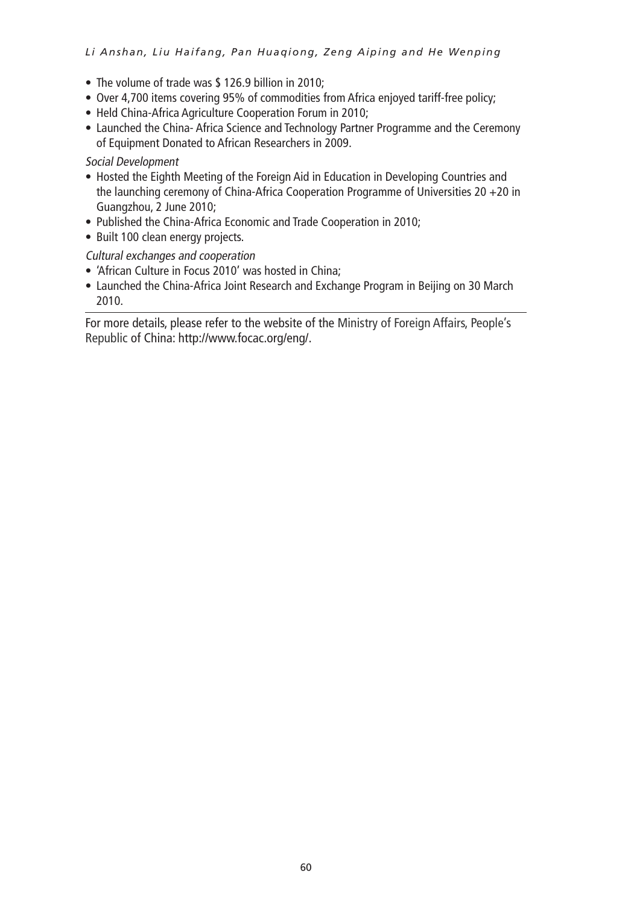#### *Li Anshan, Liu Haifang, Pan Huaqiong, Zeng Aiping and He Wenping*

- The volume of trade was \$ 126.9 billion in 2010:
- Over 4,700 items covering 95% of commodities from Africa enjoyed tariff-free policy;
- Held China-Africa Agriculture Cooperation Forum in 2010;
- Launched the China- Africa Science and Technology Partner Programme and the Ceremony of Equipment Donated to African Researchers in 2009.

#### Social Development

- Hosted the Eighth Meeting of the Foreign Aid in Education in Developing Countries and the launching ceremony of China-Africa Cooperation Programme of Universities 20 +20 in Guangzhou, 2 June 2010;
- Published the China-Africa Economic and Trade Cooperation in 2010;
- Built 100 clean energy projects.

### Cultural exchanges and cooperation

- 'African Culture in Focus 2010' was hosted in China:
- Launched the China-Africa Joint Research and Exchange Program in Beijing on 30 March 2010.

For more details, please refer to the website of the Ministry of Foreign Affairs, People's Republic of China: http://www.focac.org/eng/.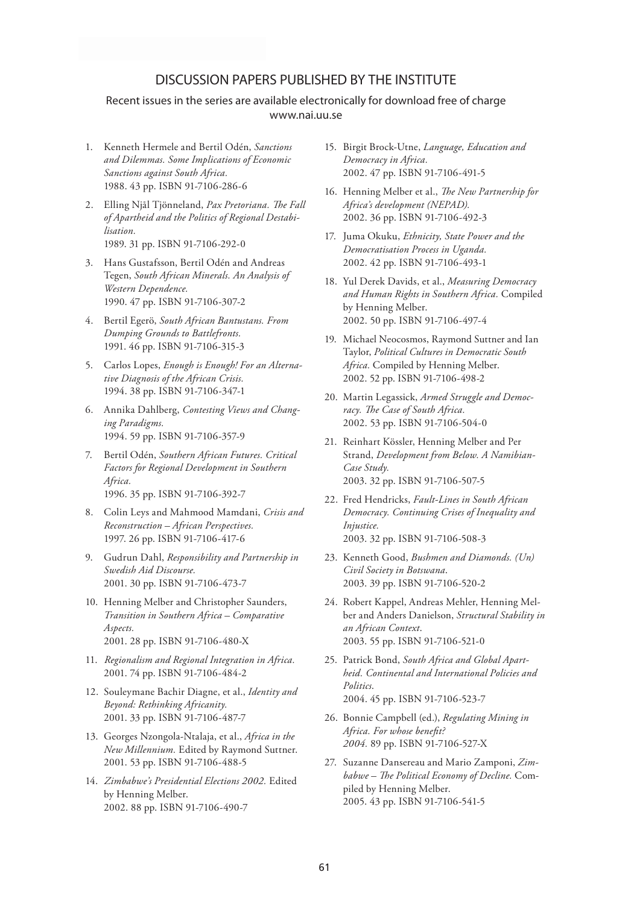#### DISCUSSION PAPERS PUBLISHED BY THE INSTITUTE

#### Recent issues in the series are available electronically for download free of charge www.nai.uu.se

- 1. Kenneth Hermele and Bertil Odén, *Sanctions and Dilemmas. Some Implications of Economic Sanctions against South Africa.* 1988. 43 pp. ISBN 91-7106-286-6
- 2. Elling Njål Tjönneland, *Pax Pretoriana. The Fall of Apartheid and the Politics of Regional Destabilisation.* 1989. 31 pp. ISBN 91-7106-292-0
- 3. Hans Gustafsson, Bertil Odén and Andreas Tegen, *South African Minerals. An Analysis of Western Dependence.*  1990. 47 pp. ISBN 91-7106-307-2
- 4. Bertil Egerö, *South African Bantustans. From Dumping Grounds to Battlefronts.* 1991. 46 pp. ISBN 91-7106-315-3
- 5. Carlos Lopes, *Enough is Enough! For an Alternative Diagnosis of the African Crisis.*  1994. 38 pp. ISBN 91-7106-347-1
- 6. Annika Dahlberg, *Contesting Views and Changing Paradigms.* 1994. 59 pp. ISBN 91-7106-357-9
- 7. Bertil Odén, *Southern African Futures. Critical Factors for Regional Development in Southern Africa.* 1996. 35 pp. ISBN 91-7106-392-7
- 8. Colin Leys and Mahmood Mamdani, *Crisis and Reconstruction – African Perspectives.* 1997. 26 pp. ISBN 91-7106-417-6
- 9. Gudrun Dahl, *Responsibility and Partnership in Swedish Aid Discourse.*  2001. 30 pp. ISBN 91-7106-473-7
- 10. Henning Melber and Christopher Saunders, *Transition in Southern Africa – Comparative Aspects.* 2001. 28 pp. ISBN 91-7106-480-X
- 11. *Regionalism and Regional Integration in Africa.* 2001. 74 pp. ISBN 91-7106-484-2
- 12. Souleymane Bachir Diagne, et al., *Identity and Beyond: Rethinking Africanity.*  2001. 33 pp. ISBN 91-7106-487-7
- 13. Georges Nzongola-Ntalaja, et al., *Africa in the New Millennium.* Edited by Raymond Suttner. 2001. 53 pp. ISBN 91-7106-488-5
- 14. *Zimbabwe's Presidential Elections 2002.* Edited by Henning Melber. 2002. 88 pp. ISBN 91-7106-490-7
- 15. Birgit Brock-Utne, *Language, Education and Democracy in Africa.* 2002. 47 pp. ISBN 91-7106-491-5
- 16. Henning Melber et al., *The New Partnership for Africa's development (NEPAD).*  2002. 36 pp. ISBN 91-7106-492-3
- 17. Juma Okuku, *Ethnicity, State Power and the Democratisation Process in Uganda.*  2002. 42 pp. ISBN 91-7106-493-1
- 18. Yul Derek Davids, et al., *Measuring Democracy and Human Rights in Southern Africa.* Compiled by Henning Melber. 2002. 50 pp. ISBN 91-7106-497-4
- 19. Michael Neocosmos, Raymond Suttner and Ian Taylor, *Political Cultures in Democratic South Africa.* Compiled by Henning Melber. 2002. 52 pp. ISBN 91-7106-498-2
- 20. Martin Legassick, *Armed Struggle and Democracy. The Case of South Africa.*  2002. 53 pp. ISBN 91-7106-504-0
- 21. Reinhart Kössler, Henning Melber and Per Strand, *Development from Below. A Namibian-Case Study.* 2003. 32 pp. ISBN 91-7106-507-5
- 22. Fred Hendricks, *Fault-Lines in South African Democracy. Continuing Crises of Inequality and Injustice.* 2003. 32 pp. ISBN 91-7106-508-3
- 23. Kenneth Good, *Bushmen and Diamonds. (Un) Civil Society in Botswana*. 2003. 39 pp. ISBN 91-7106-520-2
- 24. Robert Kappel, Andreas Mehler, Henning Melber and Anders Danielson, *Structural Stability in an African Context*. 2003. 55 pp. ISBN 91-7106-521-0
- 25. Patrick Bond, *South Africa and Global Apartheid. Continental and International Policies and Politics*. 2004. 45 pp. ISBN 91-7106-523-7
- 26. Bonnie Campbell (ed.), *Regulating Mining in Africa. For whose benefit? 2004.* 89 pp. ISBN 91-7106-527-X
- 27. Suzanne Dansereau and Mario Zamponi, *Zimbabwe – The Political Economy of Decline.* Compiled by Henning Melber. 2005. 43 pp. ISBN 91-7106-541-5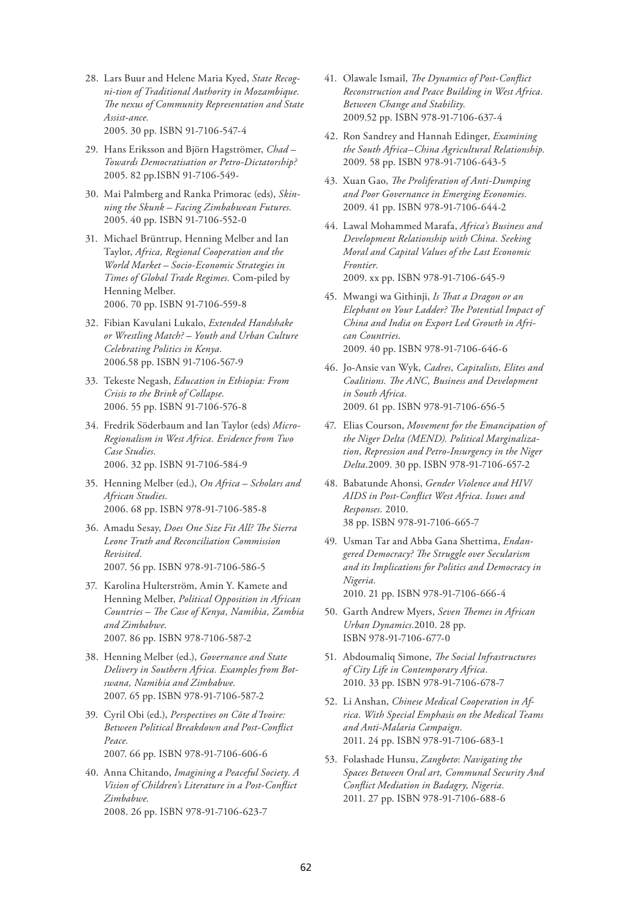- 28. Lars Buur and Helene Maria Kyed, *State Recogni-tion of Traditional Authority in Mozambique. The nexus of Community Representation and State Assist-ance.*  2005. 30 pp. ISBN 91-7106-547-4
- 29. Hans Eriksson and Björn Hagströmer, *Chad Towards Democratisation or Petro-Dictatorship?*

2005. 82 pp.ISBN 91-7106-549-

- 30. Mai Palmberg and Ranka Primorac (eds), *Skinning the Skunk – Facing Zimbabwean Futures.*  2005. 40 pp. ISBN 91-7106-552-0
- 31. Michael Brüntrup, Henning Melber and Ian Taylor, *Africa, Regional Cooperation and the World Market – Socio-Economic Strategies in Times of Global Trade Regimes.* Com-piled by Henning Melber. 2006. 70 pp. ISBN 91-7106-559-8
- 32. Fibian Kavulani Lukalo, *Extended Handshake or Wrestling Match? – Youth and Urban Culture Celebrating Politics in Kenya.*  2006.58 pp. ISBN 91-7106-567-9
- 33. Tekeste Negash, *Education in Ethiopia: From Crisis to the Brink of Collapse.*  2006. 55 pp. ISBN 91-7106-576-8
- 34. Fredrik Söderbaum and Ian Taylor (eds) *Micro-Regionalism in West Africa. Evidence from Two Case Studies.* 2006. 32 pp. ISBN 91-7106-584-9
- 35. Henning Melber (ed.), *On Africa Scholars and African Studies.* 2006. 68 pp. ISBN 978-91-7106-585-8
- 36. Amadu Sesay, *Does One Size Fit All? The Sierra Leone Truth and Reconciliation Commission Revisited.* 2007. 56 pp. ISBN 978-91-7106-586-5
- 37. Karolina Hulterström, Amin Y. Kamete and Henning Melber, *Political Opposition in African Countries – The Case of Kenya, Namibia, Zambia and Zimbabwe*. 2007. 86 pp. ISBN 978-7106-587-2
- 38. Henning Melber (ed.), *Governance and State Delivery in Southern Africa. Examples from Botswana, Namibia and Zimbabwe.* 2007. 65 pp. ISBN 978-91-7106-587-2
- 39. Cyril Obi (ed.), *Perspectives on Côte d'Ivoire: Between Political Breakdown and Post-Conflict Peace.* 2007. 66 pp. ISBN 978-91-7106-606-6
- 40. Anna Chitando, *Imagining a Peaceful Society. A Vision of Children's Literature in a Post-Conflict*

2008. 26 pp. ISBN 978-91-7106-623-7

*Zimbabwe.* 

- 41. Olawale Ismail, *The Dynamics of Post-Conflict Reconstruction and Peace Building in West Africa. Between Change and Stability.* 2009.52 pp. ISBN 978-91-7106-637-4
- 42. Ron Sandrey and Hannah Edinger, *Examining the South Africa–China Agricultural Relationship.* 2009. 58 pp. ISBN 978-91-7106-643-5
- 43. Xuan Gao, *The Proliferation of Anti-Dumping and Poor Governance in Emerging Economies.* 2009. 41 pp. ISBN 978-91-7106-644-2
- 44. Lawal Mohammed Marafa, *Africa's Business and Development Relationship with China. Seeking Moral and Capital Values of the Last Economic Frontier.* 2009. xx pp. ISBN 978-91-7106-645-9
- 45. Mwangi wa Githinji, *Is That a Dragon or an Elephant on Your Ladder? The Potential Impact of China and India on Export Led Growth in African Countries*. 2009. 40 pp. ISBN 978-91-7106-646-6
- 46. Jo-Ansie van Wyk, *Cadres, Capitalists, Elites and Coalitions. The ANC, Business and Development in South Africa.* 2009. 61 pp. ISBN 978-91-7106-656-5
- 47. Elias Courson, *Movement for the Emancipation of the Niger Delta (MEND). Political Marginalization, Repression and Petro-Insurgency in the Niger Delta*.2009. 30 pp. ISBN 978-91-7106-657-2
- 48. Babatunde Ahonsi, *Gender Violence and HIV/ AIDS in Post-Conflict West Africa. Issues and Responses.* 2010. 38 pp. ISBN 978-91-7106-665-7
- 49. Usman Tar and Abba Gana Shettima, *Endangered Democracy? The Struggle over Secularism and its Implications for Politics and Democracy in Nigeria.* 2010. 21 pp. ISBN 978-91-7106-666-4
- 50. Garth Andrew Myers, *Seven Themes in African Urban Dynamics.*2010. 28 pp. ISBN 978-91-7106-677-0
- 51. Abdoumaliq Simone, *The Social Infrastructures of City Life in Contemporary Africa.* 2010. 33 pp. ISBN 978-91-7106-678-7
- 52. Li Anshan, *Chinese Medical Cooperation in Africa. With Special Emphasis on the Medical Teams and Anti-Malaria Campaign.* 2011. 24 pp. ISBN 978-91-7106-683-1
- 53. Folashade Hunsu, *Zangbeto*: *Navigating the Spaces Between Oral art, Communal Security And Conflict Mediation in Badagry, Nigeria.* 2011. 27 pp. ISBN 978-91-7106-688-6
- 62